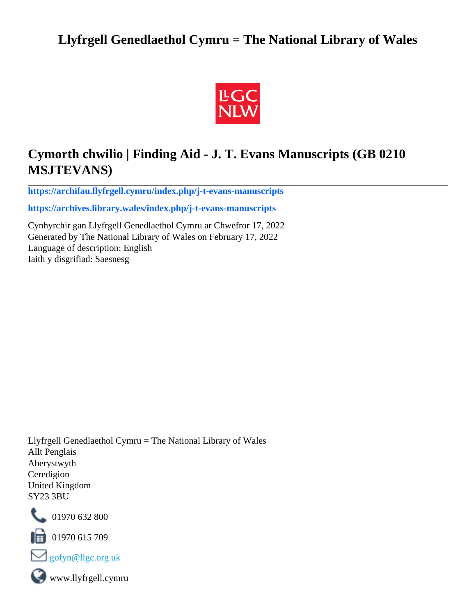# **Llyfrgell Genedlaethol Cymru = The National Library of Wales**



# **Cymorth chwilio | Finding Aid - J. T. Evans Manuscripts (GB 0210 MSJTEVANS)**

**[https://archifau.llyfrgell.cymru/index.php/j-t-evans-manuscripts](https://archifau.llyfrgell.cymru/index.php/j-t-evans-manuscripts;isad?sf_culture=cy)**

**[https://archives.library.wales/index.php/j-t-evans-manuscripts](https://archives.library.wales/index.php/j-t-evans-manuscripts;isad?sf_culture=en)**

Cynhyrchir gan Llyfrgell Genedlaethol Cymru ar Chwefror 17, 2022 Generated by The National Library of Wales on February 17, 2022 Language of description: English Iaith y disgrifiad: Saesnesg

Llyfrgell Genedlaethol Cymru = The National Library of Wales Allt Penglais Aberystwyth Ceredigion United Kingdom SY23 3BU



101970 632 800

 $\blacksquare$  01970 615 709



www.llyfrgell.cymru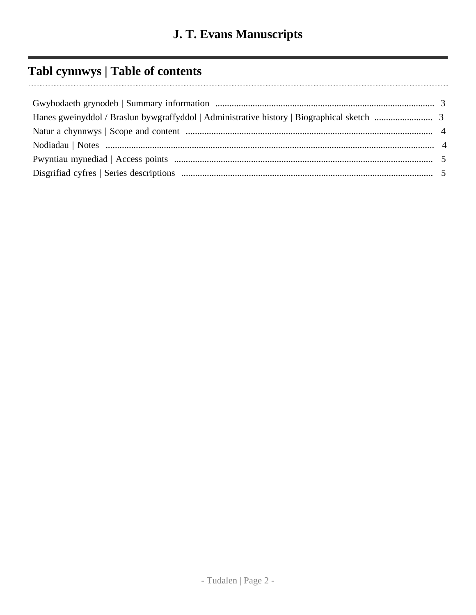# **Tabl cynnwys | Table of contents**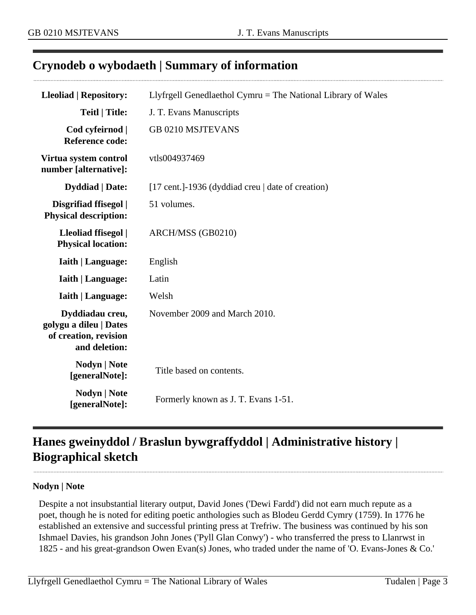# <span id="page-2-0"></span>**Crynodeb o wybodaeth | Summary of information**

| <b>Lleoliad   Repository:</b>                                                       | Llyfrgell Genedlaethol Cymru = The National Library of Wales |  |
|-------------------------------------------------------------------------------------|--------------------------------------------------------------|--|
| <b>Teitl   Title:</b>                                                               | J. T. Evans Manuscripts                                      |  |
| Cod cyfeirnod  <br><b>Reference code:</b>                                           | <b>GB 0210 MSJTEVANS</b>                                     |  |
| Virtua system control<br>number [alternative]:                                      | vtls004937469                                                |  |
| <b>Dyddiad</b>   Date:                                                              | [17 cent.]-1936 (dyddiad creu   date of creation)            |  |
| Disgrifiad ffisegol  <br><b>Physical description:</b>                               | 51 volumes.                                                  |  |
| Lleoliad ffisegol  <br><b>Physical location:</b>                                    | ARCH/MSS (GB0210)                                            |  |
| <b>Iaith   Language:</b>                                                            | English                                                      |  |
| <b>Iaith   Language:</b>                                                            | Latin                                                        |  |
| <b>Iaith   Language:</b>                                                            | Welsh                                                        |  |
| Dyddiadau creu,<br>golygu a dileu   Dates<br>of creation, revision<br>and deletion: | November 2009 and March 2010.                                |  |
| Nodyn   Note<br>[generalNote]:                                                      | Title based on contents.                                     |  |
| <b>Nodyn   Note</b><br>[generalNote]:                                               | Formerly known as J. T. Evans 1-51.                          |  |

# <span id="page-2-1"></span>**Hanes gweinyddol / Braslun bywgraffyddol | Administrative history | Biographical sketch**

#### **Nodyn | Note**

Despite a not insubstantial literary output, David Jones ('Dewi Fardd') did not earn much repute as a poet, though he is noted for editing poetic anthologies such as Blodeu Gerdd Cymry (1759). In 1776 he established an extensive and successful printing press at Trefriw. The business was continued by his son Ishmael Davies, his grandson John Jones ('Pyll Glan Conwy') - who transferred the press to Llanrwst in 1825 - and his great-grandson Owen Evan(s) Jones, who traded under the name of 'O. Evans-Jones & Co.'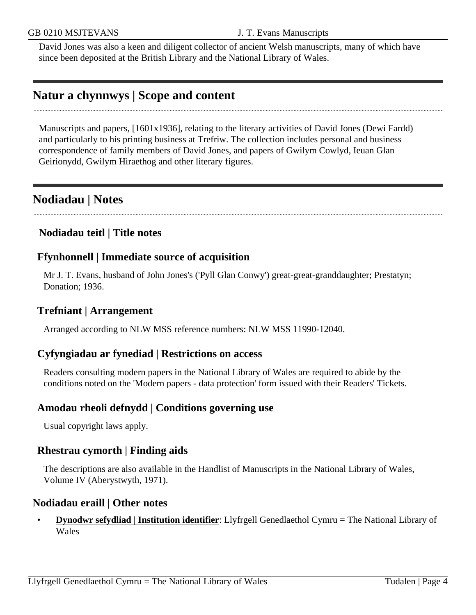David Jones was also a keen and diligent collector of ancient Welsh manuscripts, many of which have since been deposited at the British Library and the National Library of Wales.

## <span id="page-3-0"></span>**Natur a chynnwys | Scope and content**

Manuscripts and papers, [1601x1936], relating to the literary activities of David Jones (Dewi Fardd) and particularly to his printing business at Trefriw. The collection includes personal and business correspondence of family members of David Jones, and papers of Gwilym Cowlyd, Ieuan Glan Geirionydd, Gwilym Hiraethog and other literary figures.

## <span id="page-3-1"></span>**Nodiadau | Notes**

#### **Nodiadau teitl | Title notes**

#### **Ffynhonnell | Immediate source of acquisition**

Mr J. T. Evans, husband of John Jones's ('Pyll Glan Conwy') great-great-granddaughter; Prestatyn; Donation; 1936.

### **Trefniant | Arrangement**

Arranged according to NLW MSS reference numbers: NLW MSS 11990-12040.

### **Cyfyngiadau ar fynediad | Restrictions on access**

Readers consulting modern papers in the National Library of Wales are required to abide by the conditions noted on the 'Modern papers - data protection' form issued with their Readers' Tickets.

### **Amodau rheoli defnydd | Conditions governing use**

Usual copyright laws apply.

#### **Rhestrau cymorth | Finding aids**

The descriptions are also available in the Handlist of Manuscripts in the National Library of Wales, Volume IV (Aberystwyth, 1971).

#### **Nodiadau eraill | Other notes**

• **Dynodwr sefydliad | Institution identifier**: Llyfrgell Genedlaethol Cymru = The National Library of Wales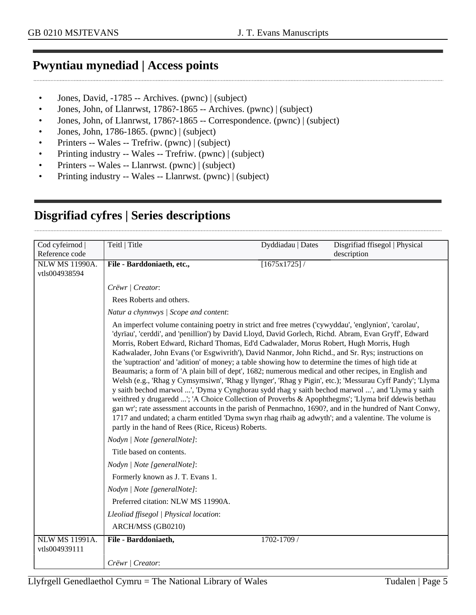## <span id="page-4-0"></span>**Pwyntiau mynediad | Access points**

- Jones, David, -1785 -- Archives. (pwnc) | (subject)
- Jones, John, of Llanrwst, 1786?-1865 -- Archives. (pwnc) | (subject)
- Jones, John, of Llanrwst, 1786?-1865 -- Correspondence. (pwnc) | (subject)
- Jones, John, 1786-1865. (pwnc) | (subject)
- Printers -- Wales -- Trefriw. (pwnc) | (subject)
- Printing industry -- Wales -- Trefriw. (pwnc) | (subject)
- Printers -- Wales -- Llanrwst. (pwnc) | (subject)
- Printing industry -- Wales -- Llanrwst. (pwnc) | (subject)

<span id="page-4-1"></span>

| Cod cyfeirnod                          | Teitl   Title                                                                                                                                                                                                                                                                                                                                                                                                                                                                                                                                                                                                                                                                                                                                                                                                                                                                                                                                                                                                                                                                                                                                                                                                               | Dyddiadau   Dates | Disgrifiad ffisegol   Physical |
|----------------------------------------|-----------------------------------------------------------------------------------------------------------------------------------------------------------------------------------------------------------------------------------------------------------------------------------------------------------------------------------------------------------------------------------------------------------------------------------------------------------------------------------------------------------------------------------------------------------------------------------------------------------------------------------------------------------------------------------------------------------------------------------------------------------------------------------------------------------------------------------------------------------------------------------------------------------------------------------------------------------------------------------------------------------------------------------------------------------------------------------------------------------------------------------------------------------------------------------------------------------------------------|-------------------|--------------------------------|
| Reference code                         |                                                                                                                                                                                                                                                                                                                                                                                                                                                                                                                                                                                                                                                                                                                                                                                                                                                                                                                                                                                                                                                                                                                                                                                                                             |                   | description                    |
| <b>NLW MS 11990A.</b>                  | File - Barddoniaeth, etc.,                                                                                                                                                                                                                                                                                                                                                                                                                                                                                                                                                                                                                                                                                                                                                                                                                                                                                                                                                                                                                                                                                                                                                                                                  | [1675x1725]/      |                                |
| vtls004938594                          |                                                                                                                                                                                                                                                                                                                                                                                                                                                                                                                                                                                                                                                                                                                                                                                                                                                                                                                                                                                                                                                                                                                                                                                                                             |                   |                                |
|                                        | Crëwr   Creator:                                                                                                                                                                                                                                                                                                                                                                                                                                                                                                                                                                                                                                                                                                                                                                                                                                                                                                                                                                                                                                                                                                                                                                                                            |                   |                                |
|                                        | Rees Roberts and others.                                                                                                                                                                                                                                                                                                                                                                                                                                                                                                                                                                                                                                                                                                                                                                                                                                                                                                                                                                                                                                                                                                                                                                                                    |                   |                                |
|                                        | Natur a chynnwys / Scope and content:                                                                                                                                                                                                                                                                                                                                                                                                                                                                                                                                                                                                                                                                                                                                                                                                                                                                                                                                                                                                                                                                                                                                                                                       |                   |                                |
|                                        | An imperfect volume containing poetry in strict and free metres ('cywyddau', 'englynion', 'carolau',<br>'dyrïau', 'cerddi', and 'penillion') by David Lloyd, David Gorlech, Richd. Abram, Evan Gryff', Edward<br>Morris, Robert Edward, Richard Thomas, Ed'd Cadwalader, Morus Robert, Hugh Morris, Hugh<br>Kadwalader, John Evans ('or Esgwivrith'), David Nanmor, John Richd., and Sr. Rys; instructions on<br>the 'suptraction' and 'adition' of money; a table showing how to determine the times of high tide at<br>Beaumaris; a form of 'A plain bill of dept', 1682; numerous medical and other recipes, in English and<br>Welsh (e.g., 'Rhag y Cymsymsiwn', 'Rhag y llynger', 'Rhag y Pigin', etc.); 'Messurau Cyff Pandy'; 'Llyma<br>y saith bechod marwol ', 'Dyma y Cynghorau sydd rhag y saith bechod marwol ', and 'Llyma y saith<br>weithred y drugaredd '; 'A Choice Collection of Proverbs & Apophthegms'; 'Llyma brif ddewis bethau<br>gan wr'; rate assessment accounts in the parish of Penmachno, 1690?, and in the hundred of Nant Conwy,<br>1717 and undated; a charm entitled 'Dyma swyn rhag rhaib ag adwyth'; and a valentine. The volume is<br>partly in the hand of Rees (Rice, Riceus) Roberts. |                   |                                |
|                                        | Nodyn   Note [generalNote]:                                                                                                                                                                                                                                                                                                                                                                                                                                                                                                                                                                                                                                                                                                                                                                                                                                                                                                                                                                                                                                                                                                                                                                                                 |                   |                                |
|                                        | Title based on contents.                                                                                                                                                                                                                                                                                                                                                                                                                                                                                                                                                                                                                                                                                                                                                                                                                                                                                                                                                                                                                                                                                                                                                                                                    |                   |                                |
|                                        | Nodyn   Note [generalNote]:                                                                                                                                                                                                                                                                                                                                                                                                                                                                                                                                                                                                                                                                                                                                                                                                                                                                                                                                                                                                                                                                                                                                                                                                 |                   |                                |
|                                        | Formerly known as J. T. Evans 1.                                                                                                                                                                                                                                                                                                                                                                                                                                                                                                                                                                                                                                                                                                                                                                                                                                                                                                                                                                                                                                                                                                                                                                                            |                   |                                |
|                                        | Nodyn   Note [generalNote]:                                                                                                                                                                                                                                                                                                                                                                                                                                                                                                                                                                                                                                                                                                                                                                                                                                                                                                                                                                                                                                                                                                                                                                                                 |                   |                                |
|                                        | Preferred citation: NLW MS 11990A.                                                                                                                                                                                                                                                                                                                                                                                                                                                                                                                                                                                                                                                                                                                                                                                                                                                                                                                                                                                                                                                                                                                                                                                          |                   |                                |
|                                        | Lleoliad ffisegol   Physical location:                                                                                                                                                                                                                                                                                                                                                                                                                                                                                                                                                                                                                                                                                                                                                                                                                                                                                                                                                                                                                                                                                                                                                                                      |                   |                                |
|                                        | ARCH/MSS (GB0210)                                                                                                                                                                                                                                                                                                                                                                                                                                                                                                                                                                                                                                                                                                                                                                                                                                                                                                                                                                                                                                                                                                                                                                                                           |                   |                                |
| <b>NLW MS 11991A.</b><br>vtls004939111 | File - Barddoniaeth,                                                                                                                                                                                                                                                                                                                                                                                                                                                                                                                                                                                                                                                                                                                                                                                                                                                                                                                                                                                                                                                                                                                                                                                                        | 1702-1709 /       |                                |
|                                        | Crëwr   Creator:                                                                                                                                                                                                                                                                                                                                                                                                                                                                                                                                                                                                                                                                                                                                                                                                                                                                                                                                                                                                                                                                                                                                                                                                            |                   |                                |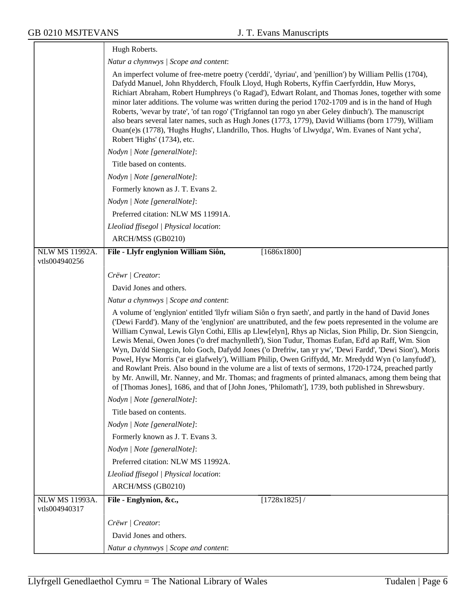|                                        | Hugh Roberts.                                                                                                                                                                                                                                                                                                                                                                                                                                                                                                                                                                                                                                                                                                                                                                                                                                                                                                                                                                  |
|----------------------------------------|--------------------------------------------------------------------------------------------------------------------------------------------------------------------------------------------------------------------------------------------------------------------------------------------------------------------------------------------------------------------------------------------------------------------------------------------------------------------------------------------------------------------------------------------------------------------------------------------------------------------------------------------------------------------------------------------------------------------------------------------------------------------------------------------------------------------------------------------------------------------------------------------------------------------------------------------------------------------------------|
|                                        | Natur a chynnwys / Scope and content:                                                                                                                                                                                                                                                                                                                                                                                                                                                                                                                                                                                                                                                                                                                                                                                                                                                                                                                                          |
|                                        | An imperfect volume of free-metre poetry ('cerddi', 'dyriau', and 'penillion') by William Pellis (1704),<br>Dafydd Manuel, John Rhydderch, Ffoulk Lloyd, Hugh Roberts, Kyffin Caerfyrddin, Huw Morys,<br>Richiart Abraham, Robert Humphreys ('o Ragad'), Edwart Rolant, and Thomas Jones, together with some<br>minor later additions. The volume was written during the period 1702-1709 and is in the hand of Hugh<br>Roberts, 'wevar by trate', 'of tan rogo' ('Trigfannol tan rogo yn aber Geley dinbuch'). The manuscript<br>also bears several later names, such as Hugh Jones (1773, 1779), David Williams (born 1779), William<br>Ouan(e)s (1778), 'Hughs Hughs', Llandrillo, Thos. Hughs 'of Llwydga', Wm. Evanes of Nant ycha',<br>Robert 'Highs' (1734), etc.                                                                                                                                                                                                       |
|                                        | Nodyn   Note [generalNote]:                                                                                                                                                                                                                                                                                                                                                                                                                                                                                                                                                                                                                                                                                                                                                                                                                                                                                                                                                    |
|                                        | Title based on contents.                                                                                                                                                                                                                                                                                                                                                                                                                                                                                                                                                                                                                                                                                                                                                                                                                                                                                                                                                       |
|                                        | Nodyn   Note [generalNote]:                                                                                                                                                                                                                                                                                                                                                                                                                                                                                                                                                                                                                                                                                                                                                                                                                                                                                                                                                    |
|                                        | Formerly known as J. T. Evans 2.                                                                                                                                                                                                                                                                                                                                                                                                                                                                                                                                                                                                                                                                                                                                                                                                                                                                                                                                               |
|                                        | Nodyn   Note [generalNote]:                                                                                                                                                                                                                                                                                                                                                                                                                                                                                                                                                                                                                                                                                                                                                                                                                                                                                                                                                    |
|                                        | Preferred citation: NLW MS 11991A.                                                                                                                                                                                                                                                                                                                                                                                                                                                                                                                                                                                                                                                                                                                                                                                                                                                                                                                                             |
|                                        | Lleoliad ffisegol   Physical location:                                                                                                                                                                                                                                                                                                                                                                                                                                                                                                                                                                                                                                                                                                                                                                                                                                                                                                                                         |
|                                        | ARCH/MSS (GB0210)                                                                                                                                                                                                                                                                                                                                                                                                                                                                                                                                                                                                                                                                                                                                                                                                                                                                                                                                                              |
| <b>NLW MS 11992A.</b>                  | File - Llyfr englynion William Siôn,<br>[1686x1800]                                                                                                                                                                                                                                                                                                                                                                                                                                                                                                                                                                                                                                                                                                                                                                                                                                                                                                                            |
| vtls004940256                          |                                                                                                                                                                                                                                                                                                                                                                                                                                                                                                                                                                                                                                                                                                                                                                                                                                                                                                                                                                                |
|                                        | Crëwr   Creator:                                                                                                                                                                                                                                                                                                                                                                                                                                                                                                                                                                                                                                                                                                                                                                                                                                                                                                                                                               |
|                                        | David Jones and others.                                                                                                                                                                                                                                                                                                                                                                                                                                                                                                                                                                                                                                                                                                                                                                                                                                                                                                                                                        |
|                                        | Natur a chynnwys / Scope and content:                                                                                                                                                                                                                                                                                                                                                                                                                                                                                                                                                                                                                                                                                                                                                                                                                                                                                                                                          |
|                                        | A volume of 'englynion' entitled 'llyfr wiliam Siôn o fryn saeth', and partly in the hand of David Jones<br>('Dewi Fardd'). Many of the 'englynion' are unattributed, and the few poets represented in the volume are<br>William Cynwal, Lewis Glyn Cothi, Ellis ap Llew[elyn], Rhys ap Niclas, Sion Philip, Dr. Sion Siengcin,<br>Lewis Menai, Owen Jones ('o dref machynlleth'), Sion Tudur, Thomas Eufan, Ed'd ap Raff, Wm. Sion<br>Wyn, Da'dd Siengcin, Iolo Goch, Dafydd Jones ('o Drefriw, tan yr yw', 'Dewi Fardd', 'Dewi Sion'), Moris<br>Powel, Hyw Morris ('ar ei glafwely'), William Philip, Owen Griffydd, Mr. Mredydd Wyn ('o lanyfudd'),<br>and Rowlant Preis. Also bound in the volume are a list of texts of sermons, 1720-1724, preached partly<br>by Mr. Anwill, Mr. Nanney, and Mr. Thomas; and fragments of printed almanacs, among them being that<br>of [Thomas Jones], 1686, and that of [John Jones, 'Philomath'], 1739, both published in Shrewsbury. |
|                                        | Nodyn   Note [generalNote]:                                                                                                                                                                                                                                                                                                                                                                                                                                                                                                                                                                                                                                                                                                                                                                                                                                                                                                                                                    |
|                                        | Title based on contents.                                                                                                                                                                                                                                                                                                                                                                                                                                                                                                                                                                                                                                                                                                                                                                                                                                                                                                                                                       |
|                                        | Nodyn   Note [generalNote]:                                                                                                                                                                                                                                                                                                                                                                                                                                                                                                                                                                                                                                                                                                                                                                                                                                                                                                                                                    |
|                                        | Formerly known as J. T. Evans 3.                                                                                                                                                                                                                                                                                                                                                                                                                                                                                                                                                                                                                                                                                                                                                                                                                                                                                                                                               |
|                                        | Nodyn   Note [generalNote]:                                                                                                                                                                                                                                                                                                                                                                                                                                                                                                                                                                                                                                                                                                                                                                                                                                                                                                                                                    |
|                                        | Preferred citation: NLW MS 11992A.                                                                                                                                                                                                                                                                                                                                                                                                                                                                                                                                                                                                                                                                                                                                                                                                                                                                                                                                             |
|                                        | Lleoliad ffisegol   Physical location:                                                                                                                                                                                                                                                                                                                                                                                                                                                                                                                                                                                                                                                                                                                                                                                                                                                                                                                                         |
|                                        | ARCH/MSS (GB0210)                                                                                                                                                                                                                                                                                                                                                                                                                                                                                                                                                                                                                                                                                                                                                                                                                                                                                                                                                              |
| <b>NLW MS 11993A.</b><br>vtls004940317 | File - Englynion, &c.,<br>$[1728x1825]$ /                                                                                                                                                                                                                                                                                                                                                                                                                                                                                                                                                                                                                                                                                                                                                                                                                                                                                                                                      |
|                                        | Crëwr   Creator:                                                                                                                                                                                                                                                                                                                                                                                                                                                                                                                                                                                                                                                                                                                                                                                                                                                                                                                                                               |
|                                        | David Jones and others.                                                                                                                                                                                                                                                                                                                                                                                                                                                                                                                                                                                                                                                                                                                                                                                                                                                                                                                                                        |
|                                        | Natur a chynnwys / Scope and content:                                                                                                                                                                                                                                                                                                                                                                                                                                                                                                                                                                                                                                                                                                                                                                                                                                                                                                                                          |

╕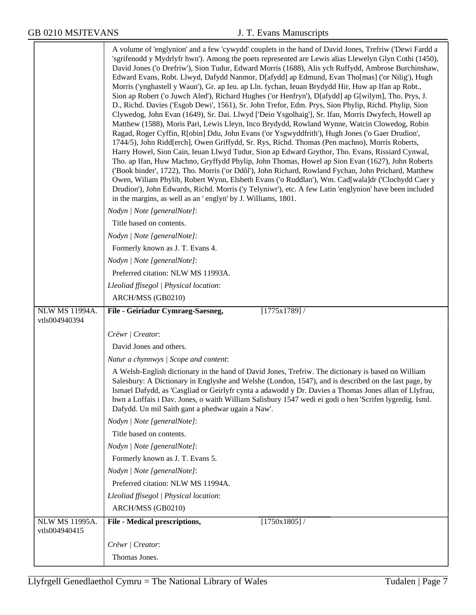|                                        | A volume of 'englynion' and a few 'cywydd' couplets in the hand of David Jones, Trefriw ('Dewi Fardd a<br>'sgrifenodd y Mydrlyfr hwn'). Among the poets represented are Lewis alias Llewelyn Glyn Cothi (1450),<br>David Jones ('o Drefriw'), Sion Tudur, Edward Morris (1688), Alis ych Ruffydd, Ambrose Burchinshaw,<br>Edward Evans, Robt. Llwyd, Dafydd Nanmor, D[afydd] ap Edmund, Evan Tho[mas] ('or Nilig'), Hugh<br>Morris ('ynghastell y Waun'), Gr. ap Ieu. ap Lln. fychan, Ieuan Brydydd Hir, Huw ap Ifan ap Robt.,<br>Sion ap Robert ('o Juwch Aled'), Richard Hughes ('or Henfryn'), D[afydd] ap G[wilym], Tho. Prys, J.<br>D., Richd. Davies ('Esgob Dewi', 1561), Sr. John Trefor, Edm. Prys, Sion Phylip, Richd. Phylip, Sion<br>Clywedog, John Evan (1649), Sr. Dai. Llwyd ['Deio Ysgolhaig'], Sr. Ifan, Morris Dwyfech, Howell ap<br>Matthew (1588), Moris Pari, Lewis Lleyn, Inco Brydydd, Rowland Wynne, Watcin Clowedog, Robin<br>Ragad, Roger Cyffin, R[obin] Ddu, John Evans ('or Ysgwyddfrith'), Hugh Jones ('o Gaer Drudion',<br>1744/5), John Ridd[erch], Owen Griffydd, Sr. Rys, Richd. Thomas (Pen machno), Morris Roberts,<br>Harry Howel, Sion Cain, Ieuan Llwyd Tudur, Sion ap Edward Grythor, Tho. Evans, Rissiard Cynwal,<br>Tho. ap Ifan, Huw Machno, Gryffydd Phylip, John Thomas, Howel ap Sion Evan (1627), John Roberts<br>('Book binder', 1722), Tho. Morris ('or Ddôl'), John Richard, Rowland Fychan, John Prichard, Matthew<br>Owen, Wiliam Phylib, Robert Wynn, Elsbeth Evans ('o Ruddlan'), Wm. Cad[wala]dr ('Clochydd Caer y<br>Drudion'), John Edwards, Richd. Morris ('y Telyniwr'), etc. A few Latin 'englynion' have been included<br>in the margins, as well as an 'englyn' by J. Williams, 1801. |
|----------------------------------------|-----------------------------------------------------------------------------------------------------------------------------------------------------------------------------------------------------------------------------------------------------------------------------------------------------------------------------------------------------------------------------------------------------------------------------------------------------------------------------------------------------------------------------------------------------------------------------------------------------------------------------------------------------------------------------------------------------------------------------------------------------------------------------------------------------------------------------------------------------------------------------------------------------------------------------------------------------------------------------------------------------------------------------------------------------------------------------------------------------------------------------------------------------------------------------------------------------------------------------------------------------------------------------------------------------------------------------------------------------------------------------------------------------------------------------------------------------------------------------------------------------------------------------------------------------------------------------------------------------------------------------------------------------------------------------------------------------------------------------------------------------|
|                                        | Nodyn   Note [generalNote]:                                                                                                                                                                                                                                                                                                                                                                                                                                                                                                                                                                                                                                                                                                                                                                                                                                                                                                                                                                                                                                                                                                                                                                                                                                                                                                                                                                                                                                                                                                                                                                                                                                                                                                                         |
|                                        | Title based on contents.                                                                                                                                                                                                                                                                                                                                                                                                                                                                                                                                                                                                                                                                                                                                                                                                                                                                                                                                                                                                                                                                                                                                                                                                                                                                                                                                                                                                                                                                                                                                                                                                                                                                                                                            |
|                                        | Nodyn   Note [generalNote]:                                                                                                                                                                                                                                                                                                                                                                                                                                                                                                                                                                                                                                                                                                                                                                                                                                                                                                                                                                                                                                                                                                                                                                                                                                                                                                                                                                                                                                                                                                                                                                                                                                                                                                                         |
|                                        | Formerly known as J. T. Evans 4.                                                                                                                                                                                                                                                                                                                                                                                                                                                                                                                                                                                                                                                                                                                                                                                                                                                                                                                                                                                                                                                                                                                                                                                                                                                                                                                                                                                                                                                                                                                                                                                                                                                                                                                    |
|                                        | Nodyn   Note [generalNote]:                                                                                                                                                                                                                                                                                                                                                                                                                                                                                                                                                                                                                                                                                                                                                                                                                                                                                                                                                                                                                                                                                                                                                                                                                                                                                                                                                                                                                                                                                                                                                                                                                                                                                                                         |
|                                        | Preferred citation: NLW MS 11993A.                                                                                                                                                                                                                                                                                                                                                                                                                                                                                                                                                                                                                                                                                                                                                                                                                                                                                                                                                                                                                                                                                                                                                                                                                                                                                                                                                                                                                                                                                                                                                                                                                                                                                                                  |
|                                        | Lleoliad ffisegol   Physical location:                                                                                                                                                                                                                                                                                                                                                                                                                                                                                                                                                                                                                                                                                                                                                                                                                                                                                                                                                                                                                                                                                                                                                                                                                                                                                                                                                                                                                                                                                                                                                                                                                                                                                                              |
|                                        | ARCH/MSS (GB0210)                                                                                                                                                                                                                                                                                                                                                                                                                                                                                                                                                                                                                                                                                                                                                                                                                                                                                                                                                                                                                                                                                                                                                                                                                                                                                                                                                                                                                                                                                                                                                                                                                                                                                                                                   |
| <b>NLW MS 11994A.</b><br>vtls004940394 | [1775x1789]/<br>File - Geiriadur Cymraeg-Saesneg,                                                                                                                                                                                                                                                                                                                                                                                                                                                                                                                                                                                                                                                                                                                                                                                                                                                                                                                                                                                                                                                                                                                                                                                                                                                                                                                                                                                                                                                                                                                                                                                                                                                                                                   |
|                                        |                                                                                                                                                                                                                                                                                                                                                                                                                                                                                                                                                                                                                                                                                                                                                                                                                                                                                                                                                                                                                                                                                                                                                                                                                                                                                                                                                                                                                                                                                                                                                                                                                                                                                                                                                     |
|                                        | Crëwr   Creator:                                                                                                                                                                                                                                                                                                                                                                                                                                                                                                                                                                                                                                                                                                                                                                                                                                                                                                                                                                                                                                                                                                                                                                                                                                                                                                                                                                                                                                                                                                                                                                                                                                                                                                                                    |
|                                        | David Jones and others.                                                                                                                                                                                                                                                                                                                                                                                                                                                                                                                                                                                                                                                                                                                                                                                                                                                                                                                                                                                                                                                                                                                                                                                                                                                                                                                                                                                                                                                                                                                                                                                                                                                                                                                             |
|                                        | Natur a chynnwys / Scope and content:                                                                                                                                                                                                                                                                                                                                                                                                                                                                                                                                                                                                                                                                                                                                                                                                                                                                                                                                                                                                                                                                                                                                                                                                                                                                                                                                                                                                                                                                                                                                                                                                                                                                                                               |
|                                        | A Welsh-English dictionary in the hand of David Jones, Trefriw. The dictionary is based on William<br>Salesbury: A Dictionary in Englyshe and Welshe (London, 1547), and is described on the last page, by<br>Ismael Dafydd, as 'Casgliad or Geirlyfr cynta a adawodd y Dr. Davies a Thomas Jones allan of Llyfrau,<br>hwn a Loffais i Dav. Jones, o waith William Salisbury 1547 wedi ei godi o hen 'Scrifen lygredig. Isml.<br>Dafydd. Un mil Saith gant a phedwar ugain a Naw'.                                                                                                                                                                                                                                                                                                                                                                                                                                                                                                                                                                                                                                                                                                                                                                                                                                                                                                                                                                                                                                                                                                                                                                                                                                                                  |
|                                        | Nodyn   Note [generalNote]:                                                                                                                                                                                                                                                                                                                                                                                                                                                                                                                                                                                                                                                                                                                                                                                                                                                                                                                                                                                                                                                                                                                                                                                                                                                                                                                                                                                                                                                                                                                                                                                                                                                                                                                         |
|                                        | Title based on contents.                                                                                                                                                                                                                                                                                                                                                                                                                                                                                                                                                                                                                                                                                                                                                                                                                                                                                                                                                                                                                                                                                                                                                                                                                                                                                                                                                                                                                                                                                                                                                                                                                                                                                                                            |
|                                        | Nodyn   Note [generalNote]:                                                                                                                                                                                                                                                                                                                                                                                                                                                                                                                                                                                                                                                                                                                                                                                                                                                                                                                                                                                                                                                                                                                                                                                                                                                                                                                                                                                                                                                                                                                                                                                                                                                                                                                         |
|                                        | Formerly known as J. T. Evans 5.                                                                                                                                                                                                                                                                                                                                                                                                                                                                                                                                                                                                                                                                                                                                                                                                                                                                                                                                                                                                                                                                                                                                                                                                                                                                                                                                                                                                                                                                                                                                                                                                                                                                                                                    |
|                                        | Nodyn   Note [generalNote]:                                                                                                                                                                                                                                                                                                                                                                                                                                                                                                                                                                                                                                                                                                                                                                                                                                                                                                                                                                                                                                                                                                                                                                                                                                                                                                                                                                                                                                                                                                                                                                                                                                                                                                                         |
|                                        | Preferred citation: NLW MS 11994A.                                                                                                                                                                                                                                                                                                                                                                                                                                                                                                                                                                                                                                                                                                                                                                                                                                                                                                                                                                                                                                                                                                                                                                                                                                                                                                                                                                                                                                                                                                                                                                                                                                                                                                                  |
|                                        | Lleoliad ffisegol   Physical location:                                                                                                                                                                                                                                                                                                                                                                                                                                                                                                                                                                                                                                                                                                                                                                                                                                                                                                                                                                                                                                                                                                                                                                                                                                                                                                                                                                                                                                                                                                                                                                                                                                                                                                              |
|                                        | ARCH/MSS (GB0210)                                                                                                                                                                                                                                                                                                                                                                                                                                                                                                                                                                                                                                                                                                                                                                                                                                                                                                                                                                                                                                                                                                                                                                                                                                                                                                                                                                                                                                                                                                                                                                                                                                                                                                                                   |
| <b>NLW MS 11995A.</b><br>vtls004940415 | File - Medical prescriptions,<br>$[1750x1805]$ /                                                                                                                                                                                                                                                                                                                                                                                                                                                                                                                                                                                                                                                                                                                                                                                                                                                                                                                                                                                                                                                                                                                                                                                                                                                                                                                                                                                                                                                                                                                                                                                                                                                                                                    |
|                                        | Crëwr   Creator:                                                                                                                                                                                                                                                                                                                                                                                                                                                                                                                                                                                                                                                                                                                                                                                                                                                                                                                                                                                                                                                                                                                                                                                                                                                                                                                                                                                                                                                                                                                                                                                                                                                                                                                                    |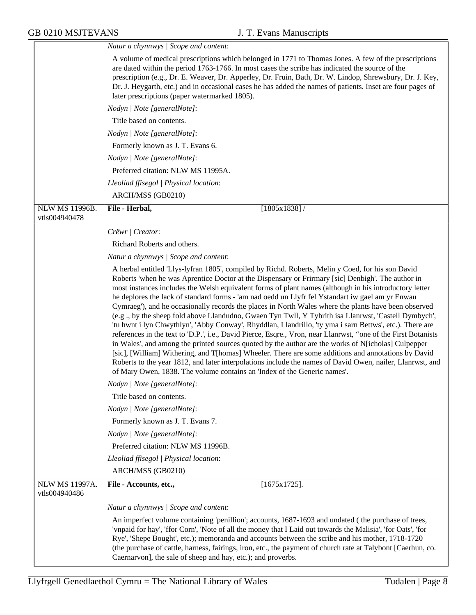|                                        | Natur a chynnwys / Scope and content:                                                                                                                                                                                                                                                                                                                                                                                                                                                                                                                                                                                                                                                                                                                                                                                                                                                                                                                                                                                                                                                                                                                                                                                                                                    |
|----------------------------------------|--------------------------------------------------------------------------------------------------------------------------------------------------------------------------------------------------------------------------------------------------------------------------------------------------------------------------------------------------------------------------------------------------------------------------------------------------------------------------------------------------------------------------------------------------------------------------------------------------------------------------------------------------------------------------------------------------------------------------------------------------------------------------------------------------------------------------------------------------------------------------------------------------------------------------------------------------------------------------------------------------------------------------------------------------------------------------------------------------------------------------------------------------------------------------------------------------------------------------------------------------------------------------|
|                                        | A volume of medical prescriptions which belonged in 1771 to Thomas Jones. A few of the prescriptions<br>are dated within the period 1763-1766. In most cases the scribe has indicated the source of the<br>prescription (e.g., Dr. E. Weaver, Dr. Apperley, Dr. Fruin, Bath, Dr. W. Lindop, Shrewsbury, Dr. J. Key,<br>Dr. J. Heygarth, etc.) and in occasional cases he has added the names of patients. Inset are four pages of<br>later prescriptions (paper watermarked 1805).                                                                                                                                                                                                                                                                                                                                                                                                                                                                                                                                                                                                                                                                                                                                                                                       |
|                                        | Nodyn   Note [generalNote]:                                                                                                                                                                                                                                                                                                                                                                                                                                                                                                                                                                                                                                                                                                                                                                                                                                                                                                                                                                                                                                                                                                                                                                                                                                              |
|                                        | Title based on contents.                                                                                                                                                                                                                                                                                                                                                                                                                                                                                                                                                                                                                                                                                                                                                                                                                                                                                                                                                                                                                                                                                                                                                                                                                                                 |
|                                        | Nodyn   Note [generalNote]:                                                                                                                                                                                                                                                                                                                                                                                                                                                                                                                                                                                                                                                                                                                                                                                                                                                                                                                                                                                                                                                                                                                                                                                                                                              |
|                                        | Formerly known as J. T. Evans 6.                                                                                                                                                                                                                                                                                                                                                                                                                                                                                                                                                                                                                                                                                                                                                                                                                                                                                                                                                                                                                                                                                                                                                                                                                                         |
|                                        | Nodyn   Note [generalNote]:                                                                                                                                                                                                                                                                                                                                                                                                                                                                                                                                                                                                                                                                                                                                                                                                                                                                                                                                                                                                                                                                                                                                                                                                                                              |
|                                        | Preferred citation: NLW MS 11995A.                                                                                                                                                                                                                                                                                                                                                                                                                                                                                                                                                                                                                                                                                                                                                                                                                                                                                                                                                                                                                                                                                                                                                                                                                                       |
|                                        | Lleoliad ffisegol   Physical location:                                                                                                                                                                                                                                                                                                                                                                                                                                                                                                                                                                                                                                                                                                                                                                                                                                                                                                                                                                                                                                                                                                                                                                                                                                   |
|                                        | ARCH/MSS (GB0210)                                                                                                                                                                                                                                                                                                                                                                                                                                                                                                                                                                                                                                                                                                                                                                                                                                                                                                                                                                                                                                                                                                                                                                                                                                                        |
| <b>NLW MS 11996B.</b>                  | File - Herbal,<br>$[1805x1838]$ /                                                                                                                                                                                                                                                                                                                                                                                                                                                                                                                                                                                                                                                                                                                                                                                                                                                                                                                                                                                                                                                                                                                                                                                                                                        |
| vtls004940478                          |                                                                                                                                                                                                                                                                                                                                                                                                                                                                                                                                                                                                                                                                                                                                                                                                                                                                                                                                                                                                                                                                                                                                                                                                                                                                          |
|                                        | Crëwr   Creator:                                                                                                                                                                                                                                                                                                                                                                                                                                                                                                                                                                                                                                                                                                                                                                                                                                                                                                                                                                                                                                                                                                                                                                                                                                                         |
|                                        | Richard Roberts and others.                                                                                                                                                                                                                                                                                                                                                                                                                                                                                                                                                                                                                                                                                                                                                                                                                                                                                                                                                                                                                                                                                                                                                                                                                                              |
|                                        | Natur a chynnwys / Scope and content:                                                                                                                                                                                                                                                                                                                                                                                                                                                                                                                                                                                                                                                                                                                                                                                                                                                                                                                                                                                                                                                                                                                                                                                                                                    |
|                                        | A herbal entitled 'Llys-lyfran 1805', compiled by Richd. Roberts, Melin y Coed, for his son David<br>Roberts 'when he was Aprentice Doctor at the Dispensary or Frimary [sic] Denbigh'. The author in<br>most instances includes the Welsh equivalent forms of plant names (although in his introductory letter<br>he deplores the lack of standard forms - 'am nad oedd un Llyfr fel Ystandart iw gael am yr Enwau<br>Cymraeg'), and he occasionally records the places in North Wales where the plants have been observed<br>(e.g., by the sheep fold above Llandudno, Gwaen Tyn Twll, Y Tybrith isa Llanrwst, 'Castell Dymbych',<br>'tu hwnt i lyn Chwythlyn', 'Abby Conway', Rhyddlan, Llandrillo, 'ty yma i sarn Bettws', etc.). There are<br>references in the text to 'D.P.', i.e., David Pierce, Esqre., Vron, near Llanrwst, "one of the First Botanists<br>in Wales', and among the printed sources quoted by the author are the works of N[icholas] Culpepper<br>[sic], [William] Withering, and T[homas] Wheeler. There are some additions and annotations by David<br>Roberts to the year 1812, and later interpolations include the names of David Owen, nailer, Llanrwst, and<br>of Mary Owen, 1838. The volume contains an 'Index of the Generic names'. |
|                                        | Nodyn   Note [generalNote]:                                                                                                                                                                                                                                                                                                                                                                                                                                                                                                                                                                                                                                                                                                                                                                                                                                                                                                                                                                                                                                                                                                                                                                                                                                              |
|                                        | Title based on contents.                                                                                                                                                                                                                                                                                                                                                                                                                                                                                                                                                                                                                                                                                                                                                                                                                                                                                                                                                                                                                                                                                                                                                                                                                                                 |
|                                        | Nodyn   Note [generalNote]:                                                                                                                                                                                                                                                                                                                                                                                                                                                                                                                                                                                                                                                                                                                                                                                                                                                                                                                                                                                                                                                                                                                                                                                                                                              |
|                                        | Formerly known as J. T. Evans 7.                                                                                                                                                                                                                                                                                                                                                                                                                                                                                                                                                                                                                                                                                                                                                                                                                                                                                                                                                                                                                                                                                                                                                                                                                                         |
|                                        | Nodyn   Note [generalNote]:                                                                                                                                                                                                                                                                                                                                                                                                                                                                                                                                                                                                                                                                                                                                                                                                                                                                                                                                                                                                                                                                                                                                                                                                                                              |
|                                        | Preferred citation: NLW MS 11996B.                                                                                                                                                                                                                                                                                                                                                                                                                                                                                                                                                                                                                                                                                                                                                                                                                                                                                                                                                                                                                                                                                                                                                                                                                                       |
|                                        | Lleoliad ffisegol   Physical location:                                                                                                                                                                                                                                                                                                                                                                                                                                                                                                                                                                                                                                                                                                                                                                                                                                                                                                                                                                                                                                                                                                                                                                                                                                   |
|                                        | ARCH/MSS (GB0210)                                                                                                                                                                                                                                                                                                                                                                                                                                                                                                                                                                                                                                                                                                                                                                                                                                                                                                                                                                                                                                                                                                                                                                                                                                                        |
| <b>NLW MS 11997A.</b><br>vtls004940486 | $[1675x1725]$ .<br>File - Accounts, etc.,                                                                                                                                                                                                                                                                                                                                                                                                                                                                                                                                                                                                                                                                                                                                                                                                                                                                                                                                                                                                                                                                                                                                                                                                                                |
|                                        | Natur a chynnwys / Scope and content:                                                                                                                                                                                                                                                                                                                                                                                                                                                                                                                                                                                                                                                                                                                                                                                                                                                                                                                                                                                                                                                                                                                                                                                                                                    |
|                                        | An imperfect volume containing 'penillion'; accounts, 1687-1693 and undated (the purchase of trees,<br>'vnpaid for hay', 'ffor Corn', 'Note of all the money that I Laid out towards the Malisia', 'for Oats', 'for<br>Rye', 'Shepe Bought', etc.); memoranda and accounts between the scribe and his mother, 1718-1720<br>(the purchase of cattle, harness, fairings, iron, etc., the payment of church rate at Talybont [Caerhun, co.<br>Caernarvon], the sale of sheep and hay, etc.); and proverbs.                                                                                                                                                                                                                                                                                                                                                                                                                                                                                                                                                                                                                                                                                                                                                                  |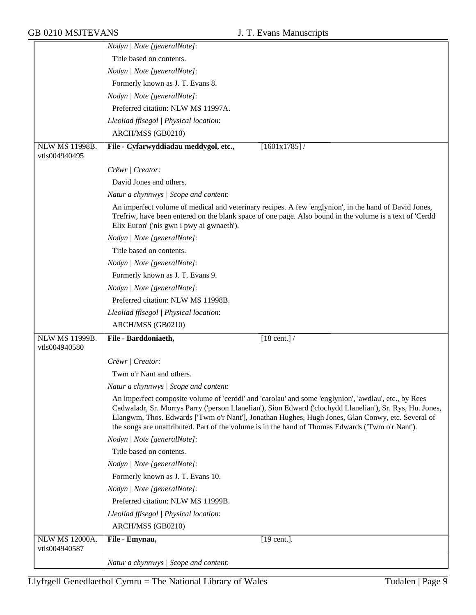|                                        | Nodyn   Note [generalNote]:                                                                                                                                                                                                                                                                                                                                                                                                  |
|----------------------------------------|------------------------------------------------------------------------------------------------------------------------------------------------------------------------------------------------------------------------------------------------------------------------------------------------------------------------------------------------------------------------------------------------------------------------------|
|                                        | Title based on contents.                                                                                                                                                                                                                                                                                                                                                                                                     |
|                                        | Nodyn   Note [generalNote]:                                                                                                                                                                                                                                                                                                                                                                                                  |
|                                        | Formerly known as J. T. Evans 8.                                                                                                                                                                                                                                                                                                                                                                                             |
|                                        | Nodyn   Note [generalNote]:                                                                                                                                                                                                                                                                                                                                                                                                  |
|                                        | Preferred citation: NLW MS 11997A.                                                                                                                                                                                                                                                                                                                                                                                           |
|                                        | Lleoliad ffisegol   Physical location:                                                                                                                                                                                                                                                                                                                                                                                       |
|                                        | ARCH/MSS (GB0210)                                                                                                                                                                                                                                                                                                                                                                                                            |
| NLW MS 11998B.                         | File - Cyfarwyddiadau meddygol, etc.,<br>$[1601x1785]$ /                                                                                                                                                                                                                                                                                                                                                                     |
| vtls004940495                          |                                                                                                                                                                                                                                                                                                                                                                                                                              |
|                                        | Crëwr   Creator:                                                                                                                                                                                                                                                                                                                                                                                                             |
|                                        | David Jones and others.                                                                                                                                                                                                                                                                                                                                                                                                      |
|                                        | Natur a chynnwys / Scope and content:                                                                                                                                                                                                                                                                                                                                                                                        |
|                                        | An imperfect volume of medical and veterinary recipes. A few 'englynion', in the hand of David Jones,<br>Trefriw, have been entered on the blank space of one page. Also bound in the volume is a text of 'Cerdd<br>Elix Euron' ('nis gwn i pwy ai gwnaeth').                                                                                                                                                                |
|                                        | Nodyn   Note [generalNote]:                                                                                                                                                                                                                                                                                                                                                                                                  |
|                                        | Title based on contents.                                                                                                                                                                                                                                                                                                                                                                                                     |
|                                        | Nodyn   Note [generalNote]:                                                                                                                                                                                                                                                                                                                                                                                                  |
|                                        | Formerly known as J. T. Evans 9.                                                                                                                                                                                                                                                                                                                                                                                             |
|                                        | Nodyn   Note [generalNote]:                                                                                                                                                                                                                                                                                                                                                                                                  |
|                                        | Preferred citation: NLW MS 11998B.                                                                                                                                                                                                                                                                                                                                                                                           |
|                                        | Lleoliad ffisegol   Physical location:                                                                                                                                                                                                                                                                                                                                                                                       |
|                                        | ARCH/MSS (GB0210)                                                                                                                                                                                                                                                                                                                                                                                                            |
| <b>NLW MS 11999B.</b><br>vtls004940580 | File - Barddoniaeth,<br>$[18 \text{ cent.}]$ /                                                                                                                                                                                                                                                                                                                                                                               |
|                                        | Crëwr   Creator:                                                                                                                                                                                                                                                                                                                                                                                                             |
|                                        | Twm o'r Nant and others.                                                                                                                                                                                                                                                                                                                                                                                                     |
|                                        | Natur a chynnwys / Scope and content:                                                                                                                                                                                                                                                                                                                                                                                        |
|                                        | An imperfect composite volume of 'cerddi' and 'carolau' and some 'englynion', 'awdlau', etc., by Rees<br>Cadwaladr, Sr. Morrys Parry ('person Llanelian'), Sion Edward ('clochydd Llanelian'), Sr. Rys, Hu. Jones,<br>Llangwm, Thos. Edwards ['Twm o'r Nant'], Jonathan Hughes, Hugh Jones, Glan Conwy, etc. Several of<br>the songs are unattributed. Part of the volume is in the hand of Thomas Edwards ('Twm o'r Nant'). |
|                                        | Nodyn   Note [generalNote]:                                                                                                                                                                                                                                                                                                                                                                                                  |
|                                        |                                                                                                                                                                                                                                                                                                                                                                                                                              |
|                                        | Title based on contents.                                                                                                                                                                                                                                                                                                                                                                                                     |
|                                        | Nodyn   Note [generalNote]:                                                                                                                                                                                                                                                                                                                                                                                                  |
|                                        | Formerly known as J. T. Evans 10.                                                                                                                                                                                                                                                                                                                                                                                            |
|                                        | Nodyn   Note [generalNote]:                                                                                                                                                                                                                                                                                                                                                                                                  |
|                                        | Preferred citation: NLW MS 11999B.                                                                                                                                                                                                                                                                                                                                                                                           |
|                                        | Lleoliad ffisegol   Physical location:                                                                                                                                                                                                                                                                                                                                                                                       |
|                                        | ARCH/MSS (GB0210)                                                                                                                                                                                                                                                                                                                                                                                                            |
| NLW MS 12000A.                         | File - Emynau,<br>$[19 \text{ cent.}]$ .                                                                                                                                                                                                                                                                                                                                                                                     |
| vtls004940587                          |                                                                                                                                                                                                                                                                                                                                                                                                                              |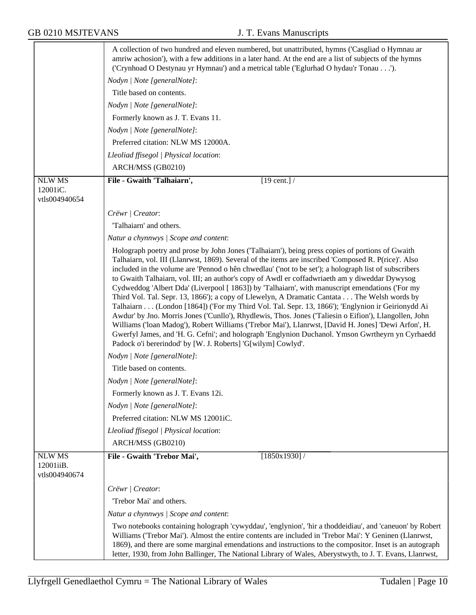|                                             | A collection of two hundred and eleven numbered, but unattributed, hymns ('Casgliad o Hymnau ar<br>amriw achosion'), with a few additions in a later hand. At the end are a list of subjects of the hymns<br>('Crynhoad O Destynau yr Hymnau') and a metrical table ('Eglurhad O hydau'r Tonau').                                                                                                                                                                                                                                                                                                                                                                                                                                                                                                                                                                                                                                                                                                                                                                                                               |
|---------------------------------------------|-----------------------------------------------------------------------------------------------------------------------------------------------------------------------------------------------------------------------------------------------------------------------------------------------------------------------------------------------------------------------------------------------------------------------------------------------------------------------------------------------------------------------------------------------------------------------------------------------------------------------------------------------------------------------------------------------------------------------------------------------------------------------------------------------------------------------------------------------------------------------------------------------------------------------------------------------------------------------------------------------------------------------------------------------------------------------------------------------------------------|
|                                             | Nodyn   Note [generalNote]:                                                                                                                                                                                                                                                                                                                                                                                                                                                                                                                                                                                                                                                                                                                                                                                                                                                                                                                                                                                                                                                                                     |
|                                             | Title based on contents.                                                                                                                                                                                                                                                                                                                                                                                                                                                                                                                                                                                                                                                                                                                                                                                                                                                                                                                                                                                                                                                                                        |
|                                             | Nodyn   Note [generalNote]:                                                                                                                                                                                                                                                                                                                                                                                                                                                                                                                                                                                                                                                                                                                                                                                                                                                                                                                                                                                                                                                                                     |
|                                             | Formerly known as J. T. Evans 11.                                                                                                                                                                                                                                                                                                                                                                                                                                                                                                                                                                                                                                                                                                                                                                                                                                                                                                                                                                                                                                                                               |
|                                             | Nodyn   Note [generalNote]:                                                                                                                                                                                                                                                                                                                                                                                                                                                                                                                                                                                                                                                                                                                                                                                                                                                                                                                                                                                                                                                                                     |
|                                             | Preferred citation: NLW MS 12000A.                                                                                                                                                                                                                                                                                                                                                                                                                                                                                                                                                                                                                                                                                                                                                                                                                                                                                                                                                                                                                                                                              |
|                                             | Lleoliad ffisegol   Physical location:                                                                                                                                                                                                                                                                                                                                                                                                                                                                                                                                                                                                                                                                                                                                                                                                                                                                                                                                                                                                                                                                          |
|                                             | ARCH/MSS (GB0210)                                                                                                                                                                                                                                                                                                                                                                                                                                                                                                                                                                                                                                                                                                                                                                                                                                                                                                                                                                                                                                                                                               |
| <b>NLW MS</b>                               | File - Gwaith 'Talhaiarn',<br>$[19 \text{ cent.}]$                                                                                                                                                                                                                                                                                                                                                                                                                                                                                                                                                                                                                                                                                                                                                                                                                                                                                                                                                                                                                                                              |
| 12001iC.                                    |                                                                                                                                                                                                                                                                                                                                                                                                                                                                                                                                                                                                                                                                                                                                                                                                                                                                                                                                                                                                                                                                                                                 |
| vtls004940654                               |                                                                                                                                                                                                                                                                                                                                                                                                                                                                                                                                                                                                                                                                                                                                                                                                                                                                                                                                                                                                                                                                                                                 |
|                                             | Crëwr   Creator:                                                                                                                                                                                                                                                                                                                                                                                                                                                                                                                                                                                                                                                                                                                                                                                                                                                                                                                                                                                                                                                                                                |
|                                             | 'Talhaiarn' and others.                                                                                                                                                                                                                                                                                                                                                                                                                                                                                                                                                                                                                                                                                                                                                                                                                                                                                                                                                                                                                                                                                         |
|                                             | Natur a chynnwys / Scope and content:                                                                                                                                                                                                                                                                                                                                                                                                                                                                                                                                                                                                                                                                                                                                                                                                                                                                                                                                                                                                                                                                           |
|                                             | Holograph poetry and prose by John Jones ('Talhaiarn'), being press copies of portions of Gwaith<br>Talhaiarn, vol. III (Llanrwst, 1869). Several of the items are inscribed 'Composed R. P(rice)'. Also<br>included in the volume are 'Pennod o hên chwedlau' ('not to be set'); a holograph list of subscribers<br>to Gwaith Talhaiarn, vol. III; an author's copy of Awdl er coffadwriaeth am y diweddar Dywysog<br>Cydweddog 'Albert Dda' (Liverpool [ 1863]) by 'Talhaiarn', with manuscript emendations ('For my<br>Third Vol. Tal. Sepr. 13, 1866'); a copy of Llewelyn, A Dramatic Cantata The Welsh words by<br>Talhaiarn (London [1864]) ('For my Third Vol. Tal. Sepr. 13, 1866'); 'Englynion ir Geirionydd Ai<br>Awdur' by Jno. Morris Jones ('Cunllo'), Rhydlewis, Thos. Jones ('Taliesin o Eifion'), Llangollen, John<br>Williams ('loan Madog'), Robert Williams ('Trebor Mai'), Llanrwst, [David H. Jones] 'Dewi Arfon', H.<br>Gwerfyl James, and 'H. G. Cefni'; and holograph 'Englynion Duchanol. Ymson Gwrtheyrn yn Cyrhaedd<br>Padock o'i bererindod' by [W. J. Roberts] 'G[wilym] Cowlyd'. |
|                                             | Nodyn   Note [generalNote]:                                                                                                                                                                                                                                                                                                                                                                                                                                                                                                                                                                                                                                                                                                                                                                                                                                                                                                                                                                                                                                                                                     |
|                                             | Title based on contents.                                                                                                                                                                                                                                                                                                                                                                                                                                                                                                                                                                                                                                                                                                                                                                                                                                                                                                                                                                                                                                                                                        |
|                                             | Nodyn   Note [generalNote]:                                                                                                                                                                                                                                                                                                                                                                                                                                                                                                                                                                                                                                                                                                                                                                                                                                                                                                                                                                                                                                                                                     |
|                                             | Formerly known as J. T. Evans 12i.                                                                                                                                                                                                                                                                                                                                                                                                                                                                                                                                                                                                                                                                                                                                                                                                                                                                                                                                                                                                                                                                              |
|                                             | Nodyn   Note [generalNote]:                                                                                                                                                                                                                                                                                                                                                                                                                                                                                                                                                                                                                                                                                                                                                                                                                                                                                                                                                                                                                                                                                     |
|                                             | Preferred citation: NLW MS 12001iC.                                                                                                                                                                                                                                                                                                                                                                                                                                                                                                                                                                                                                                                                                                                                                                                                                                                                                                                                                                                                                                                                             |
|                                             | Lleoliad ffisegol   Physical location:                                                                                                                                                                                                                                                                                                                                                                                                                                                                                                                                                                                                                                                                                                                                                                                                                                                                                                                                                                                                                                                                          |
|                                             | ARCH/MSS (GB0210)                                                                                                                                                                                                                                                                                                                                                                                                                                                                                                                                                                                                                                                                                                                                                                                                                                                                                                                                                                                                                                                                                               |
| <b>NLW MS</b><br>12001iiB.<br>vtls004940674 | [1850x1930]/<br>File - Gwaith 'Trebor Mai',                                                                                                                                                                                                                                                                                                                                                                                                                                                                                                                                                                                                                                                                                                                                                                                                                                                                                                                                                                                                                                                                     |
|                                             | Crëwr   Creator:                                                                                                                                                                                                                                                                                                                                                                                                                                                                                                                                                                                                                                                                                                                                                                                                                                                                                                                                                                                                                                                                                                |
|                                             | 'Trebor Mai' and others.                                                                                                                                                                                                                                                                                                                                                                                                                                                                                                                                                                                                                                                                                                                                                                                                                                                                                                                                                                                                                                                                                        |
|                                             | Natur a chynnwys / Scope and content:                                                                                                                                                                                                                                                                                                                                                                                                                                                                                                                                                                                                                                                                                                                                                                                                                                                                                                                                                                                                                                                                           |
|                                             | Two notebooks containing holograph 'cywyddau', 'englynion', 'hir a thoddeidiau', and 'caneuon' by Robert<br>Williams ('Trebor Mai'). Almost the entire contents are included in 'Trebor Mai': Y Geninen (Llanrwst,<br>1869), and there are some marginal emendations and instructions to the compositor. Inset is an autograph<br>letter, 1930, from John Ballinger, The National Library of Wales, Aberystwyth, to J. T. Evans, Llanrwst,                                                                                                                                                                                                                                                                                                                                                                                                                                                                                                                                                                                                                                                                      |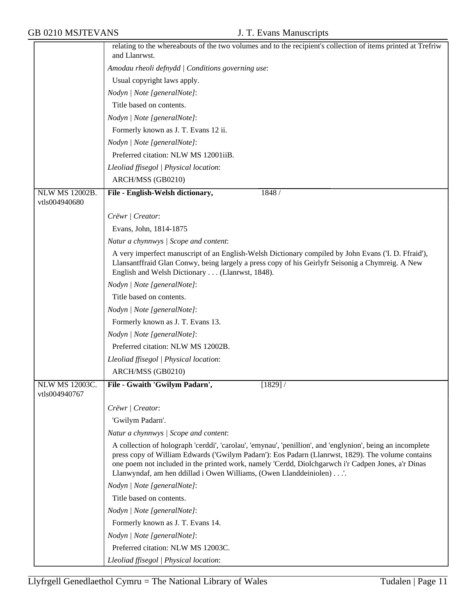|                                        | relating to the whereabouts of the two volumes and to the recipient's collection of items printed at Trefriw                                                                                                                                                                                                                                                                                 |
|----------------------------------------|----------------------------------------------------------------------------------------------------------------------------------------------------------------------------------------------------------------------------------------------------------------------------------------------------------------------------------------------------------------------------------------------|
|                                        | and Llanrwst.                                                                                                                                                                                                                                                                                                                                                                                |
|                                        | Amodau rheoli defnydd   Conditions governing use:                                                                                                                                                                                                                                                                                                                                            |
|                                        | Usual copyright laws apply.                                                                                                                                                                                                                                                                                                                                                                  |
|                                        | Nodyn   Note [generalNote]:                                                                                                                                                                                                                                                                                                                                                                  |
|                                        | Title based on contents.                                                                                                                                                                                                                                                                                                                                                                     |
|                                        | Nodyn   Note [generalNote]:                                                                                                                                                                                                                                                                                                                                                                  |
|                                        | Formerly known as J. T. Evans 12 ii.                                                                                                                                                                                                                                                                                                                                                         |
|                                        | Nodyn   Note [generalNote]:                                                                                                                                                                                                                                                                                                                                                                  |
|                                        | Preferred citation: NLW MS 12001iiB.                                                                                                                                                                                                                                                                                                                                                         |
|                                        | Lleoliad ffisegol   Physical location:                                                                                                                                                                                                                                                                                                                                                       |
|                                        | ARCH/MSS (GB0210)                                                                                                                                                                                                                                                                                                                                                                            |
| <b>NLW MS 12002B.</b><br>vtls004940680 | 1848 /<br>File - English-Welsh dictionary,                                                                                                                                                                                                                                                                                                                                                   |
|                                        | Crëwr   Creator:                                                                                                                                                                                                                                                                                                                                                                             |
|                                        | Evans, John, 1814-1875                                                                                                                                                                                                                                                                                                                                                                       |
|                                        | Natur a chynnwys / Scope and content:                                                                                                                                                                                                                                                                                                                                                        |
|                                        | A very imperfect manuscript of an English-Welsh Dictionary compiled by John Evans (T. D. Ffraid'),<br>Llansantffraid Glan Conwy, being largely a press copy of his Geirlyfr Seisonig a Chymreig. A New<br>English and Welsh Dictionary (Llanrwst, 1848).                                                                                                                                     |
|                                        | Nodyn   Note [generalNote]:                                                                                                                                                                                                                                                                                                                                                                  |
|                                        | Title based on contents.                                                                                                                                                                                                                                                                                                                                                                     |
|                                        | Nodyn   Note [generalNote]:                                                                                                                                                                                                                                                                                                                                                                  |
|                                        | Formerly known as J. T. Evans 13.                                                                                                                                                                                                                                                                                                                                                            |
|                                        | Nodyn   Note [generalNote]:                                                                                                                                                                                                                                                                                                                                                                  |
|                                        | Preferred citation: NLW MS 12002B.                                                                                                                                                                                                                                                                                                                                                           |
|                                        | Lleoliad ffisegol   Physical location:                                                                                                                                                                                                                                                                                                                                                       |
|                                        | ARCH/MSS (GB0210)                                                                                                                                                                                                                                                                                                                                                                            |
| <b>NLW MS 12003C.</b>                  | File - Gwaith 'Gwilym Padarn',<br>$[1829]$ /                                                                                                                                                                                                                                                                                                                                                 |
| vtls004940767                          |                                                                                                                                                                                                                                                                                                                                                                                              |
|                                        | Crëwr   Creator:                                                                                                                                                                                                                                                                                                                                                                             |
|                                        | 'Gwilym Padarn'.                                                                                                                                                                                                                                                                                                                                                                             |
|                                        | Natur a chynnwys / Scope and content:                                                                                                                                                                                                                                                                                                                                                        |
|                                        | A collection of holograph 'cerddi', 'carolau', 'emynau', 'penillion', and 'englynion', being an incomplete<br>press copy of William Edwards ('Gwilym Padarn'): Eos Padarn (Llanrwst, 1829). The volume contains<br>one poem not included in the printed work, namely 'Cerdd, Diolchgarwch i'r Cadpen Jones, a'r Dinas<br>Llanwyndaf, am hen ddillad i Owen Williams, (Owen Llanddeiniolen)'. |
|                                        | Nodyn   Note [generalNote]:                                                                                                                                                                                                                                                                                                                                                                  |
|                                        | Title based on contents.                                                                                                                                                                                                                                                                                                                                                                     |
|                                        | Nodyn   Note [generalNote]:                                                                                                                                                                                                                                                                                                                                                                  |
|                                        | Formerly known as J. T. Evans 14.                                                                                                                                                                                                                                                                                                                                                            |
|                                        | Nodyn   Note [generalNote]:                                                                                                                                                                                                                                                                                                                                                                  |
|                                        | Preferred citation: NLW MS 12003C.                                                                                                                                                                                                                                                                                                                                                           |
|                                        | Lleoliad ffisegol   Physical location:                                                                                                                                                                                                                                                                                                                                                       |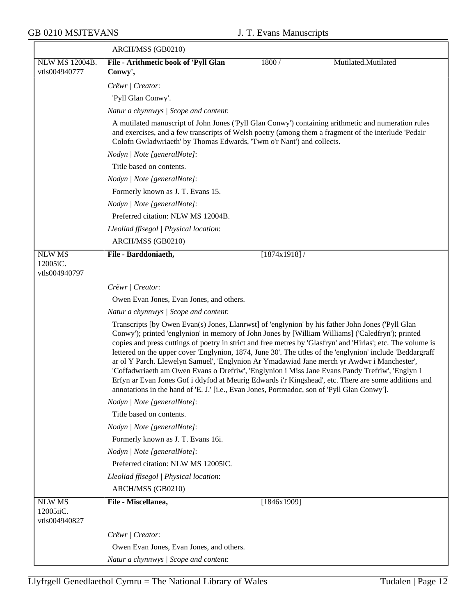|                                             | ARCH/MSS (GB0210)                                                                                                                                                                                                                                                                                                                                                                                                                                                                                                                                                                                                                                                                                                                                                                                                                              |              |                     |  |
|---------------------------------------------|------------------------------------------------------------------------------------------------------------------------------------------------------------------------------------------------------------------------------------------------------------------------------------------------------------------------------------------------------------------------------------------------------------------------------------------------------------------------------------------------------------------------------------------------------------------------------------------------------------------------------------------------------------------------------------------------------------------------------------------------------------------------------------------------------------------------------------------------|--------------|---------------------|--|
| NLW MS 12004B.<br>vtls004940777             | File - Arithmetic book of 'Pyll Glan<br>Conwy',                                                                                                                                                                                                                                                                                                                                                                                                                                                                                                                                                                                                                                                                                                                                                                                                | 1800 /       | Mutilated.Mutilated |  |
|                                             | Crëwr   Creator:                                                                                                                                                                                                                                                                                                                                                                                                                                                                                                                                                                                                                                                                                                                                                                                                                               |              |                     |  |
|                                             | 'Pyll Glan Conwy'.                                                                                                                                                                                                                                                                                                                                                                                                                                                                                                                                                                                                                                                                                                                                                                                                                             |              |                     |  |
|                                             | Natur a chynnwys / Scope and content:                                                                                                                                                                                                                                                                                                                                                                                                                                                                                                                                                                                                                                                                                                                                                                                                          |              |                     |  |
|                                             | A mutilated manuscript of John Jones ('Pyll Glan Conwy') containing arithmetic and numeration rules                                                                                                                                                                                                                                                                                                                                                                                                                                                                                                                                                                                                                                                                                                                                            |              |                     |  |
|                                             | and exercises, and a few transcripts of Welsh poetry (among them a fragment of the interlude 'Pedair<br>Colofn Gwladwriaeth' by Thomas Edwards, 'Twm o'r Nant') and collects.                                                                                                                                                                                                                                                                                                                                                                                                                                                                                                                                                                                                                                                                  |              |                     |  |
|                                             | Nodyn   Note [generalNote]:                                                                                                                                                                                                                                                                                                                                                                                                                                                                                                                                                                                                                                                                                                                                                                                                                    |              |                     |  |
|                                             | Title based on contents.                                                                                                                                                                                                                                                                                                                                                                                                                                                                                                                                                                                                                                                                                                                                                                                                                       |              |                     |  |
|                                             | Nodyn   Note [generalNote]:                                                                                                                                                                                                                                                                                                                                                                                                                                                                                                                                                                                                                                                                                                                                                                                                                    |              |                     |  |
|                                             | Formerly known as J. T. Evans 15.                                                                                                                                                                                                                                                                                                                                                                                                                                                                                                                                                                                                                                                                                                                                                                                                              |              |                     |  |
|                                             | Nodyn   Note [generalNote]:                                                                                                                                                                                                                                                                                                                                                                                                                                                                                                                                                                                                                                                                                                                                                                                                                    |              |                     |  |
|                                             | Preferred citation: NLW MS 12004B.                                                                                                                                                                                                                                                                                                                                                                                                                                                                                                                                                                                                                                                                                                                                                                                                             |              |                     |  |
|                                             | Lleoliad ffisegol   Physical location:                                                                                                                                                                                                                                                                                                                                                                                                                                                                                                                                                                                                                                                                                                                                                                                                         |              |                     |  |
|                                             | ARCH/MSS (GB0210)                                                                                                                                                                                                                                                                                                                                                                                                                                                                                                                                                                                                                                                                                                                                                                                                                              |              |                     |  |
| <b>NLW MS</b>                               | File - Barddoniaeth,                                                                                                                                                                                                                                                                                                                                                                                                                                                                                                                                                                                                                                                                                                                                                                                                                           | [1874x1918]/ |                     |  |
| 12005iC.<br>vtls004940797                   |                                                                                                                                                                                                                                                                                                                                                                                                                                                                                                                                                                                                                                                                                                                                                                                                                                                |              |                     |  |
|                                             | Crëwr   Creator:                                                                                                                                                                                                                                                                                                                                                                                                                                                                                                                                                                                                                                                                                                                                                                                                                               |              |                     |  |
|                                             | Owen Evan Jones, Evan Jones, and others.                                                                                                                                                                                                                                                                                                                                                                                                                                                                                                                                                                                                                                                                                                                                                                                                       |              |                     |  |
|                                             | Natur a chynnwys / Scope and content:                                                                                                                                                                                                                                                                                                                                                                                                                                                                                                                                                                                                                                                                                                                                                                                                          |              |                     |  |
|                                             | Transcripts [by Owen Evan(s) Jones, Llanrwst] of 'englynion' by his father John Jones ('Pyll Glan<br>Conwy'); printed 'englynion' in memory of John Jones by [William Williams] ('Caledfryn'); printed<br>copies and press cuttings of poetry in strict and free metres by 'Glasfryn' and 'Hirlas'; etc. The volume is<br>lettered on the upper cover 'Englynion, 1874, June 30'. The titles of the 'englynion' include 'Beddargraff'<br>ar ol Y Parch. Llewelyn Samuel', 'Englynion Ar Ymadawiad Jane merch yr Awdwr i Manchester',<br>'Coffadwriaeth am Owen Evans o Drefriw', 'Englynion i Miss Jane Evans Pandy Trefriw', 'Englyn I<br>Erfyn ar Evan Jones Gof i ddyfod at Meurig Edwards i'r Kingshead', etc. There are some additions and<br>annotations in the hand of 'E. J.' [i.e., Evan Jones, Portmadoc, son of 'Pyll Glan Conwy']. |              |                     |  |
|                                             | Nodyn   Note [generalNote]:                                                                                                                                                                                                                                                                                                                                                                                                                                                                                                                                                                                                                                                                                                                                                                                                                    |              |                     |  |
|                                             | Title based on contents.                                                                                                                                                                                                                                                                                                                                                                                                                                                                                                                                                                                                                                                                                                                                                                                                                       |              |                     |  |
|                                             | Nodyn   Note [generalNote]:                                                                                                                                                                                                                                                                                                                                                                                                                                                                                                                                                                                                                                                                                                                                                                                                                    |              |                     |  |
|                                             | Formerly known as J. T. Evans 16i.                                                                                                                                                                                                                                                                                                                                                                                                                                                                                                                                                                                                                                                                                                                                                                                                             |              |                     |  |
|                                             | Nodyn   Note [generalNote]:                                                                                                                                                                                                                                                                                                                                                                                                                                                                                                                                                                                                                                                                                                                                                                                                                    |              |                     |  |
|                                             | Preferred citation: NLW MS 12005iC.                                                                                                                                                                                                                                                                                                                                                                                                                                                                                                                                                                                                                                                                                                                                                                                                            |              |                     |  |
|                                             | Lleoliad ffisegol   Physical location:                                                                                                                                                                                                                                                                                                                                                                                                                                                                                                                                                                                                                                                                                                                                                                                                         |              |                     |  |
|                                             | ARCH/MSS (GB0210)                                                                                                                                                                                                                                                                                                                                                                                                                                                                                                                                                                                                                                                                                                                                                                                                                              |              |                     |  |
| <b>NLW MS</b><br>12005iiC.<br>vtls004940827 | File - Miscellanea,                                                                                                                                                                                                                                                                                                                                                                                                                                                                                                                                                                                                                                                                                                                                                                                                                            | [1846x1909]  |                     |  |
|                                             | Crëwr   Creator:                                                                                                                                                                                                                                                                                                                                                                                                                                                                                                                                                                                                                                                                                                                                                                                                                               |              |                     |  |
|                                             | Owen Evan Jones, Evan Jones, and others.                                                                                                                                                                                                                                                                                                                                                                                                                                                                                                                                                                                                                                                                                                                                                                                                       |              |                     |  |
|                                             | Natur a chynnwys / Scope and content:                                                                                                                                                                                                                                                                                                                                                                                                                                                                                                                                                                                                                                                                                                                                                                                                          |              |                     |  |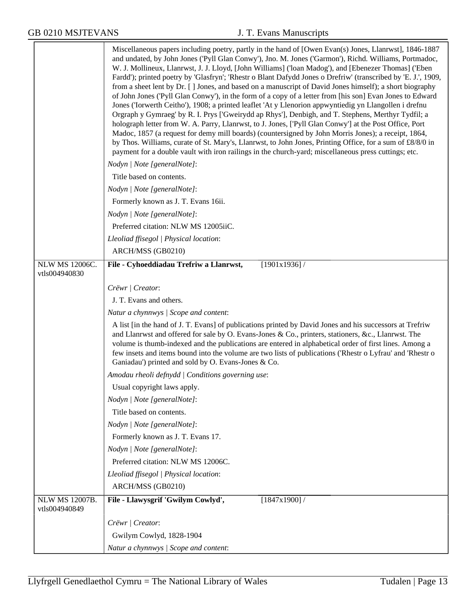<u> Tanzania de la contrada de la contrada de la contrada de la contrada de la contrada de la contrada de la con</u>

|                                        | Miscellaneous papers including poetry, partly in the hand of [Owen Evan(s) Jones, Llanrwst], 1846-1887<br>and undated, by John Jones ('Pyll Glan Conwy'), Jno. M. Jones ('Garmon'), Richd. Williams, Portmadoc,<br>W. J. Mollineux, Llanrwst, J. J. Lloyd, [John Williams] ('loan Madog'), and [Ebenezer Thomas] ('Eben<br>Fardd'); printed poetry by 'Glasfryn'; 'Rhestr o Blant Dafydd Jones o Drefriw' (transcribed by 'E. J.', 1909,<br>from a sheet lent by Dr. [] Jones, and based on a manuscript of David Jones himself); a short biography<br>of John Jones ('Pyll Glan Conwy'), in the form of a copy of a letter from [his son] Evan Jones to Edward<br>Jones ('Iorwerth Ceitho'), 1908; a printed leaflet 'At y Llenorion appwyntiedig yn Llangollen i drefnu<br>Orgraph y Gymraeg' by R. I. Prys ['Gweirydd ap Rhys'], Denbigh, and T. Stephens, Merthyr Tydfil; a<br>holograph letter from W. A. Parry, Llanrwst, to J. Jones, ['Pyll Glan Conwy'] at the Post Office, Port<br>Madoc, 1857 (a request for demy mill boards) (countersigned by John Morris Jones); a receipt, 1864,<br>by Thos. Williams, curate of St. Mary's, Llanrwst, to John Jones, Printing Office, for a sum of £8/8/0 in<br>payment for a double vault with iron railings in the church-yard; miscellaneous press cuttings; etc. |
|----------------------------------------|-----------------------------------------------------------------------------------------------------------------------------------------------------------------------------------------------------------------------------------------------------------------------------------------------------------------------------------------------------------------------------------------------------------------------------------------------------------------------------------------------------------------------------------------------------------------------------------------------------------------------------------------------------------------------------------------------------------------------------------------------------------------------------------------------------------------------------------------------------------------------------------------------------------------------------------------------------------------------------------------------------------------------------------------------------------------------------------------------------------------------------------------------------------------------------------------------------------------------------------------------------------------------------------------------------------------------|
|                                        | Nodyn   Note [generalNote]:                                                                                                                                                                                                                                                                                                                                                                                                                                                                                                                                                                                                                                                                                                                                                                                                                                                                                                                                                                                                                                                                                                                                                                                                                                                                                           |
|                                        | Title based on contents.                                                                                                                                                                                                                                                                                                                                                                                                                                                                                                                                                                                                                                                                                                                                                                                                                                                                                                                                                                                                                                                                                                                                                                                                                                                                                              |
|                                        | Nodyn   Note [generalNote]:                                                                                                                                                                                                                                                                                                                                                                                                                                                                                                                                                                                                                                                                                                                                                                                                                                                                                                                                                                                                                                                                                                                                                                                                                                                                                           |
|                                        | Formerly known as J. T. Evans 16ii.                                                                                                                                                                                                                                                                                                                                                                                                                                                                                                                                                                                                                                                                                                                                                                                                                                                                                                                                                                                                                                                                                                                                                                                                                                                                                   |
|                                        | Nodyn   Note [generalNote]:                                                                                                                                                                                                                                                                                                                                                                                                                                                                                                                                                                                                                                                                                                                                                                                                                                                                                                                                                                                                                                                                                                                                                                                                                                                                                           |
|                                        | Preferred citation: NLW MS 12005iiC.                                                                                                                                                                                                                                                                                                                                                                                                                                                                                                                                                                                                                                                                                                                                                                                                                                                                                                                                                                                                                                                                                                                                                                                                                                                                                  |
|                                        | Lleoliad ffisegol   Physical location:                                                                                                                                                                                                                                                                                                                                                                                                                                                                                                                                                                                                                                                                                                                                                                                                                                                                                                                                                                                                                                                                                                                                                                                                                                                                                |
|                                        | ARCH/MSS (GB0210)                                                                                                                                                                                                                                                                                                                                                                                                                                                                                                                                                                                                                                                                                                                                                                                                                                                                                                                                                                                                                                                                                                                                                                                                                                                                                                     |
| NLW MS 12006C.<br>vtls004940830        | File - Cyhoeddiadau Trefriw a Llanrwst,<br>[1901x1936]                                                                                                                                                                                                                                                                                                                                                                                                                                                                                                                                                                                                                                                                                                                                                                                                                                                                                                                                                                                                                                                                                                                                                                                                                                                                |
|                                        | Crëwr   Creator:                                                                                                                                                                                                                                                                                                                                                                                                                                                                                                                                                                                                                                                                                                                                                                                                                                                                                                                                                                                                                                                                                                                                                                                                                                                                                                      |
|                                        | J. T. Evans and others.                                                                                                                                                                                                                                                                                                                                                                                                                                                                                                                                                                                                                                                                                                                                                                                                                                                                                                                                                                                                                                                                                                                                                                                                                                                                                               |
|                                        | Natur a chynnwys / Scope and content:                                                                                                                                                                                                                                                                                                                                                                                                                                                                                                                                                                                                                                                                                                                                                                                                                                                                                                                                                                                                                                                                                                                                                                                                                                                                                 |
|                                        | A list [in the hand of J. T. Evans] of publications printed by David Jones and his successors at Trefriw<br>and Llanrwst and offered for sale by O. Evans-Jones & Co., printers, stationers, &c., Llanrwst. The<br>volume is thumb-indexed and the publications are entered in alphabetical order of first lines. Among a<br>few insets and items bound into the volume are two lists of publications ('Rhestr o Lyfrau' and 'Rhestr o<br>Ganiadau') printed and sold by O. Evans-Jones & Co.                                                                                                                                                                                                                                                                                                                                                                                                                                                                                                                                                                                                                                                                                                                                                                                                                         |
|                                        | Amodau rheoli defnydd   Conditions governing use:                                                                                                                                                                                                                                                                                                                                                                                                                                                                                                                                                                                                                                                                                                                                                                                                                                                                                                                                                                                                                                                                                                                                                                                                                                                                     |
|                                        | Usual copyright laws apply.                                                                                                                                                                                                                                                                                                                                                                                                                                                                                                                                                                                                                                                                                                                                                                                                                                                                                                                                                                                                                                                                                                                                                                                                                                                                                           |
|                                        | Nodyn   Note [generalNote]:                                                                                                                                                                                                                                                                                                                                                                                                                                                                                                                                                                                                                                                                                                                                                                                                                                                                                                                                                                                                                                                                                                                                                                                                                                                                                           |
|                                        | Title based on contents.                                                                                                                                                                                                                                                                                                                                                                                                                                                                                                                                                                                                                                                                                                                                                                                                                                                                                                                                                                                                                                                                                                                                                                                                                                                                                              |
|                                        | Nodyn   Note [generalNote]:                                                                                                                                                                                                                                                                                                                                                                                                                                                                                                                                                                                                                                                                                                                                                                                                                                                                                                                                                                                                                                                                                                                                                                                                                                                                                           |
|                                        | Formerly known as J. T. Evans 17.                                                                                                                                                                                                                                                                                                                                                                                                                                                                                                                                                                                                                                                                                                                                                                                                                                                                                                                                                                                                                                                                                                                                                                                                                                                                                     |
|                                        | Nodyn   Note [generalNote]:                                                                                                                                                                                                                                                                                                                                                                                                                                                                                                                                                                                                                                                                                                                                                                                                                                                                                                                                                                                                                                                                                                                                                                                                                                                                                           |
|                                        | Preferred citation: NLW MS 12006C.                                                                                                                                                                                                                                                                                                                                                                                                                                                                                                                                                                                                                                                                                                                                                                                                                                                                                                                                                                                                                                                                                                                                                                                                                                                                                    |
|                                        | Lleoliad ffisegol   Physical location:                                                                                                                                                                                                                                                                                                                                                                                                                                                                                                                                                                                                                                                                                                                                                                                                                                                                                                                                                                                                                                                                                                                                                                                                                                                                                |
|                                        | ARCH/MSS (GB0210)                                                                                                                                                                                                                                                                                                                                                                                                                                                                                                                                                                                                                                                                                                                                                                                                                                                                                                                                                                                                                                                                                                                                                                                                                                                                                                     |
| <b>NLW MS 12007B.</b><br>vtls004940849 | File - Llawysgrif 'Gwilym Cowlyd',<br>[1847x1900]/                                                                                                                                                                                                                                                                                                                                                                                                                                                                                                                                                                                                                                                                                                                                                                                                                                                                                                                                                                                                                                                                                                                                                                                                                                                                    |
|                                        | Crëwr   Creator:                                                                                                                                                                                                                                                                                                                                                                                                                                                                                                                                                                                                                                                                                                                                                                                                                                                                                                                                                                                                                                                                                                                                                                                                                                                                                                      |
|                                        | Gwilym Cowlyd, 1828-1904                                                                                                                                                                                                                                                                                                                                                                                                                                                                                                                                                                                                                                                                                                                                                                                                                                                                                                                                                                                                                                                                                                                                                                                                                                                                                              |
|                                        | Natur a chynnwys / Scope and content:                                                                                                                                                                                                                                                                                                                                                                                                                                                                                                                                                                                                                                                                                                                                                                                                                                                                                                                                                                                                                                                                                                                                                                                                                                                                                 |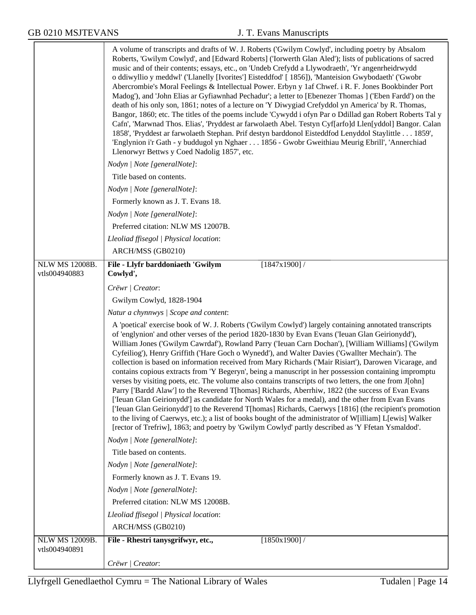|                                 | A volume of transcripts and drafts of W. J. Roberts ('Gwilym Cowlyd', including poetry by Absalom<br>Roberts, 'Gwilym Cowlyd', and [Edward Roberts] ('Iorwerth Glan Aled'); lists of publications of sacred<br>music and of their contents; essays, etc., on 'Undeb Crefydd a Llywodraeth', 'Yr angenrheidrwydd<br>o ddiwyllio y meddwl' ('Llanelly [Ivorites'] Eisteddfod' [1856]), 'Manteision Gwybodaeth' ('Gwobr<br>Abercrombie's Moral Feelings & Intellectual Power. Erbyn y 1af Chwef. i R. F. Jones Bookbinder Port<br>Madog'), and 'John Elias ar Gyfiawnhad Pechadur'; a letter to [Ebenezer Thomas ] ('Eben Fardd') on the<br>death of his only son, 1861; notes of a lecture on 'Y Diwygiad Crefyddol yn America' by R. Thomas,<br>Bangor, 1860; etc. The titles of the poems include 'Cywydd i ofyn Par o Ddillad gan Robert Roberts Tal y<br>Cafn', 'Marwnad Thos. Elias', 'Pryddest ar farwolaeth Abel. Testyn Cyf[arfo]d Llen[yddol] Bangor. Calan<br>1858', 'Pryddest ar farwolaeth Stephan. Prif destyn barddonol Eisteddfod Lenyddol Staylittle 1859',<br>'Englynion i'r Gath - y buddugol yn Nghaer 1856 - Gwobr Gweithiau Meurig Ebrill', 'Annerchiad<br>Llenorwyr Bettws y Coed Nadolig 1857', etc.                                                               |
|---------------------------------|-----------------------------------------------------------------------------------------------------------------------------------------------------------------------------------------------------------------------------------------------------------------------------------------------------------------------------------------------------------------------------------------------------------------------------------------------------------------------------------------------------------------------------------------------------------------------------------------------------------------------------------------------------------------------------------------------------------------------------------------------------------------------------------------------------------------------------------------------------------------------------------------------------------------------------------------------------------------------------------------------------------------------------------------------------------------------------------------------------------------------------------------------------------------------------------------------------------------------------------------------------------------------------------------|
|                                 | Nodyn   Note [generalNote]:                                                                                                                                                                                                                                                                                                                                                                                                                                                                                                                                                                                                                                                                                                                                                                                                                                                                                                                                                                                                                                                                                                                                                                                                                                                             |
|                                 | Title based on contents.                                                                                                                                                                                                                                                                                                                                                                                                                                                                                                                                                                                                                                                                                                                                                                                                                                                                                                                                                                                                                                                                                                                                                                                                                                                                |
|                                 | Nodyn   Note [generalNote]:                                                                                                                                                                                                                                                                                                                                                                                                                                                                                                                                                                                                                                                                                                                                                                                                                                                                                                                                                                                                                                                                                                                                                                                                                                                             |
|                                 | Formerly known as J. T. Evans 18.                                                                                                                                                                                                                                                                                                                                                                                                                                                                                                                                                                                                                                                                                                                                                                                                                                                                                                                                                                                                                                                                                                                                                                                                                                                       |
|                                 | Nodyn   Note [generalNote]:                                                                                                                                                                                                                                                                                                                                                                                                                                                                                                                                                                                                                                                                                                                                                                                                                                                                                                                                                                                                                                                                                                                                                                                                                                                             |
|                                 | Preferred citation: NLW MS 12007B.                                                                                                                                                                                                                                                                                                                                                                                                                                                                                                                                                                                                                                                                                                                                                                                                                                                                                                                                                                                                                                                                                                                                                                                                                                                      |
|                                 | Lleoliad ffisegol   Physical location:                                                                                                                                                                                                                                                                                                                                                                                                                                                                                                                                                                                                                                                                                                                                                                                                                                                                                                                                                                                                                                                                                                                                                                                                                                                  |
|                                 | ARCH/MSS (GB0210)                                                                                                                                                                                                                                                                                                                                                                                                                                                                                                                                                                                                                                                                                                                                                                                                                                                                                                                                                                                                                                                                                                                                                                                                                                                                       |
| NLW MS 12008B.<br>vtls004940883 | $[1847x1900]$ /<br>File - Llyfr barddoniaeth 'Gwilym<br>Cowlyd',                                                                                                                                                                                                                                                                                                                                                                                                                                                                                                                                                                                                                                                                                                                                                                                                                                                                                                                                                                                                                                                                                                                                                                                                                        |
|                                 | Crëwr   Creator:                                                                                                                                                                                                                                                                                                                                                                                                                                                                                                                                                                                                                                                                                                                                                                                                                                                                                                                                                                                                                                                                                                                                                                                                                                                                        |
|                                 | Gwilym Cowlyd, 1828-1904                                                                                                                                                                                                                                                                                                                                                                                                                                                                                                                                                                                                                                                                                                                                                                                                                                                                                                                                                                                                                                                                                                                                                                                                                                                                |
|                                 | Natur a chynnwys / Scope and content:                                                                                                                                                                                                                                                                                                                                                                                                                                                                                                                                                                                                                                                                                                                                                                                                                                                                                                                                                                                                                                                                                                                                                                                                                                                   |
|                                 | A 'poetical' exercise book of W. J. Roberts ('Gwilym Cowlyd') largely containing annotated transcripts<br>of 'englynion' and other verses of the period 1820-1830 by Evan Evans ('Ieuan Glan Geirionydd'),<br>William Jones ('Gwilym Cawrdaf'), Rowland Parry ('Ieuan Carn Dochan'), [William Williams] ('Gwilym<br>Cyfeiliog'), Henry Griffith ('Hare Goch o Wynedd'), and Walter Davies ('Gwallter Mechain'). The<br>collection is based on information received from Mary Richards ('Mair Risiart'), Darowen Vicarage, and<br>contains copious extracts from 'Y Begeryn', being a manuscript in her possession containing impromptu<br>verses by visiting poets, etc. The volume also contains transcripts of two letters, the one from J[ohn]<br>Parry ['Bardd Alaw'] to the Reverend T[homas] Richards, Aberrhiw, 1822 (the success of Evan Evans<br>['Ieuan Glan Geirionydd'] as candidate for North Wales for a medal), and the other from Evan Evans<br>['Ieuan Glan Geirionydd'] to the Reverend T[homas] Richards, Caerwys [1816] (the recipient's promotion<br>to the living of Caerwys, etc.); a list of books bought of the administrator of W[illiam] L[ewis] Walker<br>[rector of Trefriw], 1863; and poetry by 'Gwilym Cowlyd' partly described as 'Y Ffetan Ysmaldod'. |
|                                 | Nodyn   Note [generalNote]:                                                                                                                                                                                                                                                                                                                                                                                                                                                                                                                                                                                                                                                                                                                                                                                                                                                                                                                                                                                                                                                                                                                                                                                                                                                             |
|                                 | Title based on contents.                                                                                                                                                                                                                                                                                                                                                                                                                                                                                                                                                                                                                                                                                                                                                                                                                                                                                                                                                                                                                                                                                                                                                                                                                                                                |
|                                 | Nodyn   Note [generalNote]:                                                                                                                                                                                                                                                                                                                                                                                                                                                                                                                                                                                                                                                                                                                                                                                                                                                                                                                                                                                                                                                                                                                                                                                                                                                             |
|                                 | Formerly known as J. T. Evans 19.                                                                                                                                                                                                                                                                                                                                                                                                                                                                                                                                                                                                                                                                                                                                                                                                                                                                                                                                                                                                                                                                                                                                                                                                                                                       |
|                                 | Nodyn   Note [generalNote]:                                                                                                                                                                                                                                                                                                                                                                                                                                                                                                                                                                                                                                                                                                                                                                                                                                                                                                                                                                                                                                                                                                                                                                                                                                                             |
|                                 | Preferred citation: NLW MS 12008B.                                                                                                                                                                                                                                                                                                                                                                                                                                                                                                                                                                                                                                                                                                                                                                                                                                                                                                                                                                                                                                                                                                                                                                                                                                                      |
|                                 | Lleoliad ffisegol   Physical location:                                                                                                                                                                                                                                                                                                                                                                                                                                                                                                                                                                                                                                                                                                                                                                                                                                                                                                                                                                                                                                                                                                                                                                                                                                                  |
|                                 | ARCH/MSS (GB0210)                                                                                                                                                                                                                                                                                                                                                                                                                                                                                                                                                                                                                                                                                                                                                                                                                                                                                                                                                                                                                                                                                                                                                                                                                                                                       |
| NLW MS 12009B.                  | File - Rhestri tanysgrifwyr, etc.,<br>[1850x1900]                                                                                                                                                                                                                                                                                                                                                                                                                                                                                                                                                                                                                                                                                                                                                                                                                                                                                                                                                                                                                                                                                                                                                                                                                                       |
| vtls004940891                   |                                                                                                                                                                                                                                                                                                                                                                                                                                                                                                                                                                                                                                                                                                                                                                                                                                                                                                                                                                                                                                                                                                                                                                                                                                                                                         |
|                                 | Crëwr / Creator:                                                                                                                                                                                                                                                                                                                                                                                                                                                                                                                                                                                                                                                                                                                                                                                                                                                                                                                                                                                                                                                                                                                                                                                                                                                                        |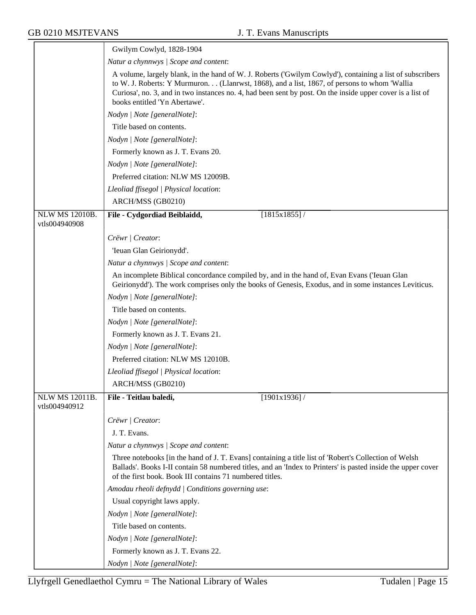$\overline{\phantom{a}}$ 

|                                        | Gwilym Cowlyd, 1828-1904                                                                                                                                                                                                                                                                                                                                |
|----------------------------------------|---------------------------------------------------------------------------------------------------------------------------------------------------------------------------------------------------------------------------------------------------------------------------------------------------------------------------------------------------------|
|                                        | Natur a chynnwys / Scope and content:                                                                                                                                                                                                                                                                                                                   |
|                                        | A volume, largely blank, in the hand of W. J. Roberts ('Gwilym Cowlyd'), containing a list of subscribers<br>to W. J. Roberts: Y Murmuron (Llanrwst, 1868), and a list, 1867, of persons to whom 'Wallia<br>Curiosa', no. 3, and in two instances no. 4, had been sent by post. On the inside upper cover is a list of<br>books entitled 'Yn Abertawe'. |
|                                        | Nodyn   Note [generalNote]:                                                                                                                                                                                                                                                                                                                             |
|                                        | Title based on contents.                                                                                                                                                                                                                                                                                                                                |
|                                        | Nodyn   Note [generalNote]:                                                                                                                                                                                                                                                                                                                             |
|                                        | Formerly known as J. T. Evans 20.                                                                                                                                                                                                                                                                                                                       |
|                                        | Nodyn   Note [generalNote]:                                                                                                                                                                                                                                                                                                                             |
|                                        | Preferred citation: NLW MS 12009B.                                                                                                                                                                                                                                                                                                                      |
|                                        | Lleoliad ffisegol   Physical location:                                                                                                                                                                                                                                                                                                                  |
|                                        | ARCH/MSS (GB0210)                                                                                                                                                                                                                                                                                                                                       |
| <b>NLW MS 12010B.</b>                  | [1815x1855]/<br>File - Cydgordiad Beiblaidd,                                                                                                                                                                                                                                                                                                            |
| vtls004940908                          |                                                                                                                                                                                                                                                                                                                                                         |
|                                        | Crëwr   Creator:                                                                                                                                                                                                                                                                                                                                        |
|                                        | 'Ieuan Glan Geirionydd'.                                                                                                                                                                                                                                                                                                                                |
|                                        | Natur a chynnwys / Scope and content:                                                                                                                                                                                                                                                                                                                   |
|                                        | An incomplete Biblical concordance compiled by, and in the hand of, Evan Evans ('Ieuan Glan<br>Geirionydd'). The work comprises only the books of Genesis, Exodus, and in some instances Leviticus.                                                                                                                                                     |
|                                        | Nodyn   Note [generalNote]:                                                                                                                                                                                                                                                                                                                             |
|                                        | Title based on contents.                                                                                                                                                                                                                                                                                                                                |
|                                        | Nodyn   Note [generalNote]:                                                                                                                                                                                                                                                                                                                             |
|                                        | Formerly known as J. T. Evans 21.                                                                                                                                                                                                                                                                                                                       |
|                                        | Nodyn   Note [generalNote]:                                                                                                                                                                                                                                                                                                                             |
|                                        | Preferred citation: NLW MS 12010B.                                                                                                                                                                                                                                                                                                                      |
|                                        | Lleoliad ffisegol   Physical location:                                                                                                                                                                                                                                                                                                                  |
|                                        | ARCH/MSS (GB0210)                                                                                                                                                                                                                                                                                                                                       |
| <b>NLW MS 12011B.</b><br>vtls004940912 | File - Teitlau baledi,<br>[1901x1936]                                                                                                                                                                                                                                                                                                                   |
|                                        | Crëwr   Creator:                                                                                                                                                                                                                                                                                                                                        |
|                                        | J. T. Evans.                                                                                                                                                                                                                                                                                                                                            |
|                                        | Natur a chynnwys / Scope and content:                                                                                                                                                                                                                                                                                                                   |
|                                        | Three notebooks [in the hand of J. T. Evans] containing a title list of 'Robert's Collection of Welsh<br>Ballads'. Books I-II contain 58 numbered titles, and an 'Index to Printers' is pasted inside the upper cover<br>of the first book. Book III contains 71 numbered titles.                                                                       |
|                                        | Amodau rheoli defnydd   Conditions governing use:                                                                                                                                                                                                                                                                                                       |
|                                        | Usual copyright laws apply.                                                                                                                                                                                                                                                                                                                             |
|                                        | Nodyn   Note [generalNote]:                                                                                                                                                                                                                                                                                                                             |
|                                        | Title based on contents.                                                                                                                                                                                                                                                                                                                                |
|                                        | Nodyn   Note [generalNote]:                                                                                                                                                                                                                                                                                                                             |
|                                        | Formerly known as J. T. Evans 22.                                                                                                                                                                                                                                                                                                                       |
|                                        | Nodyn   Note [generalNote]:                                                                                                                                                                                                                                                                                                                             |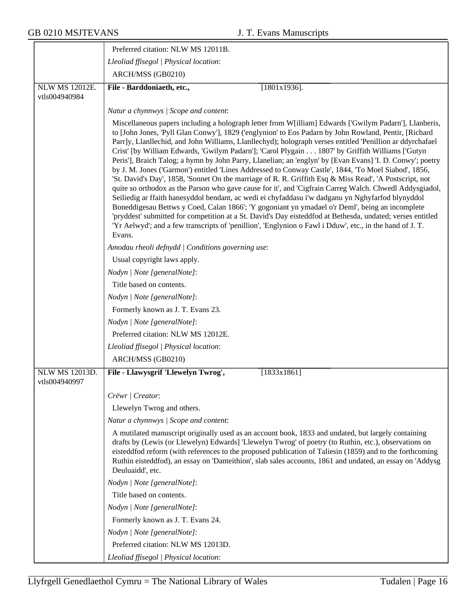|                                        | Preferred citation: NLW MS 12011B.                                                                                                                                                                                                                                                                                                                                                                                                                                                                                                                                                                                                                                                                                                                                                                                                                                                                                                                                                                                                                                                                                                                                                                                                                                                                                     |
|----------------------------------------|------------------------------------------------------------------------------------------------------------------------------------------------------------------------------------------------------------------------------------------------------------------------------------------------------------------------------------------------------------------------------------------------------------------------------------------------------------------------------------------------------------------------------------------------------------------------------------------------------------------------------------------------------------------------------------------------------------------------------------------------------------------------------------------------------------------------------------------------------------------------------------------------------------------------------------------------------------------------------------------------------------------------------------------------------------------------------------------------------------------------------------------------------------------------------------------------------------------------------------------------------------------------------------------------------------------------|
|                                        | Lleoliad ffisegol   Physical location:                                                                                                                                                                                                                                                                                                                                                                                                                                                                                                                                                                                                                                                                                                                                                                                                                                                                                                                                                                                                                                                                                                                                                                                                                                                                                 |
|                                        | ARCH/MSS (GB0210)                                                                                                                                                                                                                                                                                                                                                                                                                                                                                                                                                                                                                                                                                                                                                                                                                                                                                                                                                                                                                                                                                                                                                                                                                                                                                                      |
| <b>NLW MS 12012E.</b>                  | File - Barddoniaeth, etc.,<br>$[1801x1936]$ .                                                                                                                                                                                                                                                                                                                                                                                                                                                                                                                                                                                                                                                                                                                                                                                                                                                                                                                                                                                                                                                                                                                                                                                                                                                                          |
| vtls004940984                          |                                                                                                                                                                                                                                                                                                                                                                                                                                                                                                                                                                                                                                                                                                                                                                                                                                                                                                                                                                                                                                                                                                                                                                                                                                                                                                                        |
|                                        | Natur a chynnwys / Scope and content:                                                                                                                                                                                                                                                                                                                                                                                                                                                                                                                                                                                                                                                                                                                                                                                                                                                                                                                                                                                                                                                                                                                                                                                                                                                                                  |
|                                        | Miscellaneous papers including a holograph letter from W[illiam] Edwards ['Gwilym Padarn'], Llanberis,<br>to [John Jones, 'Pyll Glan Conwy'], 1829 ('englynion' to Eos Padarn by John Rowland, Pentir, [Richard<br>Parr]y, Llanllechid, and John Williams, Llanllechyd); holograph verses entitled 'Penillion ar ddyrchafael<br>Crist' [by William Edwards, 'Gwilym Padarn']; 'Carol Plygain 1807' by Griffith Williams ['Gutyn<br>Peris'], Braich Talog; a hymn by John Parry, Llanelian; an 'englyn' by [Evan Evans] 'I. D. Conwy'; poetry<br>by J. M. Jones ('Garmon') entitled 'Lines Addressed to Conway Castle', 1844, 'To Moel Siabod', 1856,<br>'St. David's Day', 1858, 'Sonnet On the marriage of R. R. Griffith Esq & Miss Read', 'A Postscript, not<br>quite so orthodox as the Parson who gave cause for it', and 'Cigfrain Carreg Walch. Chwedl Addysgiadol,<br>Seiliedig ar ffaith hanesyddol bendant, ac wedi ei chyfaddasu i'w dadganu yn Nghyfarfod blynyddol<br>Boneddigesau Bettws y Coed, Calan 1866'; 'Y gogoniant yn ymadael o'r Deml', being an incomplete<br>'pryddest' submitted for competition at a St. David's Day eisteddfod at Bethesda, undated; verses entitled<br>'Yr Aelwyd'; and a few transcripts of 'penillion', 'Englynion o Fawl i Dduw', etc., in the hand of J. T.<br>Evans. |
|                                        | Amodau rheoli defnydd   Conditions governing use:                                                                                                                                                                                                                                                                                                                                                                                                                                                                                                                                                                                                                                                                                                                                                                                                                                                                                                                                                                                                                                                                                                                                                                                                                                                                      |
|                                        | Usual copyright laws apply.                                                                                                                                                                                                                                                                                                                                                                                                                                                                                                                                                                                                                                                                                                                                                                                                                                                                                                                                                                                                                                                                                                                                                                                                                                                                                            |
|                                        | Nodyn   Note [generalNote]:                                                                                                                                                                                                                                                                                                                                                                                                                                                                                                                                                                                                                                                                                                                                                                                                                                                                                                                                                                                                                                                                                                                                                                                                                                                                                            |
|                                        | Title based on contents.                                                                                                                                                                                                                                                                                                                                                                                                                                                                                                                                                                                                                                                                                                                                                                                                                                                                                                                                                                                                                                                                                                                                                                                                                                                                                               |
|                                        | Nodyn   Note [generalNote]:                                                                                                                                                                                                                                                                                                                                                                                                                                                                                                                                                                                                                                                                                                                                                                                                                                                                                                                                                                                                                                                                                                                                                                                                                                                                                            |
|                                        | Formerly known as J. T. Evans 23.                                                                                                                                                                                                                                                                                                                                                                                                                                                                                                                                                                                                                                                                                                                                                                                                                                                                                                                                                                                                                                                                                                                                                                                                                                                                                      |
|                                        | Nodyn   Note [generalNote]:                                                                                                                                                                                                                                                                                                                                                                                                                                                                                                                                                                                                                                                                                                                                                                                                                                                                                                                                                                                                                                                                                                                                                                                                                                                                                            |
|                                        | Preferred citation: NLW MS 12012E.                                                                                                                                                                                                                                                                                                                                                                                                                                                                                                                                                                                                                                                                                                                                                                                                                                                                                                                                                                                                                                                                                                                                                                                                                                                                                     |
|                                        | Lleoliad ffisegol   Physical location:                                                                                                                                                                                                                                                                                                                                                                                                                                                                                                                                                                                                                                                                                                                                                                                                                                                                                                                                                                                                                                                                                                                                                                                                                                                                                 |
|                                        | ARCH/MSS (GB0210)                                                                                                                                                                                                                                                                                                                                                                                                                                                                                                                                                                                                                                                                                                                                                                                                                                                                                                                                                                                                                                                                                                                                                                                                                                                                                                      |
| <b>NLW MS 12013D.</b><br>vtls004940997 | File - Llawysgrif 'Llewelyn Twrog',<br>[1833x1861]                                                                                                                                                                                                                                                                                                                                                                                                                                                                                                                                                                                                                                                                                                                                                                                                                                                                                                                                                                                                                                                                                                                                                                                                                                                                     |
|                                        | Crëwr   Creator:                                                                                                                                                                                                                                                                                                                                                                                                                                                                                                                                                                                                                                                                                                                                                                                                                                                                                                                                                                                                                                                                                                                                                                                                                                                                                                       |
|                                        | Llewelyn Twrog and others.                                                                                                                                                                                                                                                                                                                                                                                                                                                                                                                                                                                                                                                                                                                                                                                                                                                                                                                                                                                                                                                                                                                                                                                                                                                                                             |
|                                        | Natur a chynnwys / Scope and content:                                                                                                                                                                                                                                                                                                                                                                                                                                                                                                                                                                                                                                                                                                                                                                                                                                                                                                                                                                                                                                                                                                                                                                                                                                                                                  |
|                                        | A mutilated manuscript originally used as an account book, 1833 and undated, but largely containing<br>drafts by (Lewis (or Llewelyn) Edwards] 'Llewelyn Twrog' of poetry (to Ruthin, etc.), observations on<br>eisteddfod reform (with references to the proposed publication of Taliesin (1859) and to the forthcoming<br>Ruthin eisteddfod), an essay on 'Danteithion', slab sales accounts, 1861 and undated, an essay on 'Addysg<br>Deuluaidd', etc.                                                                                                                                                                                                                                                                                                                                                                                                                                                                                                                                                                                                                                                                                                                                                                                                                                                              |
|                                        | Nodyn   Note [generalNote]:                                                                                                                                                                                                                                                                                                                                                                                                                                                                                                                                                                                                                                                                                                                                                                                                                                                                                                                                                                                                                                                                                                                                                                                                                                                                                            |
|                                        | Title based on contents.                                                                                                                                                                                                                                                                                                                                                                                                                                                                                                                                                                                                                                                                                                                                                                                                                                                                                                                                                                                                                                                                                                                                                                                                                                                                                               |
|                                        | Nodyn   Note [generalNote]:                                                                                                                                                                                                                                                                                                                                                                                                                                                                                                                                                                                                                                                                                                                                                                                                                                                                                                                                                                                                                                                                                                                                                                                                                                                                                            |
|                                        | Formerly known as J. T. Evans 24.                                                                                                                                                                                                                                                                                                                                                                                                                                                                                                                                                                                                                                                                                                                                                                                                                                                                                                                                                                                                                                                                                                                                                                                                                                                                                      |
|                                        | Nodyn   Note [generalNote]:                                                                                                                                                                                                                                                                                                                                                                                                                                                                                                                                                                                                                                                                                                                                                                                                                                                                                                                                                                                                                                                                                                                                                                                                                                                                                            |
|                                        | Preferred citation: NLW MS 12013D.                                                                                                                                                                                                                                                                                                                                                                                                                                                                                                                                                                                                                                                                                                                                                                                                                                                                                                                                                                                                                                                                                                                                                                                                                                                                                     |
|                                        | Lleoliad ffisegol   Physical location:                                                                                                                                                                                                                                                                                                                                                                                                                                                                                                                                                                                                                                                                                                                                                                                                                                                                                                                                                                                                                                                                                                                                                                                                                                                                                 |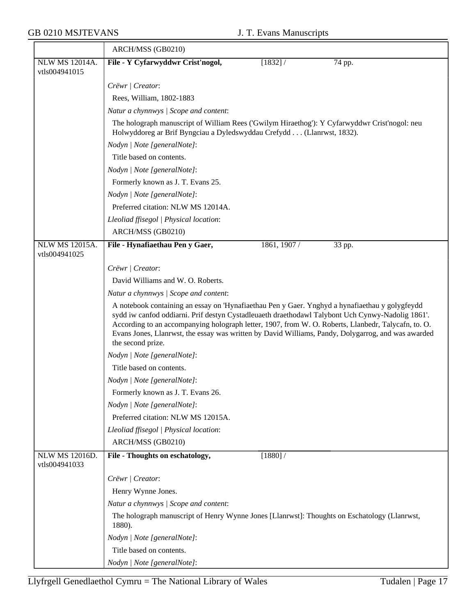|                                        | ARCH/MSS (GB0210)                                                                                                                                                                                                                                                                                                                                                                                                                    |              |        |
|----------------------------------------|--------------------------------------------------------------------------------------------------------------------------------------------------------------------------------------------------------------------------------------------------------------------------------------------------------------------------------------------------------------------------------------------------------------------------------------|--------------|--------|
| <b>NLW MS 12014A.</b>                  | File - Y Cyfarwyddwr Crist'nogol,                                                                                                                                                                                                                                                                                                                                                                                                    | [1832] /     | 74 pp. |
| vtls004941015                          |                                                                                                                                                                                                                                                                                                                                                                                                                                      |              |        |
|                                        | Crëwr   Creator:                                                                                                                                                                                                                                                                                                                                                                                                                     |              |        |
|                                        | Rees, William, 1802-1883                                                                                                                                                                                                                                                                                                                                                                                                             |              |        |
|                                        | Natur a chynnwys / Scope and content:                                                                                                                                                                                                                                                                                                                                                                                                |              |        |
|                                        | The holograph manuscript of William Rees ('Gwilym Hiraethog'): Y Cyfarwyddwr Crist'nogol: neu<br>Holwyddoreg ar Brif Byngciau a Dyledswyddau Crefydd (Llanrwst, 1832).                                                                                                                                                                                                                                                               |              |        |
|                                        | Nodyn   Note [generalNote]:                                                                                                                                                                                                                                                                                                                                                                                                          |              |        |
|                                        | Title based on contents.                                                                                                                                                                                                                                                                                                                                                                                                             |              |        |
|                                        | Nodyn   Note [generalNote]:                                                                                                                                                                                                                                                                                                                                                                                                          |              |        |
|                                        | Formerly known as J. T. Evans 25.                                                                                                                                                                                                                                                                                                                                                                                                    |              |        |
|                                        | Nodyn   Note [generalNote]:                                                                                                                                                                                                                                                                                                                                                                                                          |              |        |
|                                        | Preferred citation: NLW MS 12014A.                                                                                                                                                                                                                                                                                                                                                                                                   |              |        |
|                                        | Lleoliad ffisegol   Physical location:                                                                                                                                                                                                                                                                                                                                                                                               |              |        |
|                                        | ARCH/MSS (GB0210)                                                                                                                                                                                                                                                                                                                                                                                                                    |              |        |
| NLW MS 12015A.                         | File - Hynafiaethau Pen y Gaer,                                                                                                                                                                                                                                                                                                                                                                                                      | 1861, 1907 / | 33 pp. |
| vtls004941025                          |                                                                                                                                                                                                                                                                                                                                                                                                                                      |              |        |
|                                        | Crëwr   Creator:                                                                                                                                                                                                                                                                                                                                                                                                                     |              |        |
|                                        | David Williams and W. O. Roberts.                                                                                                                                                                                                                                                                                                                                                                                                    |              |        |
|                                        | Natur a chynnwys / Scope and content:                                                                                                                                                                                                                                                                                                                                                                                                |              |        |
|                                        | A notebook containing an essay on 'Hynafiaethau Pen y Gaer. Ynghyd a hynafiaethau y golygfeydd<br>sydd iw canfod oddiarni. Prif destyn Cystadleuaeth draethodawl Talybont Uch Cynwy-Nadolig 1861'.<br>According to an accompanying holograph letter, 1907, from W. O. Roberts, Llanbedr, Talycafn, to. O.<br>Evans Jones, Llanrwst, the essay was written by David Williams, Pandy, Dolygarrog, and was awarded<br>the second prize. |              |        |
|                                        | Nodyn   Note [generalNote]:                                                                                                                                                                                                                                                                                                                                                                                                          |              |        |
|                                        | Title based on contents.                                                                                                                                                                                                                                                                                                                                                                                                             |              |        |
|                                        | Nodyn   Note [generalNote]:                                                                                                                                                                                                                                                                                                                                                                                                          |              |        |
|                                        | Formerly known as J. T. Evans 26.                                                                                                                                                                                                                                                                                                                                                                                                    |              |        |
|                                        | Nodyn   Note [generalNote]:                                                                                                                                                                                                                                                                                                                                                                                                          |              |        |
|                                        | Preferred citation: NLW MS 12015A.                                                                                                                                                                                                                                                                                                                                                                                                   |              |        |
|                                        | Lleoliad ffisegol   Physical location:                                                                                                                                                                                                                                                                                                                                                                                               |              |        |
|                                        | ARCH/MSS (GB0210)                                                                                                                                                                                                                                                                                                                                                                                                                    |              |        |
| <b>NLW MS 12016D.</b><br>vtls004941033 | File - Thoughts on eschatology,                                                                                                                                                                                                                                                                                                                                                                                                      | [1880] /     |        |
|                                        | Crëwr   Creator:                                                                                                                                                                                                                                                                                                                                                                                                                     |              |        |
|                                        | Henry Wynne Jones.                                                                                                                                                                                                                                                                                                                                                                                                                   |              |        |
|                                        | Natur a chynnwys / Scope and content:                                                                                                                                                                                                                                                                                                                                                                                                |              |        |
|                                        | The holograph manuscript of Henry Wynne Jones [Llanrwst]: Thoughts on Eschatology (Llanrwst,<br>1880).                                                                                                                                                                                                                                                                                                                               |              |        |
|                                        | Nodyn   Note [generalNote]:                                                                                                                                                                                                                                                                                                                                                                                                          |              |        |
|                                        | Title based on contents.                                                                                                                                                                                                                                                                                                                                                                                                             |              |        |
|                                        | Nodyn   Note [generalNote]:                                                                                                                                                                                                                                                                                                                                                                                                          |              |        |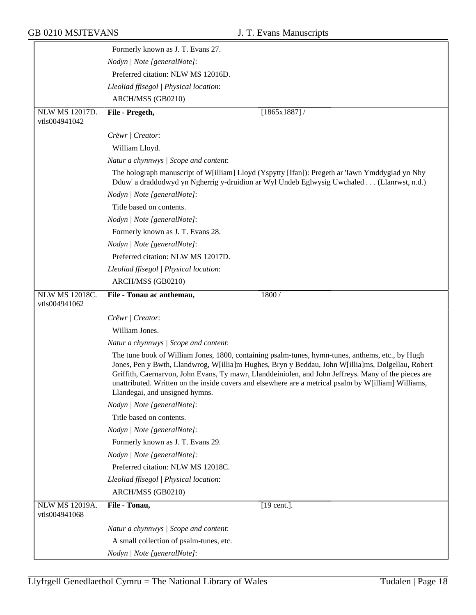|                                        | Formerly known as J. T. Evans 27.                                                                                                                                                                                                                                                                                                                                                                                                                       |
|----------------------------------------|---------------------------------------------------------------------------------------------------------------------------------------------------------------------------------------------------------------------------------------------------------------------------------------------------------------------------------------------------------------------------------------------------------------------------------------------------------|
|                                        | Nodyn   Note [generalNote]:                                                                                                                                                                                                                                                                                                                                                                                                                             |
|                                        | Preferred citation: NLW MS 12016D.                                                                                                                                                                                                                                                                                                                                                                                                                      |
|                                        | Lleoliad ffisegol   Physical location:                                                                                                                                                                                                                                                                                                                                                                                                                  |
|                                        | ARCH/MSS (GB0210)                                                                                                                                                                                                                                                                                                                                                                                                                                       |
| <b>NLW MS 12017D.</b>                  | File - Pregeth,<br>$[1865x1887]$ /                                                                                                                                                                                                                                                                                                                                                                                                                      |
| vtls004941042                          |                                                                                                                                                                                                                                                                                                                                                                                                                                                         |
|                                        | Crëwr   Creator:                                                                                                                                                                                                                                                                                                                                                                                                                                        |
|                                        | William Lloyd.                                                                                                                                                                                                                                                                                                                                                                                                                                          |
|                                        | Natur a chynnwys / Scope and content:                                                                                                                                                                                                                                                                                                                                                                                                                   |
|                                        | The holograph manuscript of W[illiam] Lloyd (Yspytty [Ifan]): Pregeth ar 'Iawn Ymddygiad yn Nhy<br>Dduw' a draddodwyd yn Ngherrig y-druidion ar Wyl Undeb Eglwysig Uwchaled (Llanrwst, n.d.)                                                                                                                                                                                                                                                            |
|                                        | Nodyn   Note [generalNote]:                                                                                                                                                                                                                                                                                                                                                                                                                             |
|                                        | Title based on contents.                                                                                                                                                                                                                                                                                                                                                                                                                                |
|                                        | Nodyn   Note [generalNote]:                                                                                                                                                                                                                                                                                                                                                                                                                             |
|                                        | Formerly known as J. T. Evans 28.                                                                                                                                                                                                                                                                                                                                                                                                                       |
|                                        | Nodyn   Note [generalNote]:                                                                                                                                                                                                                                                                                                                                                                                                                             |
|                                        | Preferred citation: NLW MS 12017D.                                                                                                                                                                                                                                                                                                                                                                                                                      |
|                                        | Lleoliad ffisegol   Physical location:                                                                                                                                                                                                                                                                                                                                                                                                                  |
|                                        | ARCH/MSS (GB0210)                                                                                                                                                                                                                                                                                                                                                                                                                                       |
| <b>NLW MS 12018C.</b>                  | File - Tonau ac anthemau,<br>1800 /                                                                                                                                                                                                                                                                                                                                                                                                                     |
| vtls004941062                          |                                                                                                                                                                                                                                                                                                                                                                                                                                                         |
|                                        | Crëwr   Creator:                                                                                                                                                                                                                                                                                                                                                                                                                                        |
|                                        | William Jones.                                                                                                                                                                                                                                                                                                                                                                                                                                          |
|                                        | Natur a chynnwys / Scope and content:                                                                                                                                                                                                                                                                                                                                                                                                                   |
|                                        | The tune book of William Jones, 1800, containing psalm-tunes, hymn-tunes, anthems, etc., by Hugh<br>Jones, Pen y Bwth, Llandwrog, W[illia]m Hughes, Bryn y Beddau, John W[illia]ms, Dolgellau, Robert<br>Griffith, Caernarvon, John Evans, Ty mawr, Llanddeiniolen, and John Jeffreys. Many of the pieces are<br>unattributed. Written on the inside covers and elsewhere are a metrical psalm by W[illiam] Williams,<br>Llandegai, and unsigned hymns. |
|                                        | Nodyn   Note [generalNote]:                                                                                                                                                                                                                                                                                                                                                                                                                             |
|                                        | Title based on contents.                                                                                                                                                                                                                                                                                                                                                                                                                                |
|                                        | Nodyn   Note [generalNote]:                                                                                                                                                                                                                                                                                                                                                                                                                             |
|                                        | Formerly known as J. T. Evans 29.                                                                                                                                                                                                                                                                                                                                                                                                                       |
|                                        | Nodyn   Note [generalNote]:                                                                                                                                                                                                                                                                                                                                                                                                                             |
|                                        | Preferred citation: NLW MS 12018C.                                                                                                                                                                                                                                                                                                                                                                                                                      |
|                                        | Lleoliad ffisegol   Physical location:                                                                                                                                                                                                                                                                                                                                                                                                                  |
|                                        | ARCH/MSS (GB0210)                                                                                                                                                                                                                                                                                                                                                                                                                                       |
| <b>NLW MS 12019A.</b><br>vtls004941068 | File - Tonau,<br>[19 cent.].                                                                                                                                                                                                                                                                                                                                                                                                                            |
|                                        | Natur a chynnwys / Scope and content:                                                                                                                                                                                                                                                                                                                                                                                                                   |
|                                        | A small collection of psalm-tunes, etc.                                                                                                                                                                                                                                                                                                                                                                                                                 |
|                                        | Nodyn   Note [generalNote]:                                                                                                                                                                                                                                                                                                                                                                                                                             |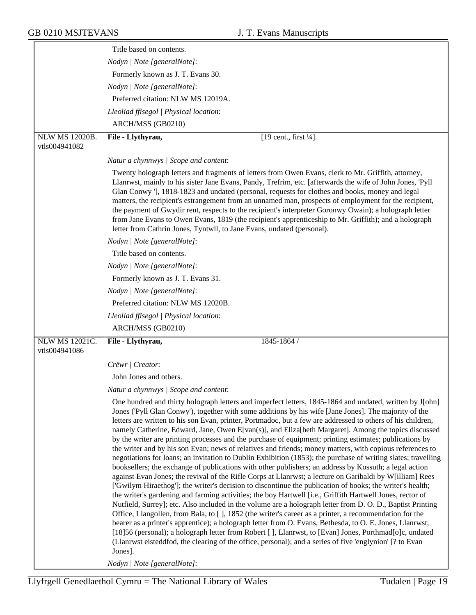|                                        | Title based on contents.                                                                                                                                                                                                                                                                                                                                                                                                                                                                                                                                                                                                                                                                                                                                                                                                                                                                                                                                                                                                                                                                                                                                                                                                                                                                                                                                                                                                                                                                                                                                                                                                                                                                                                                                                                               |
|----------------------------------------|--------------------------------------------------------------------------------------------------------------------------------------------------------------------------------------------------------------------------------------------------------------------------------------------------------------------------------------------------------------------------------------------------------------------------------------------------------------------------------------------------------------------------------------------------------------------------------------------------------------------------------------------------------------------------------------------------------------------------------------------------------------------------------------------------------------------------------------------------------------------------------------------------------------------------------------------------------------------------------------------------------------------------------------------------------------------------------------------------------------------------------------------------------------------------------------------------------------------------------------------------------------------------------------------------------------------------------------------------------------------------------------------------------------------------------------------------------------------------------------------------------------------------------------------------------------------------------------------------------------------------------------------------------------------------------------------------------------------------------------------------------------------------------------------------------|
|                                        | Nodyn   Note [generalNote]:                                                                                                                                                                                                                                                                                                                                                                                                                                                                                                                                                                                                                                                                                                                                                                                                                                                                                                                                                                                                                                                                                                                                                                                                                                                                                                                                                                                                                                                                                                                                                                                                                                                                                                                                                                            |
|                                        | Formerly known as J. T. Evans 30.                                                                                                                                                                                                                                                                                                                                                                                                                                                                                                                                                                                                                                                                                                                                                                                                                                                                                                                                                                                                                                                                                                                                                                                                                                                                                                                                                                                                                                                                                                                                                                                                                                                                                                                                                                      |
|                                        | Nodyn   Note [generalNote]:                                                                                                                                                                                                                                                                                                                                                                                                                                                                                                                                                                                                                                                                                                                                                                                                                                                                                                                                                                                                                                                                                                                                                                                                                                                                                                                                                                                                                                                                                                                                                                                                                                                                                                                                                                            |
|                                        | Preferred citation: NLW MS 12019A.                                                                                                                                                                                                                                                                                                                                                                                                                                                                                                                                                                                                                                                                                                                                                                                                                                                                                                                                                                                                                                                                                                                                                                                                                                                                                                                                                                                                                                                                                                                                                                                                                                                                                                                                                                     |
|                                        | Lleoliad ffisegol   Physical location:                                                                                                                                                                                                                                                                                                                                                                                                                                                                                                                                                                                                                                                                                                                                                                                                                                                                                                                                                                                                                                                                                                                                                                                                                                                                                                                                                                                                                                                                                                                                                                                                                                                                                                                                                                 |
|                                        | ARCH/MSS (GB0210)                                                                                                                                                                                                                                                                                                                                                                                                                                                                                                                                                                                                                                                                                                                                                                                                                                                                                                                                                                                                                                                                                                                                                                                                                                                                                                                                                                                                                                                                                                                                                                                                                                                                                                                                                                                      |
| <b>NLW MS 12020B.</b><br>vtls004941082 | File - Llythyrau,<br>[19 cent., first 1/4].                                                                                                                                                                                                                                                                                                                                                                                                                                                                                                                                                                                                                                                                                                                                                                                                                                                                                                                                                                                                                                                                                                                                                                                                                                                                                                                                                                                                                                                                                                                                                                                                                                                                                                                                                            |
|                                        |                                                                                                                                                                                                                                                                                                                                                                                                                                                                                                                                                                                                                                                                                                                                                                                                                                                                                                                                                                                                                                                                                                                                                                                                                                                                                                                                                                                                                                                                                                                                                                                                                                                                                                                                                                                                        |
|                                        | Natur a chynnwys / Scope and content:                                                                                                                                                                                                                                                                                                                                                                                                                                                                                                                                                                                                                                                                                                                                                                                                                                                                                                                                                                                                                                                                                                                                                                                                                                                                                                                                                                                                                                                                                                                                                                                                                                                                                                                                                                  |
|                                        | Twenty holograph letters and fragments of letters from Owen Evans, clerk to Mr. Griffith, attorney,<br>Llanrwst, mainly to his sister Jane Evans, Pandy, Trefrim, etc. [afterwards the wife of John Jones, 'Pyll<br>Glan Conwy '], 1818-1823 and undated (personal, requests for clothes and books, money and legal<br>matters, the recipient's estrangement from an unnamed man, prospects of employment for the recipient,<br>the payment of Gwydir rent, respects to the recipient's interpreter Goronwy Owain); a holograph letter<br>from Jane Evans to Owen Evans, 1819 (the recipient's apprenticeship to Mr. Griffith); and a holograph<br>letter from Cathrin Jones, Tyntwll, to Jane Evans, undated (personal).                                                                                                                                                                                                                                                                                                                                                                                                                                                                                                                                                                                                                                                                                                                                                                                                                                                                                                                                                                                                                                                                              |
|                                        | Nodyn   Note [generalNote]:                                                                                                                                                                                                                                                                                                                                                                                                                                                                                                                                                                                                                                                                                                                                                                                                                                                                                                                                                                                                                                                                                                                                                                                                                                                                                                                                                                                                                                                                                                                                                                                                                                                                                                                                                                            |
|                                        | Title based on contents.                                                                                                                                                                                                                                                                                                                                                                                                                                                                                                                                                                                                                                                                                                                                                                                                                                                                                                                                                                                                                                                                                                                                                                                                                                                                                                                                                                                                                                                                                                                                                                                                                                                                                                                                                                               |
|                                        | Nodyn   Note [generalNote]:                                                                                                                                                                                                                                                                                                                                                                                                                                                                                                                                                                                                                                                                                                                                                                                                                                                                                                                                                                                                                                                                                                                                                                                                                                                                                                                                                                                                                                                                                                                                                                                                                                                                                                                                                                            |
|                                        | Formerly known as J. T. Evans 31.                                                                                                                                                                                                                                                                                                                                                                                                                                                                                                                                                                                                                                                                                                                                                                                                                                                                                                                                                                                                                                                                                                                                                                                                                                                                                                                                                                                                                                                                                                                                                                                                                                                                                                                                                                      |
|                                        | Nodyn   Note [generalNote]:                                                                                                                                                                                                                                                                                                                                                                                                                                                                                                                                                                                                                                                                                                                                                                                                                                                                                                                                                                                                                                                                                                                                                                                                                                                                                                                                                                                                                                                                                                                                                                                                                                                                                                                                                                            |
|                                        | Preferred citation: NLW MS 12020B.                                                                                                                                                                                                                                                                                                                                                                                                                                                                                                                                                                                                                                                                                                                                                                                                                                                                                                                                                                                                                                                                                                                                                                                                                                                                                                                                                                                                                                                                                                                                                                                                                                                                                                                                                                     |
|                                        | Lleoliad ffisegol   Physical location:                                                                                                                                                                                                                                                                                                                                                                                                                                                                                                                                                                                                                                                                                                                                                                                                                                                                                                                                                                                                                                                                                                                                                                                                                                                                                                                                                                                                                                                                                                                                                                                                                                                                                                                                                                 |
|                                        | ARCH/MSS (GB0210)                                                                                                                                                                                                                                                                                                                                                                                                                                                                                                                                                                                                                                                                                                                                                                                                                                                                                                                                                                                                                                                                                                                                                                                                                                                                                                                                                                                                                                                                                                                                                                                                                                                                                                                                                                                      |
| <b>NLW MS 12021C.</b><br>vtls004941086 | File - Llythyrau,<br>1845-1864 /                                                                                                                                                                                                                                                                                                                                                                                                                                                                                                                                                                                                                                                                                                                                                                                                                                                                                                                                                                                                                                                                                                                                                                                                                                                                                                                                                                                                                                                                                                                                                                                                                                                                                                                                                                       |
|                                        | Crëwr   Creator:                                                                                                                                                                                                                                                                                                                                                                                                                                                                                                                                                                                                                                                                                                                                                                                                                                                                                                                                                                                                                                                                                                                                                                                                                                                                                                                                                                                                                                                                                                                                                                                                                                                                                                                                                                                       |
|                                        | John Jones and others.                                                                                                                                                                                                                                                                                                                                                                                                                                                                                                                                                                                                                                                                                                                                                                                                                                                                                                                                                                                                                                                                                                                                                                                                                                                                                                                                                                                                                                                                                                                                                                                                                                                                                                                                                                                 |
|                                        | Natur a chynnwys / Scope and content:                                                                                                                                                                                                                                                                                                                                                                                                                                                                                                                                                                                                                                                                                                                                                                                                                                                                                                                                                                                                                                                                                                                                                                                                                                                                                                                                                                                                                                                                                                                                                                                                                                                                                                                                                                  |
|                                        | One hundred and thirty holograph letters and imperfect letters, 1845-1864 and undated, written by J[ohn]<br>Jones ('Pyll Glan Conwy'), together with some additions by his wife [Jane Jones]. The majority of the<br>letters are written to his son Evan, printer, Portmadoc, but a few are addressed to others of his children,<br>namely Catherine, Edward, Jane, Owen E[van(s)], and Eliza[beth Margaret]. Among the topics discussed<br>by the writer are printing processes and the purchase of equipment; printing estimates; publications by<br>the writer and by his son Evan; news of relatives and friends; money matters, with copious references to<br>negotiations for loans; an invitation to Dublin Exhibition (1853); the purchase of writing slates; travelling<br>booksellers; the exchange of publications with other publishers; an address by Kossuth; a legal action<br>against Evan Jones; the revival of the Rifle Corps at Llanrwst; a lecture on Garibaldi by W[illiam] Rees<br>['Gwilym Hiraethog']; the writer's decision to discontinue the publication of books; the writer's health;<br>the writer's gardening and farming activities; the boy Hartwell [i.e., Griffith Hartwell Jones, rector of<br>Nutfield, Surrey]; etc. Also included in the volume are a holograph letter from D. O. D., Baptist Printing<br>Office, Llangollen, from Bala, to [], 1852 (the writer's career as a printer, a recommendation for the<br>bearer as a printer's apprentice); a holograph letter from O. Evans, Bethesda, to O. E. Jones, Llanrwst,<br>[18]56 (personal); a holograph letter from Robert [ ], Llanrwst, to [Evan] Jones, Porthmad[o]c, undated<br>(Llanrwst eisteddfod, the clearing of the office, personal); and a series of five 'englynion' [? to Evan<br>Jones]. |
|                                        | Nodyn   Note [generalNote]:                                                                                                                                                                                                                                                                                                                                                                                                                                                                                                                                                                                                                                                                                                                                                                                                                                                                                                                                                                                                                                                                                                                                                                                                                                                                                                                                                                                                                                                                                                                                                                                                                                                                                                                                                                            |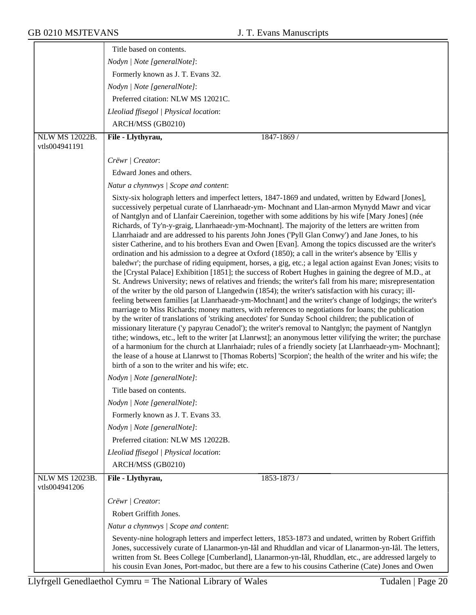|                       | Title based on contents.                                                                                                                                                                                                                                                                                                                                                                                                                                                                                                                                                                                                                                                                                                                                                                                                                                                                                                                                                                                                                                                                                                                                                                                                                                                                                                                                                                                                                                                                                                                                                                                                                                                                                                                                                                                                                                                                                                                                                                                                         |
|-----------------------|----------------------------------------------------------------------------------------------------------------------------------------------------------------------------------------------------------------------------------------------------------------------------------------------------------------------------------------------------------------------------------------------------------------------------------------------------------------------------------------------------------------------------------------------------------------------------------------------------------------------------------------------------------------------------------------------------------------------------------------------------------------------------------------------------------------------------------------------------------------------------------------------------------------------------------------------------------------------------------------------------------------------------------------------------------------------------------------------------------------------------------------------------------------------------------------------------------------------------------------------------------------------------------------------------------------------------------------------------------------------------------------------------------------------------------------------------------------------------------------------------------------------------------------------------------------------------------------------------------------------------------------------------------------------------------------------------------------------------------------------------------------------------------------------------------------------------------------------------------------------------------------------------------------------------------------------------------------------------------------------------------------------------------|
|                       | Nodyn   Note [generalNote]:                                                                                                                                                                                                                                                                                                                                                                                                                                                                                                                                                                                                                                                                                                                                                                                                                                                                                                                                                                                                                                                                                                                                                                                                                                                                                                                                                                                                                                                                                                                                                                                                                                                                                                                                                                                                                                                                                                                                                                                                      |
|                       | Formerly known as J. T. Evans 32.                                                                                                                                                                                                                                                                                                                                                                                                                                                                                                                                                                                                                                                                                                                                                                                                                                                                                                                                                                                                                                                                                                                                                                                                                                                                                                                                                                                                                                                                                                                                                                                                                                                                                                                                                                                                                                                                                                                                                                                                |
|                       | Nodyn   Note [generalNote]:                                                                                                                                                                                                                                                                                                                                                                                                                                                                                                                                                                                                                                                                                                                                                                                                                                                                                                                                                                                                                                                                                                                                                                                                                                                                                                                                                                                                                                                                                                                                                                                                                                                                                                                                                                                                                                                                                                                                                                                                      |
|                       | Preferred citation: NLW MS 12021C.                                                                                                                                                                                                                                                                                                                                                                                                                                                                                                                                                                                                                                                                                                                                                                                                                                                                                                                                                                                                                                                                                                                                                                                                                                                                                                                                                                                                                                                                                                                                                                                                                                                                                                                                                                                                                                                                                                                                                                                               |
|                       | Lleoliad ffisegol   Physical location:                                                                                                                                                                                                                                                                                                                                                                                                                                                                                                                                                                                                                                                                                                                                                                                                                                                                                                                                                                                                                                                                                                                                                                                                                                                                                                                                                                                                                                                                                                                                                                                                                                                                                                                                                                                                                                                                                                                                                                                           |
|                       | ARCH/MSS (GB0210)                                                                                                                                                                                                                                                                                                                                                                                                                                                                                                                                                                                                                                                                                                                                                                                                                                                                                                                                                                                                                                                                                                                                                                                                                                                                                                                                                                                                                                                                                                                                                                                                                                                                                                                                                                                                                                                                                                                                                                                                                |
| <b>NLW MS 12022B.</b> | File - Llythyrau,<br>1847-1869 /                                                                                                                                                                                                                                                                                                                                                                                                                                                                                                                                                                                                                                                                                                                                                                                                                                                                                                                                                                                                                                                                                                                                                                                                                                                                                                                                                                                                                                                                                                                                                                                                                                                                                                                                                                                                                                                                                                                                                                                                 |
| vtls004941191         |                                                                                                                                                                                                                                                                                                                                                                                                                                                                                                                                                                                                                                                                                                                                                                                                                                                                                                                                                                                                                                                                                                                                                                                                                                                                                                                                                                                                                                                                                                                                                                                                                                                                                                                                                                                                                                                                                                                                                                                                                                  |
|                       | Crëwr   Creator:                                                                                                                                                                                                                                                                                                                                                                                                                                                                                                                                                                                                                                                                                                                                                                                                                                                                                                                                                                                                                                                                                                                                                                                                                                                                                                                                                                                                                                                                                                                                                                                                                                                                                                                                                                                                                                                                                                                                                                                                                 |
|                       | Edward Jones and others.                                                                                                                                                                                                                                                                                                                                                                                                                                                                                                                                                                                                                                                                                                                                                                                                                                                                                                                                                                                                                                                                                                                                                                                                                                                                                                                                                                                                                                                                                                                                                                                                                                                                                                                                                                                                                                                                                                                                                                                                         |
|                       | Natur a chynnwys / Scope and content:                                                                                                                                                                                                                                                                                                                                                                                                                                                                                                                                                                                                                                                                                                                                                                                                                                                                                                                                                                                                                                                                                                                                                                                                                                                                                                                                                                                                                                                                                                                                                                                                                                                                                                                                                                                                                                                                                                                                                                                            |
|                       | Sixty-six holograph letters and imperfect letters, 1847-1869 and undated, written by Edward [Jones],<br>successively perpetual curate of Llanrhaeadr-ym- Mochnant and Llan-armon Mynydd Mawr and vicar<br>of Nantglyn and of Llanfair Caereinion, together with some additions by his wife [Mary Jones] (née<br>Richards, of Ty'n-y-graig, Llanrhaeadr-ym-Mochnant]. The majority of the letters are written from<br>Llanrhaiadr and are addressed to his parents John Jones ('Pyll Glan Conwy') and Jane Jones, to his<br>sister Catherine, and to his brothers Evan and Owen [Evan]. Among the topics discussed are the writer's<br>ordination and his admission to a degree at Oxford (1850); a call in the writer's absence by 'Ellis y<br>baledwr'; the purchase of riding equipment, horses, a gig, etc.; a legal action against Evan Jones; visits to<br>the [Crystal Palace] Exhibition [1851]; the success of Robert Hughes in gaining the degree of M.D., at<br>St. Andrews University; news of relatives and friends; the writer's fall from his mare; misrepresentation<br>of the writer by the old parson of Llangedwin (1854); the writer's satisfaction with his curacy; ill-<br>feeling between families [at Llanrhaeadr-ym-Mochnant] and the writer's change of lodgings; the writer's<br>marriage to Miss Richards; money matters, with references to negotiations for loans; the publication<br>by the writer of translations of 'striking anecdotes' for Sunday School children; the publication of<br>missionary literature ('y papyrau Cenadol'); the writer's removal to Nantglyn; the payment of Nantglyn<br>tithe; windows, etc., left to the writer [at Llanrwst]; an anonymous letter vilifying the writer; the purchase<br>of a harmonium for the church at Llanrhaiadr; rules of a friendly society [at Llanrhaeadr-ym-Mochnant];<br>the lease of a house at Llanrwst to [Thomas Roberts] 'Scorpion'; the health of the writer and his wife; the<br>birth of a son to the writer and his wife; etc. |
|                       | Nodyn   Note [generalNote]:                                                                                                                                                                                                                                                                                                                                                                                                                                                                                                                                                                                                                                                                                                                                                                                                                                                                                                                                                                                                                                                                                                                                                                                                                                                                                                                                                                                                                                                                                                                                                                                                                                                                                                                                                                                                                                                                                                                                                                                                      |
|                       | Title based on contents.                                                                                                                                                                                                                                                                                                                                                                                                                                                                                                                                                                                                                                                                                                                                                                                                                                                                                                                                                                                                                                                                                                                                                                                                                                                                                                                                                                                                                                                                                                                                                                                                                                                                                                                                                                                                                                                                                                                                                                                                         |
|                       | Nodyn   Note [generalNote]:                                                                                                                                                                                                                                                                                                                                                                                                                                                                                                                                                                                                                                                                                                                                                                                                                                                                                                                                                                                                                                                                                                                                                                                                                                                                                                                                                                                                                                                                                                                                                                                                                                                                                                                                                                                                                                                                                                                                                                                                      |
|                       | Formerly known as J. T. Evans 33.                                                                                                                                                                                                                                                                                                                                                                                                                                                                                                                                                                                                                                                                                                                                                                                                                                                                                                                                                                                                                                                                                                                                                                                                                                                                                                                                                                                                                                                                                                                                                                                                                                                                                                                                                                                                                                                                                                                                                                                                |
|                       | Nodyn   Note [generalNote]:                                                                                                                                                                                                                                                                                                                                                                                                                                                                                                                                                                                                                                                                                                                                                                                                                                                                                                                                                                                                                                                                                                                                                                                                                                                                                                                                                                                                                                                                                                                                                                                                                                                                                                                                                                                                                                                                                                                                                                                                      |
|                       | Preferred citation: NLW MS 12022B.                                                                                                                                                                                                                                                                                                                                                                                                                                                                                                                                                                                                                                                                                                                                                                                                                                                                                                                                                                                                                                                                                                                                                                                                                                                                                                                                                                                                                                                                                                                                                                                                                                                                                                                                                                                                                                                                                                                                                                                               |
|                       | Lleoliad ffisegol   Physical location:                                                                                                                                                                                                                                                                                                                                                                                                                                                                                                                                                                                                                                                                                                                                                                                                                                                                                                                                                                                                                                                                                                                                                                                                                                                                                                                                                                                                                                                                                                                                                                                                                                                                                                                                                                                                                                                                                                                                                                                           |
|                       | ARCH/MSS (GB0210)                                                                                                                                                                                                                                                                                                                                                                                                                                                                                                                                                                                                                                                                                                                                                                                                                                                                                                                                                                                                                                                                                                                                                                                                                                                                                                                                                                                                                                                                                                                                                                                                                                                                                                                                                                                                                                                                                                                                                                                                                |
| <b>NLW MS 12023B.</b> | File - Llythyrau,<br>1853-1873 /                                                                                                                                                                                                                                                                                                                                                                                                                                                                                                                                                                                                                                                                                                                                                                                                                                                                                                                                                                                                                                                                                                                                                                                                                                                                                                                                                                                                                                                                                                                                                                                                                                                                                                                                                                                                                                                                                                                                                                                                 |
| vtls004941206         |                                                                                                                                                                                                                                                                                                                                                                                                                                                                                                                                                                                                                                                                                                                                                                                                                                                                                                                                                                                                                                                                                                                                                                                                                                                                                                                                                                                                                                                                                                                                                                                                                                                                                                                                                                                                                                                                                                                                                                                                                                  |
|                       | Crëwr   Creator:                                                                                                                                                                                                                                                                                                                                                                                                                                                                                                                                                                                                                                                                                                                                                                                                                                                                                                                                                                                                                                                                                                                                                                                                                                                                                                                                                                                                                                                                                                                                                                                                                                                                                                                                                                                                                                                                                                                                                                                                                 |
|                       | Robert Griffith Jones.                                                                                                                                                                                                                                                                                                                                                                                                                                                                                                                                                                                                                                                                                                                                                                                                                                                                                                                                                                                                                                                                                                                                                                                                                                                                                                                                                                                                                                                                                                                                                                                                                                                                                                                                                                                                                                                                                                                                                                                                           |
|                       | Natur a chynnwys / Scope and content:                                                                                                                                                                                                                                                                                                                                                                                                                                                                                                                                                                                                                                                                                                                                                                                                                                                                                                                                                                                                                                                                                                                                                                                                                                                                                                                                                                                                                                                                                                                                                                                                                                                                                                                                                                                                                                                                                                                                                                                            |
|                       | Seventy-nine holograph letters and imperfect letters, 1853-1873 and undated, written by Robert Griffith<br>Jones, successively curate of Llanarmon-yn-Iâl and Rhuddlan and vicar of Llanarmon-yn-Iâl. The letters,<br>written from St. Bees College [Cumberland], Llanarmon-yn-Iâl, Rhuddlan, etc., are addressed largely to<br>his cousin Evan Jones, Port-madoc, but there are a few to his cousins Catherine (Cate) Jones and Owen                                                                                                                                                                                                                                                                                                                                                                                                                                                                                                                                                                                                                                                                                                                                                                                                                                                                                                                                                                                                                                                                                                                                                                                                                                                                                                                                                                                                                                                                                                                                                                                            |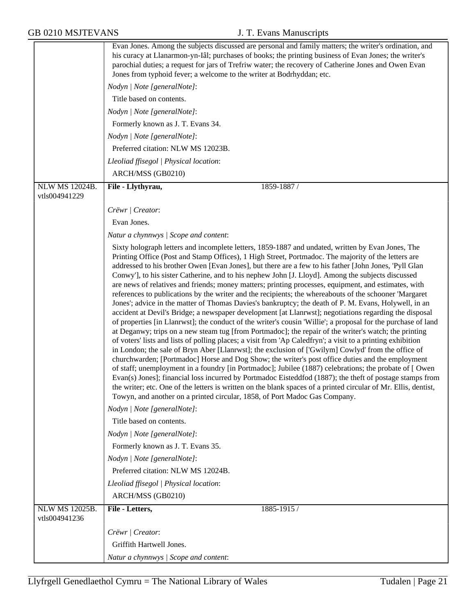|                                 | Evan Jones. Among the subjects discussed are personal and family matters; the writer's ordination, and<br>his curacy at Llanarmon-yn-Iâl; purchases of books; the printing business of Evan Jones; the writer's<br>parochial duties; a request for jars of Trefriw water; the recovery of Catherine Jones and Owen Evan<br>Jones from typhoid fever; a welcome to the writer at Bodrhyddan; etc.                                                                                                                                                                                                                                                                                                                                                                                                                                                                                                                                                                                                                                                                                                                                                                                                                                                                                                                                                                                                                                                                                                                                                                                                                                                                                                                                                                                                                                      |
|---------------------------------|---------------------------------------------------------------------------------------------------------------------------------------------------------------------------------------------------------------------------------------------------------------------------------------------------------------------------------------------------------------------------------------------------------------------------------------------------------------------------------------------------------------------------------------------------------------------------------------------------------------------------------------------------------------------------------------------------------------------------------------------------------------------------------------------------------------------------------------------------------------------------------------------------------------------------------------------------------------------------------------------------------------------------------------------------------------------------------------------------------------------------------------------------------------------------------------------------------------------------------------------------------------------------------------------------------------------------------------------------------------------------------------------------------------------------------------------------------------------------------------------------------------------------------------------------------------------------------------------------------------------------------------------------------------------------------------------------------------------------------------------------------------------------------------------------------------------------------------|
|                                 | Nodyn   Note [generalNote]:                                                                                                                                                                                                                                                                                                                                                                                                                                                                                                                                                                                                                                                                                                                                                                                                                                                                                                                                                                                                                                                                                                                                                                                                                                                                                                                                                                                                                                                                                                                                                                                                                                                                                                                                                                                                           |
|                                 | Title based on contents.                                                                                                                                                                                                                                                                                                                                                                                                                                                                                                                                                                                                                                                                                                                                                                                                                                                                                                                                                                                                                                                                                                                                                                                                                                                                                                                                                                                                                                                                                                                                                                                                                                                                                                                                                                                                              |
|                                 | Nodyn   Note [generalNote]:                                                                                                                                                                                                                                                                                                                                                                                                                                                                                                                                                                                                                                                                                                                                                                                                                                                                                                                                                                                                                                                                                                                                                                                                                                                                                                                                                                                                                                                                                                                                                                                                                                                                                                                                                                                                           |
|                                 | Formerly known as J. T. Evans 34.                                                                                                                                                                                                                                                                                                                                                                                                                                                                                                                                                                                                                                                                                                                                                                                                                                                                                                                                                                                                                                                                                                                                                                                                                                                                                                                                                                                                                                                                                                                                                                                                                                                                                                                                                                                                     |
|                                 | Nodyn   Note [generalNote]:                                                                                                                                                                                                                                                                                                                                                                                                                                                                                                                                                                                                                                                                                                                                                                                                                                                                                                                                                                                                                                                                                                                                                                                                                                                                                                                                                                                                                                                                                                                                                                                                                                                                                                                                                                                                           |
|                                 | Preferred citation: NLW MS 12023B.                                                                                                                                                                                                                                                                                                                                                                                                                                                                                                                                                                                                                                                                                                                                                                                                                                                                                                                                                                                                                                                                                                                                                                                                                                                                                                                                                                                                                                                                                                                                                                                                                                                                                                                                                                                                    |
|                                 | Lleoliad ffisegol   Physical location:                                                                                                                                                                                                                                                                                                                                                                                                                                                                                                                                                                                                                                                                                                                                                                                                                                                                                                                                                                                                                                                                                                                                                                                                                                                                                                                                                                                                                                                                                                                                                                                                                                                                                                                                                                                                |
|                                 | ARCH/MSS (GB0210)                                                                                                                                                                                                                                                                                                                                                                                                                                                                                                                                                                                                                                                                                                                                                                                                                                                                                                                                                                                                                                                                                                                                                                                                                                                                                                                                                                                                                                                                                                                                                                                                                                                                                                                                                                                                                     |
| NLW MS 12024B.<br>vtls004941229 | File - Llythyrau,<br>1859-1887 /                                                                                                                                                                                                                                                                                                                                                                                                                                                                                                                                                                                                                                                                                                                                                                                                                                                                                                                                                                                                                                                                                                                                                                                                                                                                                                                                                                                                                                                                                                                                                                                                                                                                                                                                                                                                      |
|                                 | Crëwr   Creator:                                                                                                                                                                                                                                                                                                                                                                                                                                                                                                                                                                                                                                                                                                                                                                                                                                                                                                                                                                                                                                                                                                                                                                                                                                                                                                                                                                                                                                                                                                                                                                                                                                                                                                                                                                                                                      |
|                                 | Evan Jones.                                                                                                                                                                                                                                                                                                                                                                                                                                                                                                                                                                                                                                                                                                                                                                                                                                                                                                                                                                                                                                                                                                                                                                                                                                                                                                                                                                                                                                                                                                                                                                                                                                                                                                                                                                                                                           |
|                                 | Natur a chynnwys / Scope and content:                                                                                                                                                                                                                                                                                                                                                                                                                                                                                                                                                                                                                                                                                                                                                                                                                                                                                                                                                                                                                                                                                                                                                                                                                                                                                                                                                                                                                                                                                                                                                                                                                                                                                                                                                                                                 |
|                                 | Sixty holograph letters and incomplete letters, 1859-1887 and undated, written by Evan Jones, The<br>Printing Office (Post and Stamp Offices), 1 High Street, Portmadoc. The majority of the letters are<br>addressed to his brother Owen [Evan Jones], but there are a few to his father [John Jones, 'Pyll Glan<br>Conwy'], to his sister Catherine, and to his nephew John [J. Lloyd]. Among the subjects discussed<br>are news of relatives and friends; money matters; printing processes, equipment, and estimates, with<br>references to publications by the writer and the recipients; the whereabouts of the schooner 'Margaret<br>Jones'; advice in the matter of Thomas Davies's bankruptcy; the death of P. M. Evans, Holywell, in an<br>accident at Devil's Bridge; a newspaper development [at Llanrwst]; negotiations regarding the disposal<br>of properties [in Llanrwst]; the conduct of the writer's cousin 'Willie'; a proposal for the purchase of land<br>at Deganwy; trips on a new steam tug [from Portmadoc]; the repair of the writer's watch; the printing<br>of voters' lists and lists of polling places; a visit from 'Ap Caledfryn'; a visit to a printing exhibition<br>in London; the sale of Bryn Aber [Llanrwst]; the exclusion of ['Gwilym] Cowlyd' from the office of<br>churchwarden; [Portmadoc] Horse and Dog Show; the writer's post office duties and the employment<br>of staff; unemployment in a foundry [in Portmadoc]; Jubilee (1887) celebrations; the probate of [ Owen<br>Evan(s) Jones]; financial loss incurred by Portmadoc Eisteddfod (1887); the theft of postage stamps from<br>the writer; etc. One of the letters is written on the blank spaces of a printed circular of Mr. Ellis, dentist,<br>Towyn, and another on a printed circular, 1858, of Port Madoc Gas Company. |
|                                 | Nodyn   Note [generalNote]:                                                                                                                                                                                                                                                                                                                                                                                                                                                                                                                                                                                                                                                                                                                                                                                                                                                                                                                                                                                                                                                                                                                                                                                                                                                                                                                                                                                                                                                                                                                                                                                                                                                                                                                                                                                                           |
|                                 | Title based on contents.                                                                                                                                                                                                                                                                                                                                                                                                                                                                                                                                                                                                                                                                                                                                                                                                                                                                                                                                                                                                                                                                                                                                                                                                                                                                                                                                                                                                                                                                                                                                                                                                                                                                                                                                                                                                              |
|                                 | Nodyn   Note [generalNote]:                                                                                                                                                                                                                                                                                                                                                                                                                                                                                                                                                                                                                                                                                                                                                                                                                                                                                                                                                                                                                                                                                                                                                                                                                                                                                                                                                                                                                                                                                                                                                                                                                                                                                                                                                                                                           |
|                                 | Formerly known as J. T. Evans 35.                                                                                                                                                                                                                                                                                                                                                                                                                                                                                                                                                                                                                                                                                                                                                                                                                                                                                                                                                                                                                                                                                                                                                                                                                                                                                                                                                                                                                                                                                                                                                                                                                                                                                                                                                                                                     |
|                                 | Nodyn   Note [generalNote]:                                                                                                                                                                                                                                                                                                                                                                                                                                                                                                                                                                                                                                                                                                                                                                                                                                                                                                                                                                                                                                                                                                                                                                                                                                                                                                                                                                                                                                                                                                                                                                                                                                                                                                                                                                                                           |
|                                 | Preferred citation: NLW MS 12024B.                                                                                                                                                                                                                                                                                                                                                                                                                                                                                                                                                                                                                                                                                                                                                                                                                                                                                                                                                                                                                                                                                                                                                                                                                                                                                                                                                                                                                                                                                                                                                                                                                                                                                                                                                                                                    |
|                                 | Lleoliad ffisegol   Physical location:                                                                                                                                                                                                                                                                                                                                                                                                                                                                                                                                                                                                                                                                                                                                                                                                                                                                                                                                                                                                                                                                                                                                                                                                                                                                                                                                                                                                                                                                                                                                                                                                                                                                                                                                                                                                |
|                                 | ARCH/MSS (GB0210)                                                                                                                                                                                                                                                                                                                                                                                                                                                                                                                                                                                                                                                                                                                                                                                                                                                                                                                                                                                                                                                                                                                                                                                                                                                                                                                                                                                                                                                                                                                                                                                                                                                                                                                                                                                                                     |
| NLW MS 12025B.<br>vtls004941236 | File - Letters,<br>1885-1915 /                                                                                                                                                                                                                                                                                                                                                                                                                                                                                                                                                                                                                                                                                                                                                                                                                                                                                                                                                                                                                                                                                                                                                                                                                                                                                                                                                                                                                                                                                                                                                                                                                                                                                                                                                                                                        |
|                                 | Crëwr   Creator:                                                                                                                                                                                                                                                                                                                                                                                                                                                                                                                                                                                                                                                                                                                                                                                                                                                                                                                                                                                                                                                                                                                                                                                                                                                                                                                                                                                                                                                                                                                                                                                                                                                                                                                                                                                                                      |
|                                 | Griffith Hartwell Jones.                                                                                                                                                                                                                                                                                                                                                                                                                                                                                                                                                                                                                                                                                                                                                                                                                                                                                                                                                                                                                                                                                                                                                                                                                                                                                                                                                                                                                                                                                                                                                                                                                                                                                                                                                                                                              |
|                                 | Natur a chynnwys / Scope and content:                                                                                                                                                                                                                                                                                                                                                                                                                                                                                                                                                                                                                                                                                                                                                                                                                                                                                                                                                                                                                                                                                                                                                                                                                                                                                                                                                                                                                                                                                                                                                                                                                                                                                                                                                                                                 |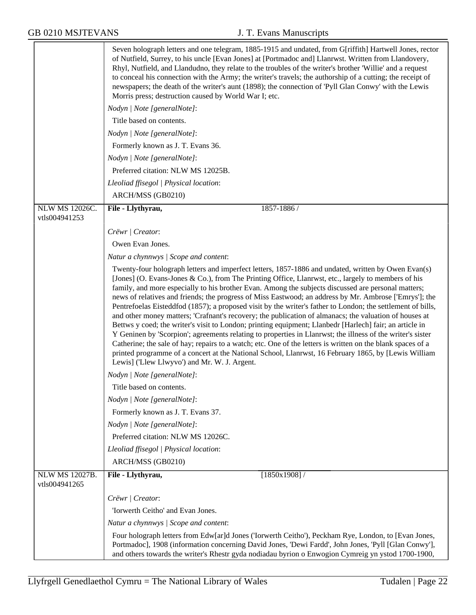|                                 | Seven holograph letters and one telegram, 1885-1915 and undated, from G[riffith] Hartwell Jones, rector<br>of Nutfield, Surrey, to his uncle [Evan Jones] at [Portmadoc and] Llanrwst. Written from Llandovery,<br>Rhyl, Nutfield, and Llandudno, they relate to the troubles of the writer's brother 'Willie' and a request<br>to conceal his connection with the Army; the writer's travels; the authorship of a cutting; the receipt of<br>newspapers; the death of the writer's aunt (1898); the connection of 'Pyll Glan Conwy' with the Lewis<br>Morris press; destruction caused by World War I; etc.                                                                                                                                                                                                                                                                                                                                                                                                                                                                                                                                         |
|---------------------------------|------------------------------------------------------------------------------------------------------------------------------------------------------------------------------------------------------------------------------------------------------------------------------------------------------------------------------------------------------------------------------------------------------------------------------------------------------------------------------------------------------------------------------------------------------------------------------------------------------------------------------------------------------------------------------------------------------------------------------------------------------------------------------------------------------------------------------------------------------------------------------------------------------------------------------------------------------------------------------------------------------------------------------------------------------------------------------------------------------------------------------------------------------|
|                                 | Nodyn   Note [generalNote]:                                                                                                                                                                                                                                                                                                                                                                                                                                                                                                                                                                                                                                                                                                                                                                                                                                                                                                                                                                                                                                                                                                                          |
|                                 | Title based on contents.                                                                                                                                                                                                                                                                                                                                                                                                                                                                                                                                                                                                                                                                                                                                                                                                                                                                                                                                                                                                                                                                                                                             |
|                                 | Nodyn   Note [generalNote]:                                                                                                                                                                                                                                                                                                                                                                                                                                                                                                                                                                                                                                                                                                                                                                                                                                                                                                                                                                                                                                                                                                                          |
|                                 | Formerly known as J. T. Evans 36.                                                                                                                                                                                                                                                                                                                                                                                                                                                                                                                                                                                                                                                                                                                                                                                                                                                                                                                                                                                                                                                                                                                    |
|                                 | Nodyn   Note [generalNote]:                                                                                                                                                                                                                                                                                                                                                                                                                                                                                                                                                                                                                                                                                                                                                                                                                                                                                                                                                                                                                                                                                                                          |
|                                 | Preferred citation: NLW MS 12025B.                                                                                                                                                                                                                                                                                                                                                                                                                                                                                                                                                                                                                                                                                                                                                                                                                                                                                                                                                                                                                                                                                                                   |
|                                 | Lleoliad ffisegol   Physical location:                                                                                                                                                                                                                                                                                                                                                                                                                                                                                                                                                                                                                                                                                                                                                                                                                                                                                                                                                                                                                                                                                                               |
|                                 | ARCH/MSS (GB0210)                                                                                                                                                                                                                                                                                                                                                                                                                                                                                                                                                                                                                                                                                                                                                                                                                                                                                                                                                                                                                                                                                                                                    |
| <b>NLW MS 12026C.</b>           | File - Llythyrau,<br>1857-1886 /                                                                                                                                                                                                                                                                                                                                                                                                                                                                                                                                                                                                                                                                                                                                                                                                                                                                                                                                                                                                                                                                                                                     |
| vtls004941253                   |                                                                                                                                                                                                                                                                                                                                                                                                                                                                                                                                                                                                                                                                                                                                                                                                                                                                                                                                                                                                                                                                                                                                                      |
|                                 | Crëwr   Creator:                                                                                                                                                                                                                                                                                                                                                                                                                                                                                                                                                                                                                                                                                                                                                                                                                                                                                                                                                                                                                                                                                                                                     |
|                                 | Owen Evan Jones.                                                                                                                                                                                                                                                                                                                                                                                                                                                                                                                                                                                                                                                                                                                                                                                                                                                                                                                                                                                                                                                                                                                                     |
|                                 | Natur a chynnwys / Scope and content:                                                                                                                                                                                                                                                                                                                                                                                                                                                                                                                                                                                                                                                                                                                                                                                                                                                                                                                                                                                                                                                                                                                |
|                                 | Twenty-four holograph letters and imperfect letters, 1857-1886 and undated, written by Owen Evan(s)<br>[Jones] (O. Evans-Jones & Co.), from The Printing Office, Llanrwst, etc., largely to members of his<br>family, and more especially to his brother Evan. Among the subjects discussed are personal matters;<br>news of relatives and friends; the progress of Miss Eastwood; an address by Mr. Ambrose ['Emrys']; the<br>Pentrefoelas Eisteddfod (1857); a proposed visit by the writer's father to London; the settlement of bills,<br>and other money matters; 'Crafnant's recovery; the publication of almanacs; the valuation of houses at<br>Bettws y coed; the writer's visit to London; printing equipment; Llanbedr [Harlech] fair; an article in<br>Y Geninen by 'Scorpion'; agreements relating to properties in Llanrwst; the illness of the writer's sister<br>Catherine; the sale of hay; repairs to a watch; etc. One of the letters is written on the blank spaces of a<br>printed programme of a concert at the National School, Llanrwst, 16 February 1865, by [Lewis William<br>Lewis] ('Llew Llwyvo') and Mr. W. J. Argent. |
|                                 | Nodyn   Note [generalNote]:                                                                                                                                                                                                                                                                                                                                                                                                                                                                                                                                                                                                                                                                                                                                                                                                                                                                                                                                                                                                                                                                                                                          |
|                                 | Title based on contents.                                                                                                                                                                                                                                                                                                                                                                                                                                                                                                                                                                                                                                                                                                                                                                                                                                                                                                                                                                                                                                                                                                                             |
|                                 | Nodyn   Note [generalNote]:                                                                                                                                                                                                                                                                                                                                                                                                                                                                                                                                                                                                                                                                                                                                                                                                                                                                                                                                                                                                                                                                                                                          |
|                                 | Formerly known as J. T. Evans 37.                                                                                                                                                                                                                                                                                                                                                                                                                                                                                                                                                                                                                                                                                                                                                                                                                                                                                                                                                                                                                                                                                                                    |
|                                 | Nodyn   Note [generalNote]:                                                                                                                                                                                                                                                                                                                                                                                                                                                                                                                                                                                                                                                                                                                                                                                                                                                                                                                                                                                                                                                                                                                          |
|                                 | Preferred citation: NLW MS 12026C.                                                                                                                                                                                                                                                                                                                                                                                                                                                                                                                                                                                                                                                                                                                                                                                                                                                                                                                                                                                                                                                                                                                   |
|                                 | Lleoliad ffisegol   Physical location:                                                                                                                                                                                                                                                                                                                                                                                                                                                                                                                                                                                                                                                                                                                                                                                                                                                                                                                                                                                                                                                                                                               |
|                                 | ARCH/MSS (GB0210)                                                                                                                                                                                                                                                                                                                                                                                                                                                                                                                                                                                                                                                                                                                                                                                                                                                                                                                                                                                                                                                                                                                                    |
| NLW MS 12027B.<br>vtls004941265 | [1850x1908]<br>File - Llythyrau,                                                                                                                                                                                                                                                                                                                                                                                                                                                                                                                                                                                                                                                                                                                                                                                                                                                                                                                                                                                                                                                                                                                     |
|                                 | Crëwr   Creator:                                                                                                                                                                                                                                                                                                                                                                                                                                                                                                                                                                                                                                                                                                                                                                                                                                                                                                                                                                                                                                                                                                                                     |
|                                 | 'Iorwerth Ceitho' and Evan Jones.                                                                                                                                                                                                                                                                                                                                                                                                                                                                                                                                                                                                                                                                                                                                                                                                                                                                                                                                                                                                                                                                                                                    |
|                                 | Natur a chynnwys / Scope and content:                                                                                                                                                                                                                                                                                                                                                                                                                                                                                                                                                                                                                                                                                                                                                                                                                                                                                                                                                                                                                                                                                                                |
|                                 | Four holograph letters from Edw[ar]d Jones ('Iorwerth Ceitho'), Peckham Rye, London, to [Evan Jones,<br>Portmadoc], 1908 (information concerning David Jones, 'Dewi Fardd', John Jones, 'Pyll [Glan Conwy'],<br>and others towards the writer's Rhestr gyda nodiadau byrion o Enwogion Cymreig yn ystod 1700-1900,                                                                                                                                                                                                                                                                                                                                                                                                                                                                                                                                                                                                                                                                                                                                                                                                                                   |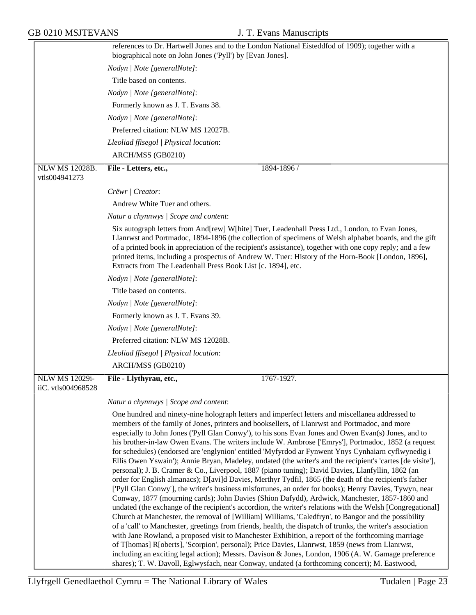|                                      | references to Dr. Hartwell Jones and to the London National Eisteddfod of 1909); together with a                                                                                                                                                                                                                                                                                                                                                                                                                                                                                                                                                                                                                                                                                                                                                                                                                                                                                                                                                                                                                                                                                                                                                                                                                                                                                                                                                                                                                                                                                                               |
|--------------------------------------|----------------------------------------------------------------------------------------------------------------------------------------------------------------------------------------------------------------------------------------------------------------------------------------------------------------------------------------------------------------------------------------------------------------------------------------------------------------------------------------------------------------------------------------------------------------------------------------------------------------------------------------------------------------------------------------------------------------------------------------------------------------------------------------------------------------------------------------------------------------------------------------------------------------------------------------------------------------------------------------------------------------------------------------------------------------------------------------------------------------------------------------------------------------------------------------------------------------------------------------------------------------------------------------------------------------------------------------------------------------------------------------------------------------------------------------------------------------------------------------------------------------------------------------------------------------------------------------------------------------|
|                                      | biographical note on John Jones ('Pyll') by [Evan Jones].                                                                                                                                                                                                                                                                                                                                                                                                                                                                                                                                                                                                                                                                                                                                                                                                                                                                                                                                                                                                                                                                                                                                                                                                                                                                                                                                                                                                                                                                                                                                                      |
|                                      | Nodyn   Note [generalNote]:                                                                                                                                                                                                                                                                                                                                                                                                                                                                                                                                                                                                                                                                                                                                                                                                                                                                                                                                                                                                                                                                                                                                                                                                                                                                                                                                                                                                                                                                                                                                                                                    |
|                                      | Title based on contents.                                                                                                                                                                                                                                                                                                                                                                                                                                                                                                                                                                                                                                                                                                                                                                                                                                                                                                                                                                                                                                                                                                                                                                                                                                                                                                                                                                                                                                                                                                                                                                                       |
|                                      | Nodyn   Note [generalNote]:                                                                                                                                                                                                                                                                                                                                                                                                                                                                                                                                                                                                                                                                                                                                                                                                                                                                                                                                                                                                                                                                                                                                                                                                                                                                                                                                                                                                                                                                                                                                                                                    |
|                                      | Formerly known as J. T. Evans 38.                                                                                                                                                                                                                                                                                                                                                                                                                                                                                                                                                                                                                                                                                                                                                                                                                                                                                                                                                                                                                                                                                                                                                                                                                                                                                                                                                                                                                                                                                                                                                                              |
|                                      | Nodyn   Note [generalNote]:                                                                                                                                                                                                                                                                                                                                                                                                                                                                                                                                                                                                                                                                                                                                                                                                                                                                                                                                                                                                                                                                                                                                                                                                                                                                                                                                                                                                                                                                                                                                                                                    |
|                                      | Preferred citation: NLW MS 12027B.                                                                                                                                                                                                                                                                                                                                                                                                                                                                                                                                                                                                                                                                                                                                                                                                                                                                                                                                                                                                                                                                                                                                                                                                                                                                                                                                                                                                                                                                                                                                                                             |
|                                      | Lleoliad ffisegol   Physical location:                                                                                                                                                                                                                                                                                                                                                                                                                                                                                                                                                                                                                                                                                                                                                                                                                                                                                                                                                                                                                                                                                                                                                                                                                                                                                                                                                                                                                                                                                                                                                                         |
|                                      | ARCH/MSS (GB0210)                                                                                                                                                                                                                                                                                                                                                                                                                                                                                                                                                                                                                                                                                                                                                                                                                                                                                                                                                                                                                                                                                                                                                                                                                                                                                                                                                                                                                                                                                                                                                                                              |
| NLW MS 12028B.                       | File - Letters, etc.,<br>1894-1896 /                                                                                                                                                                                                                                                                                                                                                                                                                                                                                                                                                                                                                                                                                                                                                                                                                                                                                                                                                                                                                                                                                                                                                                                                                                                                                                                                                                                                                                                                                                                                                                           |
| vtls004941273                        |                                                                                                                                                                                                                                                                                                                                                                                                                                                                                                                                                                                                                                                                                                                                                                                                                                                                                                                                                                                                                                                                                                                                                                                                                                                                                                                                                                                                                                                                                                                                                                                                                |
|                                      | Crëwr   Creator:                                                                                                                                                                                                                                                                                                                                                                                                                                                                                                                                                                                                                                                                                                                                                                                                                                                                                                                                                                                                                                                                                                                                                                                                                                                                                                                                                                                                                                                                                                                                                                                               |
|                                      | Andrew White Tuer and others.                                                                                                                                                                                                                                                                                                                                                                                                                                                                                                                                                                                                                                                                                                                                                                                                                                                                                                                                                                                                                                                                                                                                                                                                                                                                                                                                                                                                                                                                                                                                                                                  |
|                                      | Natur a chynnwys / Scope and content:                                                                                                                                                                                                                                                                                                                                                                                                                                                                                                                                                                                                                                                                                                                                                                                                                                                                                                                                                                                                                                                                                                                                                                                                                                                                                                                                                                                                                                                                                                                                                                          |
|                                      | Six autograph letters from And[rew] W[hite] Tuer, Leadenhall Press Ltd., London, to Evan Jones,<br>Llanrwst and Portmadoc, 1894-1896 (the collection of specimens of Welsh alphabet boards, and the gift<br>of a printed book in appreciation of the recipient's assistance), together with one copy reply; and a few<br>printed items, including a prospectus of Andrew W. Tuer: History of the Horn-Book [London, 1896],<br>Extracts from The Leadenhall Press Book List [c. 1894], etc.                                                                                                                                                                                                                                                                                                                                                                                                                                                                                                                                                                                                                                                                                                                                                                                                                                                                                                                                                                                                                                                                                                                     |
|                                      | Nodyn   Note [generalNote]:                                                                                                                                                                                                                                                                                                                                                                                                                                                                                                                                                                                                                                                                                                                                                                                                                                                                                                                                                                                                                                                                                                                                                                                                                                                                                                                                                                                                                                                                                                                                                                                    |
|                                      | Title based on contents.                                                                                                                                                                                                                                                                                                                                                                                                                                                                                                                                                                                                                                                                                                                                                                                                                                                                                                                                                                                                                                                                                                                                                                                                                                                                                                                                                                                                                                                                                                                                                                                       |
|                                      | Nodyn   Note [generalNote]:                                                                                                                                                                                                                                                                                                                                                                                                                                                                                                                                                                                                                                                                                                                                                                                                                                                                                                                                                                                                                                                                                                                                                                                                                                                                                                                                                                                                                                                                                                                                                                                    |
|                                      | Formerly known as J. T. Evans 39.                                                                                                                                                                                                                                                                                                                                                                                                                                                                                                                                                                                                                                                                                                                                                                                                                                                                                                                                                                                                                                                                                                                                                                                                                                                                                                                                                                                                                                                                                                                                                                              |
|                                      | Nodyn   Note [generalNote]:                                                                                                                                                                                                                                                                                                                                                                                                                                                                                                                                                                                                                                                                                                                                                                                                                                                                                                                                                                                                                                                                                                                                                                                                                                                                                                                                                                                                                                                                                                                                                                                    |
|                                      | Preferred citation: NLW MS 12028B.                                                                                                                                                                                                                                                                                                                                                                                                                                                                                                                                                                                                                                                                                                                                                                                                                                                                                                                                                                                                                                                                                                                                                                                                                                                                                                                                                                                                                                                                                                                                                                             |
|                                      | Lleoliad ffisegol   Physical location:                                                                                                                                                                                                                                                                                                                                                                                                                                                                                                                                                                                                                                                                                                                                                                                                                                                                                                                                                                                                                                                                                                                                                                                                                                                                                                                                                                                                                                                                                                                                                                         |
|                                      | ARCH/MSS (GB0210)                                                                                                                                                                                                                                                                                                                                                                                                                                                                                                                                                                                                                                                                                                                                                                                                                                                                                                                                                                                                                                                                                                                                                                                                                                                                                                                                                                                                                                                                                                                                                                                              |
| NLW MS 12029i-<br>iiC. vtls004968528 | 1767-1927.<br>File - Llythyrau, etc.,                                                                                                                                                                                                                                                                                                                                                                                                                                                                                                                                                                                                                                                                                                                                                                                                                                                                                                                                                                                                                                                                                                                                                                                                                                                                                                                                                                                                                                                                                                                                                                          |
|                                      |                                                                                                                                                                                                                                                                                                                                                                                                                                                                                                                                                                                                                                                                                                                                                                                                                                                                                                                                                                                                                                                                                                                                                                                                                                                                                                                                                                                                                                                                                                                                                                                                                |
|                                      | Natur a chynnwys   Scope and content:<br>One hundred and ninety-nine holograph letters and imperfect letters and miscellanea addressed to                                                                                                                                                                                                                                                                                                                                                                                                                                                                                                                                                                                                                                                                                                                                                                                                                                                                                                                                                                                                                                                                                                                                                                                                                                                                                                                                                                                                                                                                      |
|                                      | members of the family of Jones, printers and booksellers, of Llanrwst and Portmadoc, and more<br>especially to John Jones ('Pyll Glan Conwy'), to his sons Evan Jones and Owen Evan(s) Jones, and to<br>his brother-in-law Owen Evans. The writers include W. Ambrose ['Emrys'], Portmadoc, 1852 (a request<br>for schedules) (endorsed are 'englynion' entitled 'Myfyrdod ar Fynwent Ynys Cynhaiarn cyflwynedig i<br>Ellis Owen Yswain'); Annie Bryan, Madeley, undated (the writer's and the recipient's 'cartes [de visite'],<br>personal); J. B. Cramer & Co., Liverpool, 1887 (piano tuning); David Davies, Llanfyllin, 1862 (an<br>order for English almanacs); D[avi]d Davies, Merthyr Tydfil, 1865 (the death of the recipient's father<br>['Pyll Glan Conwy'], the writer's business misfortunes, an order for books); Henry Davies, Tywyn, near<br>Conway, 1877 (mourning cards); John Davies (Shion Dafydd), Ardwick, Manchester, 1857-1860 and<br>undated (the exchange of the recipient's accordion, the writer's relations with the Welsh [Congregational]<br>Church at Manchester, the removal of [William] Williams, 'Caledfryn', to Bangor and the possibility<br>of a 'call' to Manchester, greetings from friends, health, the dispatch of trunks, the writer's association<br>with Jane Rowland, a proposed visit to Manchester Exhibition, a report of the forthcoming marriage<br>of T[homas] R[oberts], 'Scorpion', personal); Price Davies, Llanrwst, 1859 (news from Llanrwst,<br>including an exciting legal action); Messrs. Davison & Jones, London, 1906 (A. W. Gamage preference |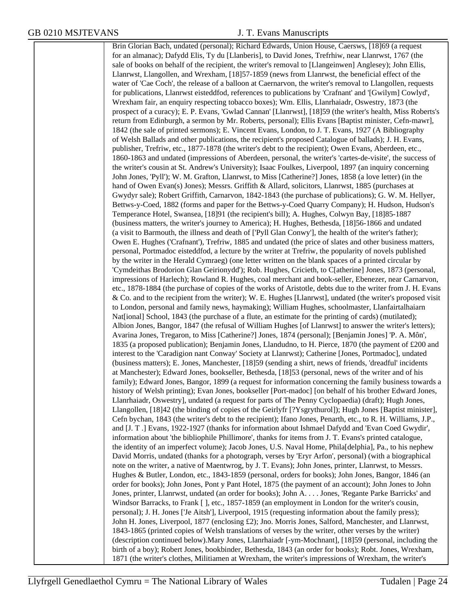Brin Glorian Bach, undated (personal); Richard Edwards, Union House, Caersws, [18]69 (a request for an almanac); Dafydd Elis, Ty du [Llanberis], to David Jones, Trefrhiw, near Llanrwst, 1767 (the sale of books on behalf of the recipient, the writer's removal to [Llangeinwen] Anglesey); John Ellis, Llanrwst, Llangollen, and Wrexham, [18]57-1859 (news from Llanrwst, the beneficial effect of the water of 'Cae Coch', the release of a balloon at Caernarvon, the writer's removal to Llangollen, requests for publications, Llanrwst eisteddfod, references to publications by 'Crafnant' and '[Gwilym] Cowlyd', Wrexham fair, an enquiry respecting tobacco boxes); Wm. Ellis, Llanrhaiadr, Oswestry, 1873 (the prospect of a curacy); E. P. Evans, 'Gwlad Cannan' [Llanrwst], [18]59 (the writer's health, Miss Roberts's return from Edinburgh, a sermon by Mr. Roberts, personal); Ellis Evans [Baptist minister, Cefn-mawr], 1842 (the sale of printed sermons); E. Vincent Evans, London, to J. T. Evans, 1927 (A Bibliography of Welsh Ballads and other publications, the recipient's proposed Catalogue of ballads); J. H. Evans, publisher, Trefriw, etc., 1877-1878 (the writer's debt to the recipient); Owen Evans, Aberdeen, etc., 1860-1863 and undated (impressions of Aberdeen, personal, the writer's 'cartes-de-visite', the success of the writer's cousin at St. Andrew's University); Isaac Foulkes, Liverpool, 1897 (an inquiry concerning John Jones, 'Pyll'); W. M. Grafton, Llanrwst, to Miss [Catherine?] Jones, 1858 (a love letter) (in the hand of Owen Evan(s) Jones); Messrs. Griffith & Allard, solicitors, Llanrwst, 1885 (purchases at Gwydyr sale); Robert Griffith, Carnarvon, 1842-1843 (the purchase of publications); G. W. M. Hellyer, Bettws-y-Coed, 1882 (forms and paper for the Bettws-y-Coed Quarry Company); H. Hudson, Hudson's Temperance Hotel, Swansea, [18]91 (the recipient's bill); A. Hughes, Colwyn Bay, [18]85-1887 (business matters, the writer's journey to America); H. Hughes, Bethesda, [18]56-1866 and undated (a visit to Barmouth, the illness and death of ['Pyll Glan Conwy'], the health of the writer's father); Owen E. Hughes ('Crafnant'), Trefriw, 1885 and undated (the price of slates and other business matters, personal, Portmadoc eisteddfod, a lecture by the writer at Trefriw, the popularity of novels published by the writer in the Herald Cymraeg) (one letter written on the blank spaces of a printed circular by 'Cymdeithas Brodorion Glan Geirionydd'); Rob. Hughes, Cricieth, to C[atherine] Jones, 1873 (personal, impressions of Harlech); Rowland R. Hughes, coal merchant and book-seller, Ebenezer, near Carnarvon, etc., 1878-1884 (the purchase of copies of the works of Aristotle, debts due to the writer from J. H. Evans & Co. and to the recipient from the writer); W. E. Hughes [Llanrwst], undated (the writer's proposed visit to London, personal and family news, haymaking); William Hughes, schoolmaster, Llanfairtalhaiarn Nat[ional] School, 1843 (the purchase of a flute, an estimate for the printing of cards) (mutilated); Albion Jones, Bangor, 1847 (the refusal of William Hughes [of Llanrwst] to answer the writer's letters); Avarina Jones, Tregaron, to Miss [Catherine?] Jones, 1874 (personal); [Benjamin Jones] 'P. A. Môn', 1835 (a proposed publication); Benjamin Jones, Llandudno, to H. Pierce, 1870 (the payment of £200 and interest to the 'Caradigion nant Conway' Society at Llanrwst); Catherine [Jones, Portmadoc], undated (business matters); E. Jones, Manchester, [18]59 (sending a shirt, news of friends, 'dreadful' incidents at Manchester); Edward Jones, bookseller, Bethesda, [18]53 (personal, news of the writer and of his family); Edward Jones, Bangor, 1899 (a request for information concerning the family business towards a history of Welsh printing); Evan Jones, bookseller [Port-madoc] [on behalf of his brother Edward Jones, Llanrhaiadr, Oswestry], undated (a request for parts of The Penny Cyclopaedia) (draft); Hugh Jones, Llangollen, [18]42 (the binding of copies of the Geirlyfr [?Ysgrythurol]); Hugh Jones [Baptist minister], Cefn bychan, 1843 (the writer's debt to the recipient); Ifano Jones, Penarth, etc., to R. H. Williams, J.P., and [J. T .] Evans, 1922-1927 (thanks for information about Ishmael Dafydd and 'Evan Coed Gwydir', information about 'the bibliophile Phillimore', thanks for items from J. T. Evans's printed catalogue, the identity of an imperfect volume); Jacob Jones, U.S. Naval Home, Phila[delphia], Pa., to his nephew David Morris, undated (thanks for a photograph, verses by 'Eryr Arfon', personal) (with a biographical note on the writer, a native of Maentwrog, by J. T. Evans); John Jones, printer, Llanrwst, to Messrs. Hughes & Butler, London, etc., 1843-1859 (personal, orders for books); John Jones, Bangor, 1846 (an order for books); John Jones, Pont y Pant Hotel, 1875 (the payment of an account); John Jones to John Jones, printer, Llanrwst, undated (an order for books); John A. . . . Jones, 'Regante Parke Barricks' and Windsor Barracks, to Frank [ ], etc., 1857-1859 (an employment in London for the writer's cousin, personal); J. H. Jones ['Je Aitsh'], Liverpool, 1915 (requesting information about the family press); John H. Jones, Liverpool, 1877 (enclosing £2); Jno. Morris Jones, Salford, Manchester, and Llanrwst, 1843-1865 (printed copies of Welsh translations of verses by the writer, other verses by the writer) (description continued below).Mary Jones, Llanrhaiadr [-ym-Mochnant], [18]59 (personal, including the birth of a boy); Robert Jones, bookbinder, Bethesda, 1843 (an order for books); Robt. Jones, Wrexham, 1871 (the writer's clothes, Militiamen at Wrexham, the writer's impressions of Wrexham, the writer's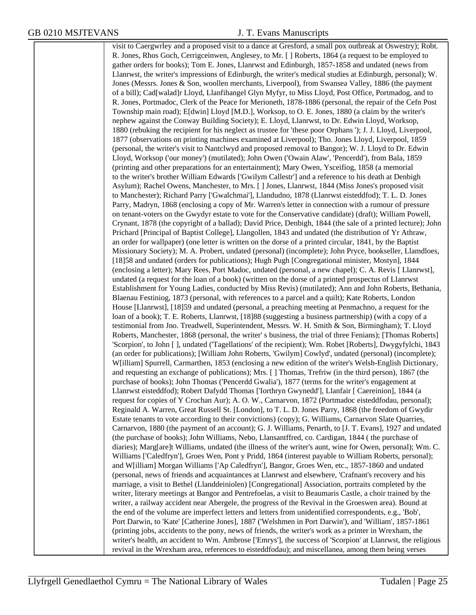visit to Caergwrley and a proposed visit to a dance at Gresford, a small pox outbreak at Oswestry); Robt. R. Jones, Rhos Goch, Cerrigceinwen, Anglesey, to Mr. [ ] Roberts, 1864 (a request to be employed to gather orders for books); Tom E. Jones, Llanrwst and Edinburgh, 1857-1858 and undated (news from Llanrwst, the writer's impressions of Edinburgh, the writer's medical studies at Edinburgh, personal); W. Jones (Messrs. Jones & Son, woollen merchants, Liverpool), from Swansea Valley, 1886 (the payment of a bill); Cad[walad]r Lloyd, Llanfihangel Glyn Myfyr, to Miss Lloyd, Post Office, Portmadog, and to R. Jones, Portmadoc, Clerk of the Peace for Merioneth, 1878-1886 (personal, the repair of the Cefn Post Township main road); E[dwin] Lloyd [M.D.], Worksop, to O. E. Jones, 1880 (a claim by the writer's nephew against the Conway Building Society); E. Lloyd, Llanrwst, to Dr. Edwin Lloyd, Worksop, 1880 (rebuking the recipient for his neglect as trustee for 'these poor Orphans '); J. J. Lloyd, Liverpool, 1877 (observations on printing machines examined at Liverpool); Tho. Jones Lloyd, Liverpool, 1859 (personal, the writer's visit to Nantclwyd and proposed removal to Bangor); W. J. Lloyd to Dr. Edwin Lloyd, Worksop ('our money') (mutilated); John Owen ('Owain Alaw', 'Pencerdd'), from Bala, 1859 (printing and other preparations for an entertainment); Mary Owen, Ysceifiog, 1858 (a memorial to the writer's brother William Edwards ['Gwilym Callestr'] and a reference to his death at Denbigh Asylum); Rachel Owens, Manchester, to Mrs. [ ] Jones, Llanrwst, 1844 (Miss Jones's proposed visit to Manchester); Richard Parry ['Gwalchmai'], Llandudno, 1878 (Llanrwst eisteddfod); T. L. D. Jones Parry, Madryn, 1868 (enclosing a copy of Mr. Warren's letter in connection with a rumour of pressure on tenant-voters on the Gwydyr estate to vote for the Conservative candidate) (draft); William Powell, Crynant, 1878 (the copyright of a ballad); David Price, Denbigh, 1844 (the sale of a printed lecture); John Prichard [Principal of Baptist College], Llangollen, 1843 and undated (the distribution of Yr Athraw, an order for wallpaper) (one letter is written on the dorse of a printed circular, 1841, by the Baptist Missionary Society); M. A. Probert, undated (personal) (incomplete); John Pryce, bookseller, Llamdloes, [18]58 and undated (orders for publications); Hugh Pugh [Congregational minister, Mostyn], 1844 (enclosing a letter); Mary Rees, Port Madoc, undated (personal, a new chapel); C. A. Revis [ Llanrwst], undated (a request for the loan of a book) (written on the dorse of a printed prospectus of Llanrwst Establishment for Young Ladies, conducted by Miss Revis) (mutilated); Ann and John Roberts, Bethania, Blaenau Festiniog, 1873 (personal, with references to a parcel and a quilt); Kate Roberts, London House [Llanrwst], [18]59 and undated (personal, a preaching meeting at Penmachno, a request for the loan of a book); T. E. Roberts, Llanrwst, [18]88 (suggesting a business partnership) (with a copy of a testimonial from Jno. Treadwell, Superintendent, Messrs. W. H. Smith & Son, Birmingham); T. Lloyd Roberts, Manchester, 1868 (personal, the writer' s business, the trial of three Fenians); [Thomas Roberts] 'Scorpion', to John [ ], undated ('Tagellations' of the recipient); Wm. Robet [Roberts], Dwygyfylchi, 1843 (an order for publications); [William John Roberts, 'Gwilym] Cowlyd', undated (personal) (incomplete); W[illiam] Spurrell, Carmarthen, 1853 (enclosing a new edition of the writer's Welsh-English Dictionary, and requesting an exchange of publications); Mrs. [ ] Thomas, Trefriw (in the third person), 1867 (the purchase of books); John Thomas ('Pencerdd Gwalia'), 1877 (terms for the writer's engagement at Llanrwst eisteddfod); Robert Dafydd Thomas ['Iorthryn Gwynedd'], Llanfair [ Caereinion], 1844 (a request for copies of Y Crochan Aur); A. O. W., Carnarvon, 1872 (Portmadoc eisteddfodau, personal); Reginald A. Warren, Great Russell St. [London], to T. L. D. Jones Parry, 1868 (the freedom of Gwydir Estate tenants to vote according to their convictions) (copy); G. Williams, Carnarvon Slate Quarries, Carnarvon, 1880 (the payment of an account); G. J. Williams, Penarth, to [J. T. Evans], 1927 and undated (the purchase of books); John Williams, Nebo, Llansantffred, co. Cardigan, 1844 ( the purchase of diaries); Marg[are]t Williams, undated (the illness of the writer's aunt, wine for Owen, personal); Wm. C. Williams ['Caledfryn'], Groes Wen, Pont y Pridd, 1864 (interest payable to William Roberts, personal); and W[illiam] Morgan Williams ['Ap Caledfryn'], Bangor, Groes Wen, etc., 1857-1860 and undated (personal, news of friends and acquaintances at Llanrwst and elsewhere, 'Crafnant's recovery and his marriage, a visit to Bethel (Llanddeiniolen) [Congregational] Association, portraits completed by the writer, literary meetings at Bangor and Pentrefoelas, a visit to Beaumaris Castle, a choir trained by the writer, a railway accident near Abergele, the progress of the Revival in the Groeswen area). Bound at the end of the volume are imperfect letters and letters from unidentified correspondents, e.g., 'Bob', Port Darwin, to 'Kate' [Catherine Jones], 1887 ('Welshmen in Port Darwin'), and 'William', 1857-1861 (printing jobs, accidents to the pony, news of friends, the writer's work as a printer in Wrexham, the writer's health, an accident to Wm. Ambrose ['Emrys'], the success of 'Scorpion' at Llanrwst, the religious revival in the Wrexham area, references to eisteddfodau); and miscellanea, among them being verses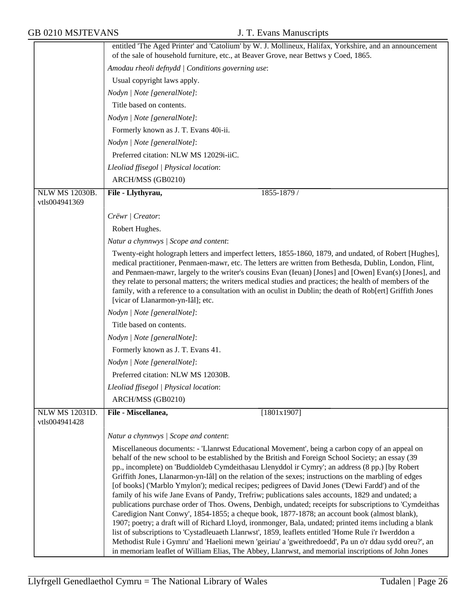|                                        | entitled 'The Aged Printer' and 'Catolium' by W. J. Mollineux, Halifax, Yorkshire, and an announcement<br>of the sale of household furniture, etc., at Beaver Grove, near Bettws y Coed, 1865.                                                                                                                                                                                                                                                                                                                                                                                                                                                                                                                                                                                                                                                                                                                                                                                                                                                                                                                                                                                                                                                                             |
|----------------------------------------|----------------------------------------------------------------------------------------------------------------------------------------------------------------------------------------------------------------------------------------------------------------------------------------------------------------------------------------------------------------------------------------------------------------------------------------------------------------------------------------------------------------------------------------------------------------------------------------------------------------------------------------------------------------------------------------------------------------------------------------------------------------------------------------------------------------------------------------------------------------------------------------------------------------------------------------------------------------------------------------------------------------------------------------------------------------------------------------------------------------------------------------------------------------------------------------------------------------------------------------------------------------------------|
|                                        |                                                                                                                                                                                                                                                                                                                                                                                                                                                                                                                                                                                                                                                                                                                                                                                                                                                                                                                                                                                                                                                                                                                                                                                                                                                                            |
|                                        | Amodau rheoli defnydd   Conditions governing use:                                                                                                                                                                                                                                                                                                                                                                                                                                                                                                                                                                                                                                                                                                                                                                                                                                                                                                                                                                                                                                                                                                                                                                                                                          |
|                                        | Usual copyright laws apply.                                                                                                                                                                                                                                                                                                                                                                                                                                                                                                                                                                                                                                                                                                                                                                                                                                                                                                                                                                                                                                                                                                                                                                                                                                                |
|                                        | Nodyn   Note [generalNote]:                                                                                                                                                                                                                                                                                                                                                                                                                                                                                                                                                                                                                                                                                                                                                                                                                                                                                                                                                                                                                                                                                                                                                                                                                                                |
|                                        | Title based on contents.                                                                                                                                                                                                                                                                                                                                                                                                                                                                                                                                                                                                                                                                                                                                                                                                                                                                                                                                                                                                                                                                                                                                                                                                                                                   |
|                                        | Nodyn   Note [generalNote]:                                                                                                                                                                                                                                                                                                                                                                                                                                                                                                                                                                                                                                                                                                                                                                                                                                                                                                                                                                                                                                                                                                                                                                                                                                                |
|                                        | Formerly known as J. T. Evans 40i-ii.                                                                                                                                                                                                                                                                                                                                                                                                                                                                                                                                                                                                                                                                                                                                                                                                                                                                                                                                                                                                                                                                                                                                                                                                                                      |
|                                        | Nodyn   Note [generalNote]:                                                                                                                                                                                                                                                                                                                                                                                                                                                                                                                                                                                                                                                                                                                                                                                                                                                                                                                                                                                                                                                                                                                                                                                                                                                |
|                                        | Preferred citation: NLW MS 12029i-iiC.                                                                                                                                                                                                                                                                                                                                                                                                                                                                                                                                                                                                                                                                                                                                                                                                                                                                                                                                                                                                                                                                                                                                                                                                                                     |
|                                        | Lleoliad ffisegol   Physical location:                                                                                                                                                                                                                                                                                                                                                                                                                                                                                                                                                                                                                                                                                                                                                                                                                                                                                                                                                                                                                                                                                                                                                                                                                                     |
|                                        | ARCH/MSS (GB0210)                                                                                                                                                                                                                                                                                                                                                                                                                                                                                                                                                                                                                                                                                                                                                                                                                                                                                                                                                                                                                                                                                                                                                                                                                                                          |
| <b>NLW MS 12030B.</b><br>vtls004941369 | 1855-1879 /<br>File - Llythyrau,                                                                                                                                                                                                                                                                                                                                                                                                                                                                                                                                                                                                                                                                                                                                                                                                                                                                                                                                                                                                                                                                                                                                                                                                                                           |
|                                        | Crëwr   Creator:                                                                                                                                                                                                                                                                                                                                                                                                                                                                                                                                                                                                                                                                                                                                                                                                                                                                                                                                                                                                                                                                                                                                                                                                                                                           |
|                                        | Robert Hughes.                                                                                                                                                                                                                                                                                                                                                                                                                                                                                                                                                                                                                                                                                                                                                                                                                                                                                                                                                                                                                                                                                                                                                                                                                                                             |
|                                        | Natur a chynnwys / Scope and content:                                                                                                                                                                                                                                                                                                                                                                                                                                                                                                                                                                                                                                                                                                                                                                                                                                                                                                                                                                                                                                                                                                                                                                                                                                      |
|                                        | Twenty-eight holograph letters and imperfect letters, 1855-1860, 1879, and undated, of Robert [Hughes],<br>medical practitioner, Penmaen-mawr, etc. The letters are written from Bethesda, Dublin, London, Flint,<br>and Penmaen-mawr, largely to the writer's cousins Evan (Ieuan) [Jones] and [Owen] Evan(s) [Jones], and<br>they relate to personal matters; the writers medical studies and practices; the health of members of the<br>family, with a reference to a consultation with an oculist in Dublin; the death of Rob[ert] Griffith Jones<br>[vicar of Llanarmon-yn-Iâl]; etc.                                                                                                                                                                                                                                                                                                                                                                                                                                                                                                                                                                                                                                                                                 |
|                                        | Nodyn   Note [generalNote]:                                                                                                                                                                                                                                                                                                                                                                                                                                                                                                                                                                                                                                                                                                                                                                                                                                                                                                                                                                                                                                                                                                                                                                                                                                                |
|                                        | Title based on contents.                                                                                                                                                                                                                                                                                                                                                                                                                                                                                                                                                                                                                                                                                                                                                                                                                                                                                                                                                                                                                                                                                                                                                                                                                                                   |
|                                        | Nodyn   Note [generalNote]:                                                                                                                                                                                                                                                                                                                                                                                                                                                                                                                                                                                                                                                                                                                                                                                                                                                                                                                                                                                                                                                                                                                                                                                                                                                |
|                                        | Formerly known as J. T. Evans 41.                                                                                                                                                                                                                                                                                                                                                                                                                                                                                                                                                                                                                                                                                                                                                                                                                                                                                                                                                                                                                                                                                                                                                                                                                                          |
|                                        | Nodyn   Note [generalNote]:                                                                                                                                                                                                                                                                                                                                                                                                                                                                                                                                                                                                                                                                                                                                                                                                                                                                                                                                                                                                                                                                                                                                                                                                                                                |
|                                        | Preferred citation: NLW MS 12030B.                                                                                                                                                                                                                                                                                                                                                                                                                                                                                                                                                                                                                                                                                                                                                                                                                                                                                                                                                                                                                                                                                                                                                                                                                                         |
|                                        | Lleoliad ffisegol   Physical location:                                                                                                                                                                                                                                                                                                                                                                                                                                                                                                                                                                                                                                                                                                                                                                                                                                                                                                                                                                                                                                                                                                                                                                                                                                     |
|                                        | ARCH/MSS (GB0210)                                                                                                                                                                                                                                                                                                                                                                                                                                                                                                                                                                                                                                                                                                                                                                                                                                                                                                                                                                                                                                                                                                                                                                                                                                                          |
| <b>NLW MS 12031D.</b>                  | File - Miscellanea,<br>[1801x1907]                                                                                                                                                                                                                                                                                                                                                                                                                                                                                                                                                                                                                                                                                                                                                                                                                                                                                                                                                                                                                                                                                                                                                                                                                                         |
| vtls004941428                          |                                                                                                                                                                                                                                                                                                                                                                                                                                                                                                                                                                                                                                                                                                                                                                                                                                                                                                                                                                                                                                                                                                                                                                                                                                                                            |
|                                        | Natur a chynnwys / Scope and content:                                                                                                                                                                                                                                                                                                                                                                                                                                                                                                                                                                                                                                                                                                                                                                                                                                                                                                                                                                                                                                                                                                                                                                                                                                      |
|                                        | Miscellaneous documents: - 'Llanrwst Educational Movement', being a carbon copy of an appeal on<br>behalf of the new school to be established by the British and Foreign School Society; an essay (39)<br>pp., incomplete) on 'Buddioldeb Cymdeithasau Llenyddol ir Cymry'; an address (8 pp.) [by Robert<br>Griffith Jones, Llanarmon-yn-Iâl] on the relation of the sexes; instructions on the marbling of edges<br>[of books] ('Marblo Ymylon'); medical recipes; pedigrees of David Jones ('Dewi Fardd') and of the<br>family of his wife Jane Evans of Pandy, Trefriw; publications sales accounts, 1829 and undated; a<br>publications purchase order of Thos. Owens, Denbigh, undated; receipts for subscriptions to 'Cymdeithas<br>Caredigion Nant Conwy', 1854-1855; a cheque book, 1877-1878; an account book (almost blank),<br>1907; poetry; a draft will of Richard Lloyd, ironmonger, Bala, undated; printed items including a blank<br>list of subscriptions to 'Cystadleuaeth Llanrwst', 1859, leaflets entitled 'Home Rule i'r Iwerddon a<br>Methodist Rule i Gymru' and 'Haelioni mewn 'geiriau' a 'gweithredoedd', Pa un o'r ddau sydd oreu?', an<br>in memoriam leaflet of William Elias, The Abbey, Llanrwst, and memorial inscriptions of John Jones |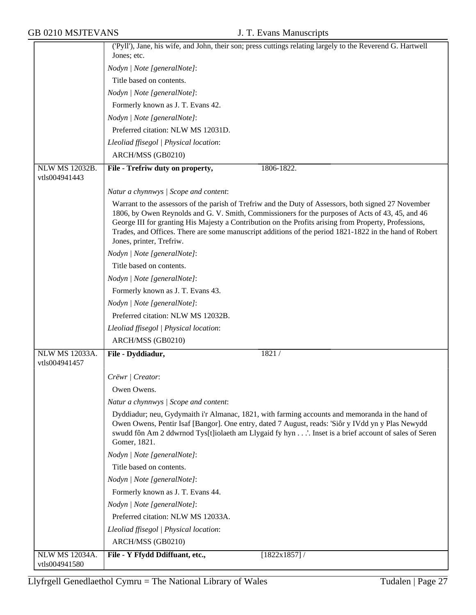|                       | ('Pyll'), Jane, his wife, and John, their son; press cuttings relating largely to the Reverend G. Hartwell                                                                                                                                                                                                                 |
|-----------------------|----------------------------------------------------------------------------------------------------------------------------------------------------------------------------------------------------------------------------------------------------------------------------------------------------------------------------|
|                       | Jones; etc.                                                                                                                                                                                                                                                                                                                |
|                       | Nodyn   Note [generalNote]:                                                                                                                                                                                                                                                                                                |
|                       | Title based on contents.                                                                                                                                                                                                                                                                                                   |
|                       | Nodyn   Note [generalNote]:                                                                                                                                                                                                                                                                                                |
|                       | Formerly known as J. T. Evans 42.                                                                                                                                                                                                                                                                                          |
|                       | Nodyn   Note [generalNote]:                                                                                                                                                                                                                                                                                                |
|                       | Preferred citation: NLW MS 12031D.                                                                                                                                                                                                                                                                                         |
|                       | Lleoliad ffisegol   Physical location:                                                                                                                                                                                                                                                                                     |
|                       | ARCH/MSS (GB0210)                                                                                                                                                                                                                                                                                                          |
| <b>NLW MS 12032B.</b> | File - Trefriw duty on property,<br>1806-1822.                                                                                                                                                                                                                                                                             |
| vtls004941443         |                                                                                                                                                                                                                                                                                                                            |
|                       | Natur a chynnwys / Scope and content:                                                                                                                                                                                                                                                                                      |
|                       | Warrant to the assessors of the parish of Trefriw and the Duty of Assessors, both signed 27 November<br>1806, by Owen Reynolds and G. V. Smith, Commissioners for the purposes of Acts of 43, 45, and 46<br>George III for granting His Majesty a Contribution on the Profits arising from Property, Professions,          |
|                       | Trades, and Offices. There are some manuscript additions of the period 1821-1822 in the hand of Robert<br>Jones, printer, Trefriw.                                                                                                                                                                                         |
|                       | Nodyn   Note [generalNote]:                                                                                                                                                                                                                                                                                                |
|                       | Title based on contents.                                                                                                                                                                                                                                                                                                   |
|                       | Nodyn   Note [generalNote]:                                                                                                                                                                                                                                                                                                |
|                       | Formerly known as J. T. Evans 43.                                                                                                                                                                                                                                                                                          |
|                       | Nodyn   Note [generalNote]:                                                                                                                                                                                                                                                                                                |
|                       | Preferred citation: NLW MS 12032B.                                                                                                                                                                                                                                                                                         |
|                       | Lleoliad ffisegol   Physical location:                                                                                                                                                                                                                                                                                     |
|                       | ARCH/MSS (GB0210)                                                                                                                                                                                                                                                                                                          |
| <b>NLW MS 12033A.</b> | File - Dyddiadur,<br>1821/                                                                                                                                                                                                                                                                                                 |
| vtls004941457         |                                                                                                                                                                                                                                                                                                                            |
|                       | Crëwr   Creator:                                                                                                                                                                                                                                                                                                           |
|                       | Owen Owens.                                                                                                                                                                                                                                                                                                                |
|                       | Natur a chynnwys / Scope and content:                                                                                                                                                                                                                                                                                      |
|                       | Dyddiadur; neu, Gydymaith i'r Almanac, 1821, with farming accounts and memoranda in the hand of<br>Owen Owens, Pentir Isaf [Bangor]. One entry, dated 7 August, reads: 'Siôr y IVdd yn y Plas Newydd<br>swudd fôn Am 2 ddwrnod Tys[t]iolaeth am Llygaid fy hyn' Inset is a brief account of sales of Seren<br>Gomer, 1821. |
|                       | Nodyn   Note [generalNote]:                                                                                                                                                                                                                                                                                                |
|                       | Title based on contents.                                                                                                                                                                                                                                                                                                   |
|                       | Nodyn   Note [generalNote]:                                                                                                                                                                                                                                                                                                |
|                       | Formerly known as J. T. Evans 44.                                                                                                                                                                                                                                                                                          |
|                       | Nodyn   Note [generalNote]:                                                                                                                                                                                                                                                                                                |
|                       | Preferred citation: NLW MS 12033A.                                                                                                                                                                                                                                                                                         |
|                       | Lleoliad ffisegol   Physical location:                                                                                                                                                                                                                                                                                     |
|                       | ARCH/MSS (GB0210)                                                                                                                                                                                                                                                                                                          |
| <b>NLW MS 12034A.</b> | [1822x1857] /<br>File - Y Ffydd Ddiffuant, etc.,                                                                                                                                                                                                                                                                           |
| vtls004941580         |                                                                                                                                                                                                                                                                                                                            |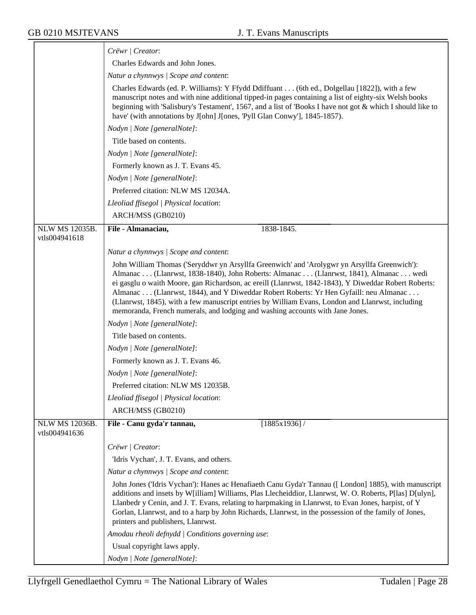|                                        | Crëwr   Creator:                                                                                                                                                                                                                                                                                                                                                                                                                                                                                                                                                         |
|----------------------------------------|--------------------------------------------------------------------------------------------------------------------------------------------------------------------------------------------------------------------------------------------------------------------------------------------------------------------------------------------------------------------------------------------------------------------------------------------------------------------------------------------------------------------------------------------------------------------------|
|                                        | Charles Edwards and John Jones.                                                                                                                                                                                                                                                                                                                                                                                                                                                                                                                                          |
|                                        | Natur a chynnwys / Scope and content:                                                                                                                                                                                                                                                                                                                                                                                                                                                                                                                                    |
|                                        | Charles Edwards (ed. P. Williams): Y Ffydd Ddiffuant (6th ed., Dolgellau [1822]), with a few<br>manuscript notes and with nine additional tipped-in pages containing a list of eighty-six Welsh books<br>beginning with 'Salisbury's Testament', 1567, and a list of 'Books I have not got $\&$ which I should like to<br>have' (with annotations by J[ohn] J[ones, 'Pyll Glan Conwy'], 1845-1857).                                                                                                                                                                      |
|                                        | Nodyn   Note [generalNote]:                                                                                                                                                                                                                                                                                                                                                                                                                                                                                                                                              |
|                                        | Title based on contents.                                                                                                                                                                                                                                                                                                                                                                                                                                                                                                                                                 |
|                                        | Nodyn   Note [generalNote]:                                                                                                                                                                                                                                                                                                                                                                                                                                                                                                                                              |
|                                        | Formerly known as J. T. Evans 45.                                                                                                                                                                                                                                                                                                                                                                                                                                                                                                                                        |
|                                        | Nodyn   Note [generalNote]:                                                                                                                                                                                                                                                                                                                                                                                                                                                                                                                                              |
|                                        | Preferred citation: NLW MS 12034A.                                                                                                                                                                                                                                                                                                                                                                                                                                                                                                                                       |
|                                        | Lleoliad ffisegol   Physical location:                                                                                                                                                                                                                                                                                                                                                                                                                                                                                                                                   |
|                                        | ARCH/MSS (GB0210)                                                                                                                                                                                                                                                                                                                                                                                                                                                                                                                                                        |
| <b>NLW MS 12035B.</b>                  | File - Almanaciau,<br>1838-1845.                                                                                                                                                                                                                                                                                                                                                                                                                                                                                                                                         |
| vtls004941618                          |                                                                                                                                                                                                                                                                                                                                                                                                                                                                                                                                                                          |
|                                        | Natur a chynnwys / Scope and content:                                                                                                                                                                                                                                                                                                                                                                                                                                                                                                                                    |
|                                        | John William Thomas ('Seryddwr yn Arsyllfa Greenwich' and 'Arolygwr yn Arsyllfa Greenwich'):<br>Almanac (Llanrwst, 1838-1840), John Roberts: Almanac (Llanrwst, 1841), Almanac wedi<br>ei gasglu o waith Moore, gan Richardson, ac ereill (Llanrwst, 1842-1843), Y Diweddar Robert Roberts:<br>Almanac (Llanrwst, 1844), and Y Diweddar Robert Roberts: Yr Hen Gyfaill: neu Almanac<br>(Llanrwst, 1845), with a few manuscript entries by William Evans, London and Llanrwst, including<br>memoranda, French numerals, and lodging and washing accounts with Jane Jones. |
|                                        | Nodyn   Note [generalNote]:                                                                                                                                                                                                                                                                                                                                                                                                                                                                                                                                              |
|                                        | Title based on contents.                                                                                                                                                                                                                                                                                                                                                                                                                                                                                                                                                 |
|                                        | Nodyn   Note [generalNote]:                                                                                                                                                                                                                                                                                                                                                                                                                                                                                                                                              |
|                                        | Formerly known as J. T. Evans 46.                                                                                                                                                                                                                                                                                                                                                                                                                                                                                                                                        |
|                                        | Nodyn   Note [generalNote]:                                                                                                                                                                                                                                                                                                                                                                                                                                                                                                                                              |
|                                        | Preferred citation: NLW MS 12035B.                                                                                                                                                                                                                                                                                                                                                                                                                                                                                                                                       |
|                                        | Lleoliad ffisegol   Physical location:                                                                                                                                                                                                                                                                                                                                                                                                                                                                                                                                   |
|                                        | ARCH/MSS (GB0210)                                                                                                                                                                                                                                                                                                                                                                                                                                                                                                                                                        |
| <b>NLW MS 12036B.</b><br>vtls004941636 | File - Canu gyda'r tannau,<br>[1885x1936]                                                                                                                                                                                                                                                                                                                                                                                                                                                                                                                                |
|                                        | Crëwr   Creator:                                                                                                                                                                                                                                                                                                                                                                                                                                                                                                                                                         |
|                                        | 'Idris Vychan', J. T. Evans, and others.                                                                                                                                                                                                                                                                                                                                                                                                                                                                                                                                 |
|                                        | Natur a chynnwys / Scope and content:                                                                                                                                                                                                                                                                                                                                                                                                                                                                                                                                    |
|                                        | John Jones ('Idris Vychan'): Hanes ac Henafiaeth Canu Gyda'r Tannau ([London] 1885), with manuscript<br>additions and insets by W[illiam] Williams, Plas Llecheiddior, Llanrwst, W. O. Roberts, P[las] D[ulyn],<br>Llanbedr y Cenin, and J. T. Evans, relating to harpmaking in Llanrwst, to Evan Jones, harpist, of Y<br>Gorlan, Llanrwst, and to a harp by John Richards, Llanrwst, in the possession of the family of Jones,<br>printers and publishers, Llanrwst.                                                                                                    |
|                                        | Amodau rheoli defnydd   Conditions governing use:                                                                                                                                                                                                                                                                                                                                                                                                                                                                                                                        |
|                                        | Usual copyright laws apply.                                                                                                                                                                                                                                                                                                                                                                                                                                                                                                                                              |
|                                        | Nodyn   Note [generalNote]:                                                                                                                                                                                                                                                                                                                                                                                                                                                                                                                                              |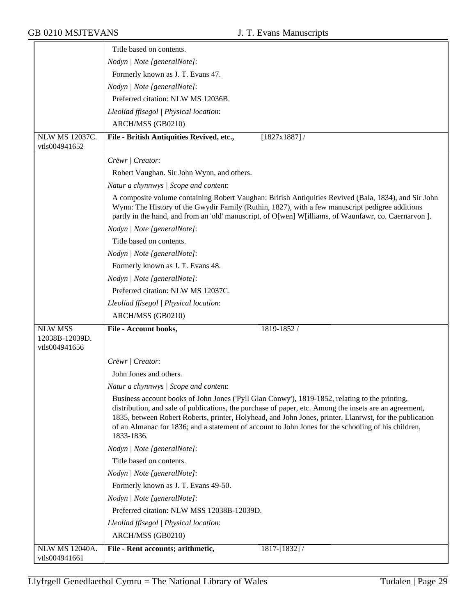|                                                   | Title based on contents.                                                                                                                                                                                                                                                                                                                                                                                                                 |
|---------------------------------------------------|------------------------------------------------------------------------------------------------------------------------------------------------------------------------------------------------------------------------------------------------------------------------------------------------------------------------------------------------------------------------------------------------------------------------------------------|
|                                                   | Nodyn   Note [generalNote]:                                                                                                                                                                                                                                                                                                                                                                                                              |
|                                                   | Formerly known as J. T. Evans 47.                                                                                                                                                                                                                                                                                                                                                                                                        |
|                                                   | Nodyn   Note [generalNote]:                                                                                                                                                                                                                                                                                                                                                                                                              |
|                                                   | Preferred citation: NLW MS 12036B.                                                                                                                                                                                                                                                                                                                                                                                                       |
|                                                   | Lleoliad ffisegol   Physical location:                                                                                                                                                                                                                                                                                                                                                                                                   |
|                                                   | ARCH/MSS (GB0210)                                                                                                                                                                                                                                                                                                                                                                                                                        |
| <b>NLW MS 12037C.</b><br>vtls004941652            | [1827x1887] /<br>File - British Antiquities Revived, etc.,                                                                                                                                                                                                                                                                                                                                                                               |
|                                                   | Crëwr   Creator:                                                                                                                                                                                                                                                                                                                                                                                                                         |
|                                                   | Robert Vaughan. Sir John Wynn, and others.                                                                                                                                                                                                                                                                                                                                                                                               |
|                                                   | Natur a chynnwys / Scope and content:                                                                                                                                                                                                                                                                                                                                                                                                    |
|                                                   | A composite volume containing Robert Vaughan: British Antiquities Revived (Bala, 1834), and Sir John<br>Wynn: The History of the Gwydir Family (Ruthin, 1827), with a few manuscript pedigree additions<br>partly in the hand, and from an 'old' manuscript, of O[wen] W[illiams, of Waunfawr, co. Caernarvon ].                                                                                                                         |
|                                                   | Nodyn   Note [generalNote]:                                                                                                                                                                                                                                                                                                                                                                                                              |
|                                                   | Title based on contents.                                                                                                                                                                                                                                                                                                                                                                                                                 |
|                                                   | Nodyn   Note [generalNote]:                                                                                                                                                                                                                                                                                                                                                                                                              |
|                                                   | Formerly known as J. T. Evans 48.                                                                                                                                                                                                                                                                                                                                                                                                        |
|                                                   | Nodyn   Note [generalNote]:                                                                                                                                                                                                                                                                                                                                                                                                              |
|                                                   | Preferred citation: NLW MS 12037C.                                                                                                                                                                                                                                                                                                                                                                                                       |
|                                                   | Lleoliad ffisegol   Physical location:                                                                                                                                                                                                                                                                                                                                                                                                   |
|                                                   | ARCH/MSS (GB0210)                                                                                                                                                                                                                                                                                                                                                                                                                        |
| <b>NLW MSS</b><br>12038B-12039D.<br>vtls004941656 | File - Account books,<br>1819-1852 /                                                                                                                                                                                                                                                                                                                                                                                                     |
|                                                   | Crëwr   Creator:                                                                                                                                                                                                                                                                                                                                                                                                                         |
|                                                   | John Jones and others.                                                                                                                                                                                                                                                                                                                                                                                                                   |
|                                                   | Natur a chynnwys / Scope and content:                                                                                                                                                                                                                                                                                                                                                                                                    |
|                                                   | Business account books of John Jones ('Pyll Glan Conwy'), 1819-1852, relating to the printing,<br>distribution, and sale of publications, the purchase of paper, etc. Among the insets are an agreement,<br>1835, between Robert Roberts, printer, Holyhead, and John Jones, printer, Llanrwst, for the publication<br>of an Almanac for 1836; and a statement of account to John Jones for the schooling of his children,<br>1833-1836. |
|                                                   | Nodyn   Note [generalNote]:                                                                                                                                                                                                                                                                                                                                                                                                              |
|                                                   | Title based on contents.                                                                                                                                                                                                                                                                                                                                                                                                                 |
|                                                   | Nodyn   Note [generalNote]:                                                                                                                                                                                                                                                                                                                                                                                                              |
|                                                   | Formerly known as J. T. Evans 49-50.                                                                                                                                                                                                                                                                                                                                                                                                     |
|                                                   | Nodyn   Note [generalNote]:                                                                                                                                                                                                                                                                                                                                                                                                              |
|                                                   | Preferred citation: NLW MSS 12038B-12039D.                                                                                                                                                                                                                                                                                                                                                                                               |
|                                                   | Lleoliad ffisegol   Physical location:                                                                                                                                                                                                                                                                                                                                                                                                   |
|                                                   | ARCH/MSS (GB0210)                                                                                                                                                                                                                                                                                                                                                                                                                        |
| <b>NLW MS 12040A.</b><br>vtls004941661            | File - Rent accounts; arithmetic,<br>1817-[1832] /                                                                                                                                                                                                                                                                                                                                                                                       |